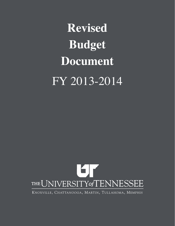**Revised Budget Document** FY 2013-2014



KNOXVILLE, CHATTANOOGA, MARTIN, TULLAHOMA, MEMPHIS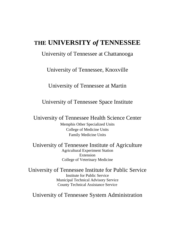# **THE UNIVERSITY** *of* **TENNESSEE**

## University of Tennessee at Chattanooga

University of Tennessee, Knoxville

University of Tennessee at Martin

University of Tennessee Space Institute

University of Tennessee Health Science Center

Memphis Other Specialized Units College of Medicine Units Family Medicine Units

University of Tennessee Institute of Agriculture Agricultural Experiment Station Extension College of Veterinary Medicine

University of Tennessee Institute for Public Service Institute for Public Service Municipal Technical Advisory Service County Technical Assistance Service

University of Tennessee System Administration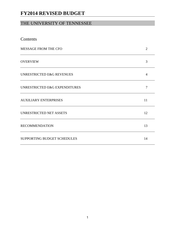## THE UNIVERSITY OF TENNESSEE

| Contents                             |                |
|--------------------------------------|----------------|
| MESSAGE FROM THE CFO                 | $\overline{2}$ |
| <b>OVERVIEW</b>                      | 3              |
| <b>UNRESTRICTED E&amp;G REVENUES</b> | $\overline{4}$ |
| UNRESTRICTED E&G EXPENDITURES        | 7              |
| <b>AUXILIARY ENTERPRISES</b>         | 11             |
| UNRESTRICTED NET ASSETS              | 12             |
| <b>RECOMMENDATION</b>                | 13             |
| SUPPORTING BUDGET SCHEDULES          | 14             |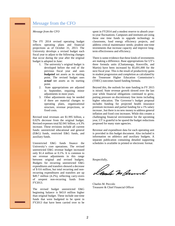### Message from the CFO

#### *Message from the CFO*

The FY 2014 revised operating budget reflects operating plans and financial projections as of October 31, 2013. The University develops a revised budget each fiscal year to adjust to the following changes that occur during the year after the original budget is adopted in June:

- 1. The university's original budget is developed before the end of the previous fiscal year and uses *budgeted* net assets as its starting point. The revised budget uses *actual* net assets as its starting point.
- 2. State appropriations are adjusted in September, requiring minor adjustments in most years.
- 3. Other adjustments may be needed if there are material changes to operating plans, organizational structure, revenue projections, or fixed costs.

Revised total revenues are \$1.995 billion, a 0.02% decrease from the original budget. Revised expenses total \$2.041 billion, a 4.3% increase. These revisions include all current funds: unrestricted educational and general (E&G) funds, restricted E&G funds, and auxiliary funds.

Unrestricted E&G funds finance the University's core operations. The revised unrestricted E&G revenue budget increased only \$1.4 million or 0.1%. It is common to see revenue adjustments in this range between original and revised budgets. Budgets for recurring unrestricted E&G expenditures and transfers showed a decrease of \$ 0.6 million, but total recurring and nonrecurring expenditures and transfers are up \$49.7 million (4.2%), reflecting carry-overs of unspent non-recurring funds from FY2013.

The revised budget unrestricted E&G beginning balance is \$43.0 million higher than original budget. These include one‐time funds that were budgeted to be spent in FY2013 that have been carried over to be

spent in FY2014 and a modest reserve to absorb yearto-year fluctuations. Campuses and institutes are using these one time funds to upgrade technology in classrooms, fund energy efficiency projects, and address critical maintenance needs; prudent one-time investments that increase capacity and improve longterm effectiveness and efficiency.

There is some evidence that these kinds of investments are making a difference. Base appropriations for UT's three formula units (Chattanooga, Knoxville, and Martin) have been increased by \$5,691,000 for the next fiscal year. This is the result of productivity gains in student progression and completion as calculated by the Tennessee Higher Education Commission's (THEC) outcomes based funding formula.

Beyond this, the outlook for state funding in FY 2015 is mixed. State revenue growth slowed over the last year while financial obligations continued to grow, putting pressure on discretionary line items including higher education. The Governor's budget proposal includes funding for projected health insurance premium increases and partial funding for a 1% salary increase , but there is no new money to address general inflation and fixed cost increases. While this creates a challenging financial environment for the upcoming year, UT is grateful to be spared the budget reductions proposed for many state agencies.

Revenue and expenditure data for each operating unit is provided in this budget document. Also included is information on athletics and auxiliary budgets. A separate publication containing detailed supporting schedules is available in printed or electronic format.

Respectfully,

umla Weburnl

Charles M. Peccolo Treasurer & Chief Financial Officer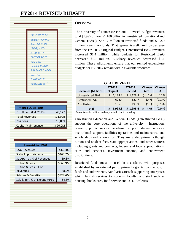| "THF FY 2014        |
|---------------------|
| <b>FDUCATIONAL</b>  |
| <b>AND GENERAL</b>  |
| (E&G) AND           |
| <b>AUXILIARY</b>    |
| <b>FNTFRPRISES</b>  |
| <b>REVISED</b>      |
| <b>BUDGETS ARE</b>  |
| <b>BALANCED AND</b> |
| <b>WITHIN</b>       |
| <b>AVAILABLE</b>    |
| <b>RESOURCES."</b>  |
|                     |

| FY 2014 Quick Facts    |         |
|------------------------|---------|
| Enrollment (Fall 2013) | 49,127  |
| <b>Total Revenues</b>  | \$1.99B |
| Positions              | 15,069  |
| Capital Maintenance    | \$26.0M |

| <b>Unrestricted E&amp;G</b>   |          |
|-------------------------------|----------|
| <b>E&amp;G Revenues</b>       | \$1.180B |
| <b>State Appropriations</b>   | \$469.7M |
| St. Appr. as % of Revenues    | 39.8%    |
| <b>Tuition &amp; Fees</b>     | \$565.9M |
| Tuition & Fees - % of         |          |
| Revenues                      | 48.0%    |
| Salaries & Benefits           | \$824.6M |
| Sal. & Ben. % of Expenditures | 64.8%    |

### **Overview**

The University of Tennessee FY 2014 Revised Budget revenues total \$1.995 billion: \$1.180 billion in unrestricted Educational and General (E&G), \$621.7 million in restricted funds and \$193.9 million in auxiliary funds. That represents a \$0.4 million decrease from the FY 2014 Original Budget. Unrestricted E&G revenues increased \$1.4 million, while budgets for Restricted E&G decreased \$0.7 million. Auxiliary revenues decreased \$1.1 million. These adjustments ensure that our revised expenditure budgets for FY 2014 remain within available resources.

#### **Revenues (Millions) FY2014 Original FY2014 Revised Change Amt. Change %** Unrestricted E&G  $\begin{vmatrix} 5 & 1,178.4 & 5 & 1,179.8 & 5 & 1.4 \end{vmatrix}$  0.1% Restricted E&G 622.4 621.7 (0.7) (0.1)% Auxiliaries 195.0 193.9 (1.1) (0.1)%  **FY 2014 Quick Facts Total \$ 1,995.8 \$ 1,995.4 \$ (.4) (0.0)%**

#### **TOTAL REVENUE**

Amounts are in millions and may not add due to rounding

Unrestricted Education and General Funds (Unrestricted E&G) support the core operations of the university: instruction, research, public service, academic support, student services, institutional support, facilities operations and maintenance, and scholarships and fellowships. They are funded primarily though tuition and student fees, state appropriations, and other sources including grants and contracts, federal and local appropriations, sales and services, investment income, and endowment distributions.

Restricted funds must be used in accordance with purposes established by an external party; primarily grants, contracts, gift funds and endowments. Auxiliaries are self-supporting enterprises which furnish services to students, faculty, and staff such as housing, bookstores, food service and UTK Athletics.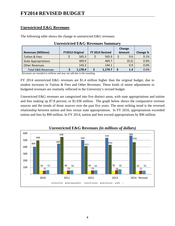### **Unrestricted E&G Revenues**

The following table shows the change in unrestricted E&G revenues.

|                               |                        |         |                 | Change |          |
|-------------------------------|------------------------|---------|-----------------|--------|----------|
| <b>Revenues (Millions)</b>    | <b>FY2014 Original</b> |         | FY 2014 Revised | Amount | Change % |
| <b>Tuition &amp; Fees</b>     |                        | 565.3   | 565.9           | 0.6    | 0.1%     |
| <b>State Appropriations</b>   |                        | 469.9   | 469.7           | (0.2)  | 0.0%     |
| <b>Other Revenues</b>         |                        | 143.2   | 144.1           | 0.9    | 0.0%     |
| <b>Total E&amp;G Revenues</b> |                        | 1,178.4 | 1,179.7         | 1.4    | 0.0%     |

### **Unrestricted E&G Revenues Summary**

Revenues are rounded to millions and may not add due to the rounding

FY 2014 unrestricted E&G revenues are \$1.4 million higher than the original budget, due to modest increases in Tuition & Fees and Other Revenues. These kinds of minor adjustments to budgeted revenues are routinely reflected in the University's revised budget.

Unrestricted E&G revenues are categorized into five distinct areas, with state appropriations and tuition and fees making up 87.8 percent, or \$1.036 million. The graph below shows the comparative revenue sources and the trends of those sources over the past five years. The most striking trend is the reversed relationship between tuition and fees versus state appropriations. In FY 2010, appropriations exceeded tuition and fees by \$90 million. In FY 2014, tuition and fees exceed appropriations by \$96 million.



### **Unrestricted E&G Revenues** *(in millions of dollars)*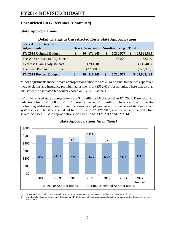### **Unrestricted E&G Revenues (Continued)**

### **State Appropriations**

|                                                   |                         | .                    |                   |
|---------------------------------------------------|-------------------------|----------------------|-------------------|
| <b>State Appropriations</b><br><b>Adjustments</b> | <b>Base (Recurring)</b> | <b>Non-Recurring</b> | <b>Total</b>      |
|                                                   |                         |                      |                   |
| FY 2014 Original Budget                           | \$<br>464,672,646       | \$<br>5,218,977      | 469,891,623<br>\$ |
| Fee Waiver Estimate Adjustment                    |                         | 153,200              | 153,200           |
| Decrease Claims Adjustments                       | (139, 400)              |                      | (139,400)         |
| <b>Insurance Premium Adjustment</b>               | (223,000)               |                      | (223,000)         |
| FY 2014 Revised Budget                            | \$<br>464,310,246       | \$<br>5,218,977      | \$469,682,423     |

### **Detail Change in Unrestricted E&G State Appropriations**

Minor adjustments made to state appropriations since the FY 2014 original budget was approved include claims and insurance premium adjustments of (\$362,400) for all units. There was also an adjustment to estimated fee waivers based on FY 2013 actuals.

FY 2014 revised state appropriations are \$40 million (7.8 %) less than FY 2008. Base recurring reductions from FY 2008 to FY 2011 period exceeded \$120 million. These are offset somewhat by funding added each year to fund increases in employee group insurance and state retirement system costs. The state also added funds in FY 2012, FY 2013, and FY 2014 to partially fund salary increases. Base appropriations increased in both FY 2013 and FY2014.



### **State Appropriations** *(in millions)*

(1) Unrestricted E&G only. Does not include appropriations restricted for Centers of Excellence & Governor's Chairs.

(2) Stimulus related appropriations include federal ARRA funding, MOE appropriations, and regular non-recurring state funds used to replace 2011 ARRA.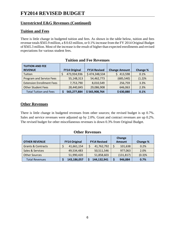### **Unrestricted E&G Revenues (Continued)**

### **Tuition and Fees**

There is little change in budgeted tuition and fees. As shown in the table below, tuition and fees revenue totals \$565.9 million, a \$ 0.63 million, or 0.1% increase from the FY 2014 Original Budget of \$565.3 million. Most of the increase is the result of higher than expected enrollments and revised expectations for various student fees.

| <b>TUITION AND FEE</b><br><b>REVENUE</b> | <b>FY14 Original</b> | <b>FY14 Revised</b><br><b>Change Amount</b> |            | Change % |
|------------------------------------------|----------------------|---------------------------------------------|------------|----------|
| Tuition                                  | 473,934,936          | \$474,348,534                               | 413,598    | 0.1%     |
| Program and Service Fees                 | 55,148,313           | 54,462,773                                  | (685, 540) | (1.2)%   |
| <b>Extension Enrollment Fees</b>         | 7,753,790            | 8,010,549                                   | 256,759    | 3.3%     |
| <b>Other Student Fees</b>                | 28,440,845           | 29,086,908                                  | 646,063    | 2.3%     |
| <b>Total Tuition and Fees</b>            | 565,277,884          | \$565,908,764                               | \$630,880  | 0.1%     |

|  |  |  |  |  | <b>Tuition and Fee Revenues</b> |
|--|--|--|--|--|---------------------------------|
|--|--|--|--|--|---------------------------------|

### **Other Revenues**

There is little change in budgeted revenues from other sources; the revised budget is up 0.7%. Sales and service revenues were adjusted up by 2.0%. Grant and contract revenues are up 0.2%. The revised budget for other miscellaneous revenues is down 0.3% from Original Budget.

### **Other Revenues**

| <b>OTHER REVENUE</b>          | <b>FY14 Original</b> |             |  | <b>FY14 Revised</b> | Change<br><b>Amount</b> | Change % |  |  |
|-------------------------------|----------------------|-------------|--|---------------------|-------------------------|----------|--|--|
| <b>Grants &amp; Contracts</b> |                      | 41,661,154  |  | 41,762,792          | 101,638                 | 0.2%     |  |  |
| Sales & Services              |                      | 49,534,483  |  | 50,511,546          | 977,063                 | 2.0%     |  |  |
| <b>Other Sources</b>          |                      | 51,990,420  |  | 51,858,603          | (131, 817)              | (0.3)%   |  |  |
| <b>Total Revenues</b>         |                      | 143,186,057 |  | 144,132,941         | 946,884                 | 0.7%     |  |  |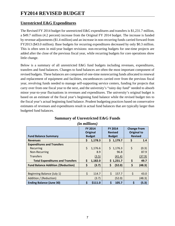### **Unrestricted E&G Expenditures**

The Revised FY 2014 budget for unrestricted E&G expenditures and transfers is \$1,231.7 million, a \$49.7 million (4.2 percent) increase from the Original FY 2014 budget. The increase is funded by revenue adjustments (\$1.4 million) and an increase in non-recurring funds carried forward from FY2013 (\$43.0 million). Base budgets for recurring expenditures decreased by only \$0.3 million. This is often seen in mid-year budget revisions: non-recurring budgets for one-time projects are added after the close of the previous fiscal year, while recurring budgets for core operations show little change.

Below is a summary of all unrestricted E&G fund budgets including revenues, expenditures, transfers and fund balances. Changes to fund balances are often the most important component of revised budgets. These balances are composed of one-time nonrecurring funds allocated to renewal and replacement of equipment and facilities, encumbrances carried over from the previous fiscal year, revolving funds needed to manage self-supporting service centers, funding for projects that carry over from one fiscal year to the next, and the university's "rainy day fund" needed to absorb minor year-to-year fluctuations in revenues and expenditures. The university's original budget is based on an estimate of the fiscal year's beginning fund balance while the revised budget ties to the fiscal year's actual beginning fund balance. Prudent budgeting practices based on conservative estimates of revenues and expenditures result in actual fund balances that are typically larger than budgeted fund balances.

| <b>Fund Balance Summary</b>               | <b>FY 2014</b><br><b>Original</b><br><b>Budget</b> |         | <b>FY 2014</b><br><b>Revised</b><br><b>Budget</b> | <b>Change From</b><br><b>Original to</b><br><b>Revised</b> |        |  |
|-------------------------------------------|----------------------------------------------------|---------|---------------------------------------------------|------------------------------------------------------------|--------|--|
| <b>Revenues</b>                           | \$                                                 | 1,178.3 | \$1,179.7                                         | \$                                                         | 1.4    |  |
| <b>Expenditures and Transfers</b>         |                                                    |         |                                                   |                                                            |        |  |
| Recurring                                 | Ś.                                                 | 1,176.6 | \$.<br>1,176.3                                    | \$                                                         | (0.3)  |  |
| Non-Recurring                             |                                                    | 8.9     | 96.8                                              |                                                            | 87.9   |  |
| <b>Transfers</b>                          |                                                    | (3.5)   | (41.4)                                            |                                                            | (37.9) |  |
| <b>Total Expenditures and Transfers</b>   | \$                                                 | 1,182.0 | \$1,231.7                                         | \$                                                         | 49.7   |  |
| <b>Fund Balance Addition /(Reduction)</b> | \$                                                 | (3.7)   | \$<br>(52.0)                                      | \$                                                         | (48.3) |  |
|                                           |                                                    |         |                                                   |                                                            |        |  |
| Beginning Balance (July 1)                | \$                                                 | 114.7   | \$<br>157.7                                       | \$                                                         | 43.0   |  |
| Addition / (Reduction)                    |                                                    | (3.7)   | (52.0)                                            |                                                            | (48.3) |  |
| <b>Ending Balance (June 30)</b>           | \$                                                 | \$111.0 | \$<br>105.7                                       | \$                                                         | (5.3)  |  |

### **Summary of Unrestricted E&G Funds**  *(in millions)*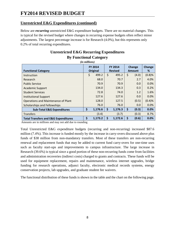### **Unrestricted E&G Expenditures (continued)**

Below are *recurring* unrestricted E&G expenditure budgets. There are no material changes. This is typical for the revised budget where changes in recurring expense budgets often reflect minor adjustments. The largest percentage increase is for Research (4.0%), but this represents only 0.2% of total recurring expenditures.

| ั<br>( <i>in millions</i> )                     |                            |         |    |                                  |    |                         |                    |  |  |  |
|-------------------------------------------------|----------------------------|---------|----|----------------------------------|----|-------------------------|--------------------|--|--|--|
| <b>Functional Category</b>                      | <b>FY 2014</b><br>Original |         |    | <b>FY 2014</b><br><b>Revised</b> |    | Change<br><b>Amount</b> | <b>Change</b><br>% |  |  |  |
| Instruction                                     | \$                         | 499.2   | \$ | 495.2                            | \$ | (4.0)                   | (0.8)%             |  |  |  |
| Research                                        |                            | 68.0    |    | 70.7                             |    | 2.7                     | 4.0%               |  |  |  |
| <b>Public Service</b>                           |                            | 70.9    |    | 70.9                             |    | 0.0                     | 0.0%               |  |  |  |
| <b>Academic Support</b>                         |                            | 134.0   |    | 134.3                            |    | 0.3                     | 0.2%               |  |  |  |
| <b>Student Services</b>                         |                            | 72.8    |    | 74.0                             |    | 1.2                     | 1.6%               |  |  |  |
| <b>Institutional Support</b>                    |                            | 127.6   |    | 127.6                            |    | 0.0                     | 0.0%               |  |  |  |
| <b>Operations and Maintenance of Plant</b>      |                            | 128.0   |    | 127.5                            |    | (0.5)                   | (0.4)%             |  |  |  |
| Scholarships and Fellowships                    |                            | 76.0    |    | 76.0                             |    | 0.0                     | 0.0%               |  |  |  |
| <b>Sub-Total E&amp;G Expenditures</b>           | \$                         | 1,176.6 | \$ | 1,176.3                          | \$ | (0.3)                   | 0.0%               |  |  |  |
| <b>Transfers</b>                                |                            | (3.4)   |    | (3.7)                            |    | (0.3)                   | 8.7%               |  |  |  |
| <b>Total Transfers and E&amp;G Expenditures</b> | \$                         | 1,173.2 | \$ | 1,172.6                          | \$ | (0.6)                   | 0.0%               |  |  |  |

### **Unrestricted E&G Recurring Expenditures By Functional Category**

Amounts are in millions and may not add due to rounding

Total Unrestricted E&G expenditure budgets (recurring and non-recurring) increased \$87.6 million (7.4%). This increase is funded mostly by the increase in carry-overs discussed above plus funds of \$38 million from non-mandatory transfers. Most of these transfers are non-recurring renewal and replacement funds that may be added to current fund carry-overs for one-time uses such as faculty start-ups and improvements to campus infrastructure. The large increase in Research (39.6%) is typical since a good portion of these non-recurring funds come from facilities and administration recoveries (indirect costs) charged to grants and contracts. These funds will be used for equipment replacement, repairs and maintenance, wireless internet upgrades, bridge funding for research operations, adjunct faculty, electronic medical records systems, energy conservation projects, lab upgrades, and graduate student fee waivers.

The functional distribution of these funds is shown in the table and the chart on the following page.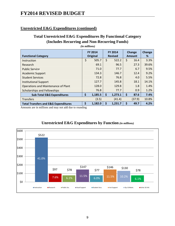### **Unrestricted E&G Expenditures (continued)**

### **Total Unrestricted E&G Expenditures By Functional Category (Includes Recurring and Non-Recurring Funds)**

| <b>Functional Category</b>                      | <b>FY 2014</b><br>Original | <b>FY 2014</b><br><b>Revised</b> | Change<br>Amount | <b>Change</b><br>% |
|-------------------------------------------------|----------------------------|----------------------------------|------------------|--------------------|
| Instruction                                     | \$<br>505.7                | \$<br>522.2                      | \$<br>16.4       | 3.3%               |
| Research                                        | 69.1                       | 96.5                             | 27.3             | 39.6%              |
| <b>Public Service</b>                           | 71.0                       | 77.7                             | 6.7              | 9.5%               |
| <b>Academic Support</b>                         | 134.3                      | 146.7                            | 12.4             | 9.2%               |
| <b>Student Services</b>                         | 72.8                       | 76.8                             | 4.0              | 5.5%               |
| <b>Institutional Support</b>                    | 127.7                      | 145.8                            | 18.1             | 14.1%              |
| <b>Operations and Maintenance of Plant</b>      | 128.0                      | 129.8                            | 1.8              | 1.4%               |
| Scholarships and Fellowships                    | 76.8                       | 77.7                             | 0.9              | 1.2%               |
| <b>Sub-Total E&amp;G Expenditures</b>           | \$<br>1,185.5              | \$<br>1,273.1                    | \$<br>87.6       | 7.4%               |
| <b>Transfers</b>                                | (3.5)                      | (41.4)                           | (37.9)           | 10.8%              |
| <b>Total Transfers and E&amp;G Expenditures</b> | \$<br>1,182.0              | \$<br>1,231.7                    | \$<br>49.7       | 4.2%               |

 *(in millions)*

Amounts are in millions and may not add due to rounding



### **Unrestricted E&G Expenditures by Function** *(in millions)*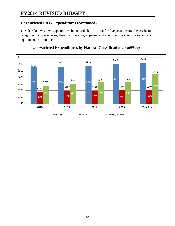### **Unrestricted E&G Expenditures (continued)**

The chart below shows expenditures by natural classification for five years. Natural classification categories include salaries, benefits, operating expense, and equipment. Operating expense and equipment are combined.



### **Unrestricted Expenditures by Natural Classification** *(in millions)*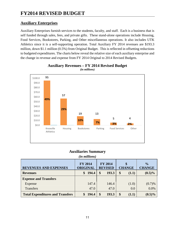### **Auxiliary Enterprises**

Auxiliary Enterprises furnish services to the students, faculty, and staff. Each is a business that is self funded through sales, fees, and private gifts. These stand-alone operations include Housing, Food Services, Bookstores, Parking, and Other miscellaneous operations. It also includes UTK Athletics since it is a self-supporting operation. Total Auxiliary FY 2014 revenues are \$193.3 million, down \$1.1 million (0.5%) from Original Budget. This is reflected in offsetting reductions to budgeted expenditures. The charts below reveal the relative size of each auxiliary enterprise and the change in revenue and expense from FY 2014 Original to 2014 Revised Budgets.



#### **Auxiliary Revenues – FY 2014 Revised Budget**  *(in millions)*

### **Auxiliaries Summary**

| <i>(in millions)</i>                                                                                                                                     |             |             |             |           |  |  |  |  |  |  |  |  |  |  |
|----------------------------------------------------------------------------------------------------------------------------------------------------------|-------------|-------------|-------------|-----------|--|--|--|--|--|--|--|--|--|--|
| <b>FY 2014</b><br><b>FY 2014</b><br>$\frac{1}{2}$<br><b>ORIGINAL</b><br><b>REVISED</b><br><b>CHANGE</b><br><b>CHANGE</b><br><b>REVENUES AND EXPENSES</b> |             |             |             |           |  |  |  |  |  |  |  |  |  |  |
| <b>Revenues</b>                                                                                                                                          | 194.4<br>\$ | 193.3<br>\$ | \$<br>(1.1) | $(0.5)\%$ |  |  |  |  |  |  |  |  |  |  |
| <b>Expense and Transfers</b>                                                                                                                             |             |             |             |           |  |  |  |  |  |  |  |  |  |  |
| Expense                                                                                                                                                  | 147.4       | 146.4       | (1.0)       | (0.7)%    |  |  |  |  |  |  |  |  |  |  |
| <b>Transfers</b>                                                                                                                                         | 47.0        | 47.0        | 0.0         | 0.0%      |  |  |  |  |  |  |  |  |  |  |
| <b>Total Expenditures and Transfers</b>                                                                                                                  | 194.4       | 193.3<br>\$ | \$<br>(1.1) | $(0.5)\%$ |  |  |  |  |  |  |  |  |  |  |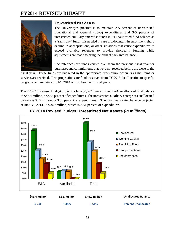

### **Unrestricted Net Assets**

The University's practice is to maintain 2-5 percent of unrestricted Educational and General (E&G) expenditures and 3-5 percent of unrestricted auxiliary enterprise funds in its unallocated fund balance as a "rainy day" fund. It is needed in case of a downturn in enrollment, sharp decline in appropriations, or other situations that cause expenditures to exceed available revenues to provide short-term funding while adjustments are made to bring the budget back into balance.

Encumbrances are funds carried over from the previous fiscal year for purchases and commitments that were not received before the close of the

fiscal year. These funds are budgeted in the appropriate expenditure accounts as the items or services are received. Reappropriations are funds reserved from FY 2013 for allocation to specific programs and initiatives in FY 2014 or in subsequent fiscal years.

The FY 2014 Revised Budget projects a June 30, 2014 unrestricted E&G unallocated fund balance of \$43.4 million, or 3.53 percent of expenditures. The unrestricted auxiliary enterprises unallocated balance is \$6.5 million, or 3.38 percent of expenditures. The total unallocated balance projected at June 30, 2014, is \$49.9 million, which is 3.51 percent of expenditures.



### **FY 2014 Revised Budget Unrestricted Net Assets** *(in millions)*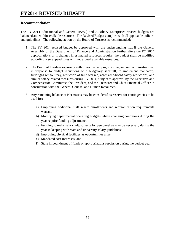### **Recommendation**

The FY 2014 Educational and General (E&G) and Auxiliary Enterprises revised budgets are balanced and within available resources. The Revised Budget complies with all applicable policies and guidelines. The following action by the Board of Trustees is recommended:

- 1. The FY 2014 revised budget be approved with the understanding that if the General Assembly or the Department of Finance and Administration further alters the FY 2014 appropriations or if changes in estimated resources require, the budget shall be modified accordingly so expenditures will not exceed available resources.
- 2. The Board of Trustees expressly authorizes the campus, institute, and unit administrations, in response to budget reductions or a budgetary shortfall, to implement mandatory furloughs without pay, reduction of time worked, across-the-board salary reductions, and similar salary-related measures during FY 2014, subject to approval by the Executive and Compensation Committee, the President, and the Treasurer and Chief Financial Officer in consultation with the General Counsel and Human Resources.
- 3. Any remaining balance of Net Assets may be considered as reserve for contingencies to be used for:
	- a) Employing additional staff where enrollments and reorganization requirements warrant;
	- b) Modifying departmental operating budgets where changing conditions during the year require funding adjustments;
	- c) Funding to make salary adjustments for personnel as may be necessary during the year in keeping with state and university salary guidelines;
	- d) Improving physical facilities as opportunities arise;
	- e) Mandated cost increases; and
	- f) State impoundment of funds or appropriations rescission during the budget year.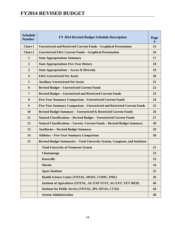| <b>Schedule</b><br><b>Number</b> | FY 2014 Revised Budget Schedule Description                                      | Page<br># |
|----------------------------------|----------------------------------------------------------------------------------|-----------|
| Chart 1                          | <b>Unrestricted and Restricted Current Funds - Graphical Presentation</b>        | 15        |
| Chart 2                          | <b>Unrestricted E&amp;G Current Funds - Graphical Presentation</b>               | 16        |
| $\mathbf{1}$                     | <b>State Appropriations Summary</b>                                              | 17        |
| $\boldsymbol{2}$                 | <b>State Appropriations Five-Year History</b>                                    | 18        |
| 3                                | <b>State Appropriations - Access &amp; Diversity</b>                             | 19        |
| $\overline{\mathbf{4}}$          | <b>E&amp;G Unrestricted Net Assets</b>                                           | 20        |
| 5                                | <b>Auxiliary Unrestricted Net Assets</b>                                         | 21        |
| 6                                | <b>Revised Budget - Unrestricted Current Funds</b>                               | 22        |
| $\overline{7}$                   | <b>Revised Budget - Unrestricted and Restricted Current Funds</b>                | 23        |
| 8                                | Five-Year Summary Comparison - Unrestricted Current Funds                        | 24        |
| $\boldsymbol{9}$                 | Five-Year Summary Comparison - Unrestricted and Restricted Current Funds         | 25        |
| 10                               | <b>Revised Budget Summary - Unrestricted &amp; Restricted Current Funds</b>      | 26        |
| 11                               | <b>Natural Classifications - Revised Budget - Unrestricted Current Funds</b>     | 27        |
| 12                               | <b>Natural Classifications – Unrestr. Current Funds – Revised Budget Summary</b> | 28        |
| 13                               | <b>Auxiliaries - Revised Budget Summary</b>                                      | 29        |
| 14                               | <b>Athletics - Five-Year Summary Comparison</b>                                  | 30        |
| 15                               | Revised Budget Summaries - Total University System, Campuses, and Institutes     |           |
|                                  | <b>Total University of Tennessee System</b>                                      | 31        |
|                                  | Chattanooga                                                                      | 32        |
|                                  | <b>Knoxville</b>                                                                 | 33        |
|                                  | <b>Martin</b>                                                                    | 34        |
|                                  | <b>Space Institute</b>                                                           | 35        |
|                                  | Health Science Center (TOTAL, MOSU, COMU, FMU)                                   | 36        |
|                                  | Institute of Agriculture (TOTAL, AG EXP STAT, AG EXT, VET MED)                   | 40        |
|                                  | <b>Institute for Public Service (TOTAL, IPS, MTAS, CTAS)</b>                     | 44        |
|                                  | <b>System Administration</b>                                                     | 48        |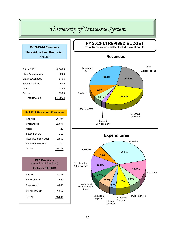| FY 2013-14 Revenues                   |           |  |  |  |  |  |  |  |  |  |  |
|---------------------------------------|-----------|--|--|--|--|--|--|--|--|--|--|
| <b>Unrestricted and Restricted</b>    |           |  |  |  |  |  |  |  |  |  |  |
| (In Millions)                         |           |  |  |  |  |  |  |  |  |  |  |
|                                       |           |  |  |  |  |  |  |  |  |  |  |
| <b>Tuition &amp; Fees</b>             | \$565.9   |  |  |  |  |  |  |  |  |  |  |
| <b>State Appropriations</b>           | 490.6     |  |  |  |  |  |  |  |  |  |  |
| <b>Grants &amp; Contracts</b>         | 575.6     |  |  |  |  |  |  |  |  |  |  |
| Sales & Services                      | 50.5      |  |  |  |  |  |  |  |  |  |  |
| Other                                 | 118.9     |  |  |  |  |  |  |  |  |  |  |
| Auxiliaries                           | 193.9     |  |  |  |  |  |  |  |  |  |  |
| <b>Total Revenue</b>                  | \$1,995.4 |  |  |  |  |  |  |  |  |  |  |
|                                       |           |  |  |  |  |  |  |  |  |  |  |
|                                       |           |  |  |  |  |  |  |  |  |  |  |
| <b>Fall 2013 Headcount Enrollment</b> |           |  |  |  |  |  |  |  |  |  |  |
| Knoxville                             | 26,707    |  |  |  |  |  |  |  |  |  |  |
| Chattanooga                           | 11,674    |  |  |  |  |  |  |  |  |  |  |
| Martin                                | 7,423     |  |  |  |  |  |  |  |  |  |  |
| Space Institute                       | 112       |  |  |  |  |  |  |  |  |  |  |
| <b>Health Science Center</b>          | 2,859     |  |  |  |  |  |  |  |  |  |  |
| Veterinary Medicine                   | 352       |  |  |  |  |  |  |  |  |  |  |
| <b>TOTAL</b>                          | 49,127    |  |  |  |  |  |  |  |  |  |  |
|                                       |           |  |  |  |  |  |  |  |  |  |  |

| <b>FTE Positions</b><br>(Unrestricted & Restricted) |       |
|-----------------------------------------------------|-------|
| <b>October 31, 2013</b>                             |       |
| Faculty                                             | 4,137 |
| Administrative                                      | 830   |
| Professional                                        | 4.050 |
| Cler/Tech/Maint                                     | 6.052 |
| TOTAI                                               | 15.06 |

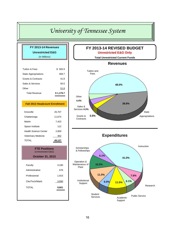| FY 2013-14 Revenues                        |            |
|--------------------------------------------|------------|
| <b>Unrestricted E&amp;G</b>                |            |
| (In Millions)                              |            |
|                                            |            |
| <b>Tuition &amp; Fees</b>                  | \$565.9    |
| <b>State Appropriations</b>                | 469.7      |
| <b>Grants &amp; Contracts</b>              | 41.8       |
| Sales & Services                           | 50.5       |
| Other                                      | 51.8       |
| <b>Total Revenue</b>                       | \$1,179.7  |
|                                            |            |
| <b>Fall 2013 Headcount Enrollment</b>      |            |
| Knoxville                                  | 26,707     |
| Chattanooga                                | 11,674     |
| Martin                                     | 7,423      |
| Space Institute                            | 112        |
| <b>Health Science Center</b>               | 2,859      |
| Veterinary Medicine                        | <u>352</u> |
| <b>TOTAL</b>                               | 49,127     |
| <b>FTE Positions</b><br>(Unrestricted E&G) |            |
| <b>October 31, 2013</b>                    |            |
| Faculty                                    | 3,180      |
| Administrative                             | 676        |
| Professional                               | 1,915      |
|                                            |            |
| Cler/Tech/Maint                            | 3,890      |
|                                            |            |

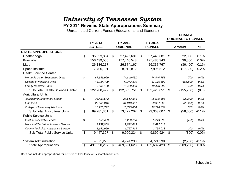## **FY 2014 Revised State Appropriations Summary**

Unrestricted Current Funds (Educational and General)

| FY 2013<br>FY 2014<br>FY 2014<br><b>ACTUAL</b><br><b>ORIGINAL</b><br><b>REVISED</b><br>%<br>Amount<br>\$<br>35,523,864<br>\$<br>37,427,681<br>\$<br>37,449,681<br>\$<br>22,000<br>0.1%<br>Chattanooga<br>Knoxville<br>156,439,550<br>177,446,543<br>177,486,343<br>39,800<br>0.0%<br>Martin<br>26,186,217<br>26,374,167<br>26,337,767<br>$-0.1%$<br>(36, 400)<br>Space Institute<br>7,700,101<br>8,012,812<br>7,995,512<br>(17,300)<br>$-0.2%$<br><b>Health Science Center</b><br><b>Memphis Other Specialized Units</b><br>\$<br>0.0%<br>67,383,999<br>74,840,051<br>74,840,751<br>700<br><b>College of Medicine Units</b><br>47,273,300<br>$-0.3%$<br>44,934,400<br>47,116,500<br>(156, 800)<br><b>Family Medicine Units</b><br>9,882,100<br>10,470,400<br>10,470,800<br>400<br>0.0%<br>\$<br>\$<br>\$<br>\$<br>(155,700)<br>(0.0)<br><b>Sub-Total Health Science Center</b><br>122,200,499<br>132,583,751<br>132,428,051<br><b>Agricultural Units</b><br>\$<br><b>Agricultural Experiment Station</b><br>24,480,573<br>25,612,386<br>25,579,486<br>(32,900)<br>$-0.1%$<br>$-0.1%$<br>Extension<br>29,580,016<br>31,013,967<br>30,987,767<br>(26, 200)<br>College of Veterinary Medicine<br>16,795,854<br>16,796,354<br>0.0%<br>15,720,772<br>500<br>$\mathfrak{L}$<br>Sub-Total Agricultural Units<br>\$<br>\$<br>\$<br>(58,600)<br>$-0.1%$<br>69,781,361<br>73,422,207<br>73,363,607<br><b>Public Service Units</b><br>\$<br><b>Institute for Public Service</b><br>5,058,459<br>5,250,298<br>0.0%<br>5,249,898<br>(400)<br><b>Municipal Technical Advisory Service</b><br>2,737,969<br>2,892,013<br>2,892,013<br><b>County Technical Assistance Service</b><br>0.0%<br>1,650,969<br>1,757,913<br>1,758,013<br>100<br>$\mathbb{S}$<br>\$<br>\$<br>$\mathfrak{L}$<br>0.0%<br><b>Sub-Total Public Service Units</b><br>9,447,397<br>9,900,224<br>9,899,924<br>(300)<br><b>System Administration</b><br>4,571,278<br>4,724,238<br>4,721,538<br>(2,700)<br>$-0.1%$<br>431,850,267<br>\$<br>\$<br>469,682,423<br>\$<br>0.0%<br><b>State Appropriations</b><br>469,891,623<br>(209,200) |                             |  |  |  | <b>ORIGINAL TO REVISED</b> |  |
|---------------------------------------------------------------------------------------------------------------------------------------------------------------------------------------------------------------------------------------------------------------------------------------------------------------------------------------------------------------------------------------------------------------------------------------------------------------------------------------------------------------------------------------------------------------------------------------------------------------------------------------------------------------------------------------------------------------------------------------------------------------------------------------------------------------------------------------------------------------------------------------------------------------------------------------------------------------------------------------------------------------------------------------------------------------------------------------------------------------------------------------------------------------------------------------------------------------------------------------------------------------------------------------------------------------------------------------------------------------------------------------------------------------------------------------------------------------------------------------------------------------------------------------------------------------------------------------------------------------------------------------------------------------------------------------------------------------------------------------------------------------------------------------------------------------------------------------------------------------------------------------------------------------------------------------------------------------------------------------------------------------------------------------------------------------------------------------|-----------------------------|--|--|--|----------------------------|--|
|                                                                                                                                                                                                                                                                                                                                                                                                                                                                                                                                                                                                                                                                                                                                                                                                                                                                                                                                                                                                                                                                                                                                                                                                                                                                                                                                                                                                                                                                                                                                                                                                                                                                                                                                                                                                                                                                                                                                                                                                                                                                                       |                             |  |  |  |                            |  |
|                                                                                                                                                                                                                                                                                                                                                                                                                                                                                                                                                                                                                                                                                                                                                                                                                                                                                                                                                                                                                                                                                                                                                                                                                                                                                                                                                                                                                                                                                                                                                                                                                                                                                                                                                                                                                                                                                                                                                                                                                                                                                       | <b>STATE APPROPRIATIONS</b> |  |  |  |                            |  |
|                                                                                                                                                                                                                                                                                                                                                                                                                                                                                                                                                                                                                                                                                                                                                                                                                                                                                                                                                                                                                                                                                                                                                                                                                                                                                                                                                                                                                                                                                                                                                                                                                                                                                                                                                                                                                                                                                                                                                                                                                                                                                       |                             |  |  |  |                            |  |
|                                                                                                                                                                                                                                                                                                                                                                                                                                                                                                                                                                                                                                                                                                                                                                                                                                                                                                                                                                                                                                                                                                                                                                                                                                                                                                                                                                                                                                                                                                                                                                                                                                                                                                                                                                                                                                                                                                                                                                                                                                                                                       |                             |  |  |  |                            |  |
|                                                                                                                                                                                                                                                                                                                                                                                                                                                                                                                                                                                                                                                                                                                                                                                                                                                                                                                                                                                                                                                                                                                                                                                                                                                                                                                                                                                                                                                                                                                                                                                                                                                                                                                                                                                                                                                                                                                                                                                                                                                                                       |                             |  |  |  |                            |  |
|                                                                                                                                                                                                                                                                                                                                                                                                                                                                                                                                                                                                                                                                                                                                                                                                                                                                                                                                                                                                                                                                                                                                                                                                                                                                                                                                                                                                                                                                                                                                                                                                                                                                                                                                                                                                                                                                                                                                                                                                                                                                                       |                             |  |  |  |                            |  |
|                                                                                                                                                                                                                                                                                                                                                                                                                                                                                                                                                                                                                                                                                                                                                                                                                                                                                                                                                                                                                                                                                                                                                                                                                                                                                                                                                                                                                                                                                                                                                                                                                                                                                                                                                                                                                                                                                                                                                                                                                                                                                       |                             |  |  |  |                            |  |
|                                                                                                                                                                                                                                                                                                                                                                                                                                                                                                                                                                                                                                                                                                                                                                                                                                                                                                                                                                                                                                                                                                                                                                                                                                                                                                                                                                                                                                                                                                                                                                                                                                                                                                                                                                                                                                                                                                                                                                                                                                                                                       |                             |  |  |  |                            |  |
|                                                                                                                                                                                                                                                                                                                                                                                                                                                                                                                                                                                                                                                                                                                                                                                                                                                                                                                                                                                                                                                                                                                                                                                                                                                                                                                                                                                                                                                                                                                                                                                                                                                                                                                                                                                                                                                                                                                                                                                                                                                                                       |                             |  |  |  |                            |  |
|                                                                                                                                                                                                                                                                                                                                                                                                                                                                                                                                                                                                                                                                                                                                                                                                                                                                                                                                                                                                                                                                                                                                                                                                                                                                                                                                                                                                                                                                                                                                                                                                                                                                                                                                                                                                                                                                                                                                                                                                                                                                                       |                             |  |  |  |                            |  |
|                                                                                                                                                                                                                                                                                                                                                                                                                                                                                                                                                                                                                                                                                                                                                                                                                                                                                                                                                                                                                                                                                                                                                                                                                                                                                                                                                                                                                                                                                                                                                                                                                                                                                                                                                                                                                                                                                                                                                                                                                                                                                       |                             |  |  |  |                            |  |
|                                                                                                                                                                                                                                                                                                                                                                                                                                                                                                                                                                                                                                                                                                                                                                                                                                                                                                                                                                                                                                                                                                                                                                                                                                                                                                                                                                                                                                                                                                                                                                                                                                                                                                                                                                                                                                                                                                                                                                                                                                                                                       |                             |  |  |  |                            |  |
|                                                                                                                                                                                                                                                                                                                                                                                                                                                                                                                                                                                                                                                                                                                                                                                                                                                                                                                                                                                                                                                                                                                                                                                                                                                                                                                                                                                                                                                                                                                                                                                                                                                                                                                                                                                                                                                                                                                                                                                                                                                                                       |                             |  |  |  |                            |  |
|                                                                                                                                                                                                                                                                                                                                                                                                                                                                                                                                                                                                                                                                                                                                                                                                                                                                                                                                                                                                                                                                                                                                                                                                                                                                                                                                                                                                                                                                                                                                                                                                                                                                                                                                                                                                                                                                                                                                                                                                                                                                                       |                             |  |  |  |                            |  |
|                                                                                                                                                                                                                                                                                                                                                                                                                                                                                                                                                                                                                                                                                                                                                                                                                                                                                                                                                                                                                                                                                                                                                                                                                                                                                                                                                                                                                                                                                                                                                                                                                                                                                                                                                                                                                                                                                                                                                                                                                                                                                       |                             |  |  |  |                            |  |
|                                                                                                                                                                                                                                                                                                                                                                                                                                                                                                                                                                                                                                                                                                                                                                                                                                                                                                                                                                                                                                                                                                                                                                                                                                                                                                                                                                                                                                                                                                                                                                                                                                                                                                                                                                                                                                                                                                                                                                                                                                                                                       |                             |  |  |  |                            |  |
|                                                                                                                                                                                                                                                                                                                                                                                                                                                                                                                                                                                                                                                                                                                                                                                                                                                                                                                                                                                                                                                                                                                                                                                                                                                                                                                                                                                                                                                                                                                                                                                                                                                                                                                                                                                                                                                                                                                                                                                                                                                                                       |                             |  |  |  |                            |  |
|                                                                                                                                                                                                                                                                                                                                                                                                                                                                                                                                                                                                                                                                                                                                                                                                                                                                                                                                                                                                                                                                                                                                                                                                                                                                                                                                                                                                                                                                                                                                                                                                                                                                                                                                                                                                                                                                                                                                                                                                                                                                                       |                             |  |  |  |                            |  |
|                                                                                                                                                                                                                                                                                                                                                                                                                                                                                                                                                                                                                                                                                                                                                                                                                                                                                                                                                                                                                                                                                                                                                                                                                                                                                                                                                                                                                                                                                                                                                                                                                                                                                                                                                                                                                                                                                                                                                                                                                                                                                       |                             |  |  |  |                            |  |
|                                                                                                                                                                                                                                                                                                                                                                                                                                                                                                                                                                                                                                                                                                                                                                                                                                                                                                                                                                                                                                                                                                                                                                                                                                                                                                                                                                                                                                                                                                                                                                                                                                                                                                                                                                                                                                                                                                                                                                                                                                                                                       |                             |  |  |  |                            |  |
|                                                                                                                                                                                                                                                                                                                                                                                                                                                                                                                                                                                                                                                                                                                                                                                                                                                                                                                                                                                                                                                                                                                                                                                                                                                                                                                                                                                                                                                                                                                                                                                                                                                                                                                                                                                                                                                                                                                                                                                                                                                                                       |                             |  |  |  |                            |  |
|                                                                                                                                                                                                                                                                                                                                                                                                                                                                                                                                                                                                                                                                                                                                                                                                                                                                                                                                                                                                                                                                                                                                                                                                                                                                                                                                                                                                                                                                                                                                                                                                                                                                                                                                                                                                                                                                                                                                                                                                                                                                                       |                             |  |  |  |                            |  |
|                                                                                                                                                                                                                                                                                                                                                                                                                                                                                                                                                                                                                                                                                                                                                                                                                                                                                                                                                                                                                                                                                                                                                                                                                                                                                                                                                                                                                                                                                                                                                                                                                                                                                                                                                                                                                                                                                                                                                                                                                                                                                       |                             |  |  |  |                            |  |

Does not include appropriations for Centers of Excellence or Research Initiatives.

**CHANGE**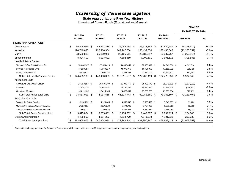#### **State Appropriations Five Year History**

Unrestricted Current Funds (Educational and General)

|                                             |                          |      |                          |    |                          |      |                          |      |                           |      | FY 2010 TO FY 2014 |          |
|---------------------------------------------|--------------------------|------|--------------------------|----|--------------------------|------|--------------------------|------|---------------------------|------|--------------------|----------|
|                                             | FY 2010<br><b>ACTUAL</b> |      | FY 2011<br><b>ACTUAL</b> |    | FY 2012<br><b>ACTUAL</b> |      | FY 2013<br><b>ACTUAL</b> |      | FY 2014<br><b>REVISED</b> |      | <b>AMOUNT</b>      | $\%$     |
| <b>STATE APPROPRIATIONS</b>                 |                          |      |                          |    |                          |      |                          |      |                           |      |                    |          |
| Chattanooga                                 | \$<br>45,848,095         | - \$ | 48,591,279 \$            |    | 35,088,738 \$            |      | 35,523,864 \$            |      | 37,449,681 \$             |      | (8,398,414)        | $-18.3%$ |
| Knoxville                                   | 190,749,695              |      | 226,416,954              |    | 147,947,704              |      | 156,439,550              |      | 177,486,343               |      | (13,263,352)       | $-7.0%$  |
| Martin                                      | 33,629,883               |      | 35,319,979               |    | 25,195,511               |      | 26,186,217               |      | 26,337,767                |      | (7, 292, 116)      | $-21.7%$ |
| Space Institute                             | 8,304,400                |      | 9,013,601                |    | 7,392,569                |      | 7,700,101                |      | 7,995,512                 |      | (308, 888)         | $-3.7%$  |
| <b>Health Science Center</b>                |                          |      |                          |    |                          |      |                          |      |                           |      |                    |          |
| <b>Memphis Other Specialized Units</b>      | \$<br>70,224,887 \$      |      | 77,546,026 \$            |    | 64,831,856 \$            |      | 67,383,999 \$            |      | 74,840,751 \$             |      | 4,615,864          | 6.6%     |
| College of Medicine Units                   | 46,280,784               |      | 51,848,114               |    | 44,093,363               |      | 44,934,400               |      | 47,116,500                |      | 835,716            | 1.8%     |
| <b>Family Medicine Units</b>                | 9,929,437                |      | 11,096,225               |    | 9,386,338                |      | 9,882,100                |      | 10,470,800                |      | 541,363            | 5.5%     |
| Sub-Total Health Science Center             | \$<br>126,435,108        | - \$ | 140,490,365              | \$ | 118,311,557              | -S   | 122,200,499              | \$.  | 132,428,051               | - \$ | 5,992,943          | 4.7%     |
| <b>Agricultural Units</b>                   |                          |      |                          |    |                          |      |                          |      |                           |      |                    |          |
| <b>Agricultural Experiment Station</b>      | \$<br>26,753,807 \$      |      | 25,635,108 \$            |    | 23,333,760 \$            |      | 24,480,573 \$            |      | 25,579,486 \$             |      | (1, 174, 321)      | $-4.4%$  |
| Extension                                   | 31,614,019               |      | 31,082,557               |    | 28,160,380               |      | 29,580,016               |      | 30,987,767                |      | (626, 252)         | $-2.0%$  |
| <b>Veterinary Medicine</b>                  | 16,219,185               |      | 17,416,903               |    | 14,823,603               |      | 15,720,772               |      | 16,796,354                |      | 577,169            | 3.6%     |
| Sub-Total Agricultural Units                | \$<br>74,587,011         | \$   | 74,134,568               | \$ | 66,317,743               | \$   | 69,781,361               | \$   | 73,363,607 \$             |      | (1,223,404)        | $-1.6%$  |
| <b>Public Service Units</b>                 |                          |      |                          |    |                          |      |                          |      |                           |      |                    |          |
| Institute for Public Service                | \$<br>5, 150, 772 \$     |      | 4,920,285 \$             |    | 4,368,582 \$             |      | 5,058,459 \$             |      | 5,249,898 \$              |      | 99,126             | 1.9%     |
| <b>Municipal Technical Advisory Service</b> | 2,796,101                |      | 2,925,338                |    | 2,571,285                |      | 2,737,969                |      | 2,892,013                 |      | 95,912             | 3.4%     |
| <b>County Technical Assistance Service</b>  | 1,669,011                |      | 1,708,028                |    | 1,534,985                |      | 1,650,969                |      | 1,758,013                 |      | 89,002             | 5.3%     |
| <b>Sub-Total Public Service Units</b>       | \$<br>9,615,884          | \$   | 9,553,651                | \$ | 8,474,852                | - \$ | 9,447,397                | - \$ | 9,899,924 \$              |      | 284,040            | 3.0%     |
| <b>System Administration</b>                | 4,485,900                |      | 4,384,283                |    | 4,614,770                |      | 4,571,278                |      | 4,721,538                 |      | 235,638            | 5.3%     |
| <b>Total State Appropriations</b>           | 493,655,976              | S    | 547,904,680              | S  | 413,343,444              | S    | 431,850,267              | S    | 469,682,423               | S    | (23, 973, 553)     | $-4.9%$  |

Does not include appropriations for Centers of Excellence and Research Initiatives or ARRA appropriations spent or budgeted on plant fund projects.

**CHANGE**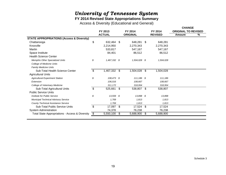### **FY 2014 Revised State Appropriations Summary**

Access & Diversity (Educational and General)

| FY 2013         |     | FY 2014                                                       |    | FY 2014                                 |        |                                             |
|-----------------|-----|---------------------------------------------------------------|----|-----------------------------------------|--------|---------------------------------------------|
| <b>ACTUAL</b>   |     | <b>ORIGINAL</b>                                               |    | <b>REVISED</b>                          | Amount | %                                           |
|                 |     |                                                               |    |                                         |        |                                             |
| \$              |     | 648,281                                                       | S. | 648,281                                 |        |                                             |
| 2,214,950       |     | 2,270,343                                                     |    | 2,270,343                               |        |                                             |
| 533,817         |     | 547,167                                                       |    | 547,167                                 |        |                                             |
| 84,401          |     | 86,512                                                        |    | 86,512                                  |        |                                             |
|                 |     |                                                               |    |                                         |        |                                             |
| \$              |     |                                                               |    | 1,504,028                               |        |                                             |
|                 |     |                                                               |    |                                         |        |                                             |
|                 |     |                                                               |    |                                         |        |                                             |
| \$<br>1,467,332 | -\$ | 1,504,028                                                     | \$ | 1,504,028                               |        |                                             |
|                 |     |                                                               |    |                                         |        |                                             |
| \$              |     |                                                               |    | 111,186                                 |        |                                             |
| 106,016         |     | 108,667                                                       |    | 108,667                                 |        |                                             |
| 311,172         |     | 318,954                                                       |    | 318,954                                 |        |                                             |
| \$<br>525,661   |     | 538,807                                                       | \$ | 538,807                                 |        |                                             |
|                 |     |                                                               |    |                                         |        |                                             |
| \$              |     |                                                               |    | 13,898                                  |        |                                             |
| 1,769           |     | 1,813                                                         |    | 1,813                                   |        |                                             |
| 1,769           |     | 1,813                                                         |    | 1,813                                   |        |                                             |
| \$<br>17,097    | \$  | 17,524                                                        | \$ | 17,524                                  |        |                                             |
| 74,378          |     | 76,238                                                        |    | 76,238                                  |        |                                             |
| \$<br>5,550,100 | \$  | 5,688,900                                                     | \$ | 5,688,900                               |        |                                             |
|                 |     | 632,464 \$<br>1,467,332 \$<br>108,473 \$<br>- \$<br>13,559 \$ |    | 1,504,028 \$<br>111,186 \$<br>13,898 \$ |        | <b>CHANGE</b><br><b>ORIGINAL TO REVISED</b> |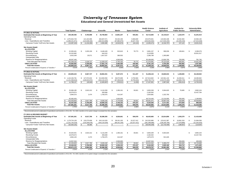#### **Educational and General Unrestricted Net Assets**

|                                                                                                                                                       | <b>Total System</b>    | Chattanooga                | Knoxville                          | <b>Martin</b>                     | <b>Space Institute</b>          | <b>Health Science</b><br>Center | Institute of<br><b>Agriculture</b> | Institute for<br><b>Public Service</b> |                         | <b>University-Wide</b><br><b>Adminitration</b> |
|-------------------------------------------------------------------------------------------------------------------------------------------------------|------------------------|----------------------------|------------------------------------|-----------------------------------|---------------------------------|---------------------------------|------------------------------------|----------------------------------------|-------------------------|------------------------------------------------|
| <b>FY 2011-12 ACTUAL</b>                                                                                                                              |                        |                            |                                    |                                   |                                 |                                 |                                    |                                        |                         |                                                |
| <b>Estimated Net Assets at Beginning of Year</b>                                                                                                      | 159,180,466<br>\$      | 9,783,988<br>s.            | \$<br>26,758,864                   | \$<br>13,801,247                  | s.<br>555.561                   | \$<br>53,713,605                | 22,143,617<br>\$                   | 1.222.570<br>\$                        | \$.                     | 31.201.014                                     |
| Operating Funds                                                                                                                                       |                        |                            |                                    |                                   |                                 |                                 |                                    |                                        |                         |                                                |
| Revenue                                                                                                                                               | \$1,075,944,729        | 121,422,086                | 484,607,071                        | 83,342,196                        | 9,383,600                       | 223,570,831                     | 115,502,448                        | 15,532,363<br>\$                       |                         | 22,584,136                                     |
| Less: Expenditures and Transfers                                                                                                                      | (1,089,231,971)        | (122, 638, 346)            | (482, 513, 686)                    | (87, 885, 870)                    | (9, 427, 724)                   | (226, 026, 302)                 | (117, 819, 155)                    | (15, 305, 240)                         |                         | (27, 615, 648)                                 |
| Carryover Funds To/(From) Net Assets                                                                                                                  | (13, 287, 242)<br>S.   | \$<br>(1,216,260)          | 2,093,385<br>\$                    | (4, 543, 674)<br>\$               | $\mathbb{S}$<br>(44, 124)       | \$<br>(2,455,471)               | \$<br>(2,316,707)                  | 227,123<br>\$                          | \$                      | (5,031,512)                                    |
| Net Assets Detail:                                                                                                                                    |                        |                            |                                    |                                   |                                 |                                 |                                    |                                        |                         |                                                |
| <b>ALLOCATED</b>                                                                                                                                      |                        |                            |                                    |                                   |                                 |                                 |                                    |                                        |                         |                                                |
| <b>Working Capital</b>                                                                                                                                | 22,930,461<br><b>S</b> | 3,203,156<br>£.            | \$.<br>8,448,428                   | \$.<br>923,610                    | \$<br>78,773                    | \$<br>5,881,237                 | \$<br>990,036                      | $\mathbf{\hat{s}}$<br>106,841          | \$                      | 3,298,379                                      |
| <b>Revolving Funds</b>                                                                                                                                | 24,315,982             |                            | 644,510                            |                                   |                                 | 3,119,955                       |                                    |                                        |                         | 20,551,517                                     |
| Encumbrances                                                                                                                                          | 5,915,349              | 25,571                     | 1,927,537                          | 369.553                           |                                 | 2,286,799                       | 1,305,890                          |                                        |                         |                                                |
| <b>Unexpended Gifts</b>                                                                                                                               |                        |                            |                                    |                                   |                                 |                                 |                                    |                                        |                         |                                                |
| Reserve for Reappropriations                                                                                                                          | 49,047,440             |                            |                                    | 4,500,000                         |                                 | 30,189,000                      | 12,826,700                         | 750,000                                |                         | 781,740                                        |
| <b>Total Allocated Net Assets</b>                                                                                                                     | 102,209,232            | 3,228,727                  | 11,020,475                         | 5,793,163                         | 78,773                          | 41,476,991                      | 15,122,626                         | 856,841                                |                         | 24,631,636                                     |
| <b>UNALLOCATED</b>                                                                                                                                    | 43,683,992             | 5,339,000                  | 17,831,776                         | 3,464,409                         | 432,664                         | 9,781,143                       | 4,704,284                          | 592,852                                |                         | 1,537,866                                      |
| <b>Total Net Assets</b>                                                                                                                               | 5<br>145,893,224       | -S<br>8,567,727            | 28,852,251<br>\$                   | s.<br>9,257,572                   | S,<br>511,437                   | 51,258,134<br>Ŝ.                | \$.<br>19,826,910                  | 1,449,693                              | Ś.                      | 26,169,502                                     |
| Percent Unallocated of Expend. & Transfers *                                                                                                          | 4.01%                  | 4.35%                      | 3.70%                              | 3.94%                             | 4.59%                           | 4.33%                           | 3.99%                              | 3.87%                                  |                         | 3.96%                                          |
| <b>FY 2012-13 ACTUAL</b>                                                                                                                              |                        |                            |                                    |                                   |                                 |                                 |                                    |                                        |                         |                                                |
| <b>Estimated Net Assets at Beginning of Year</b>                                                                                                      | 145,893,224<br>S       | \$.<br>8,567,727           | 28,852,251<br>\$                   | 9,257,572<br>\$                   | \$.<br>511,437                  | \$<br>51,258,134                | s.<br>19,826,910                   | S<br>1,449,693                         | \$.                     | 26,169,502                                     |
| Operating Funds<br>Revenue                                                                                                                            | \$1,143,156,781        | \$127,974,032              | \$<br>513.650.550                  | \$<br>86.575.908                  | 9,750,584<br>\$                 | 247,913,602<br>s.               | 122,561,132<br>s.                  | 16,450,311<br>s.                       | \$                      | 18,280,662                                     |
| Less: Expenditures and Transfers                                                                                                                      | (1, 131, 358, 644)     | (128, 023, 972)            | (516, 116, 447)                    | (87, 306, 819)                    | (9,755,043)                     | (230, 745, 771)                 | (119, 573, 183)                    | (16,806,725)                           |                         | (23,030,684)                                   |
| Carryover Funds To/(From) Net Assets                                                                                                                  | 11,798,137             | (49, 940)<br>$\sqrt[6]{3}$ | (2,465,897)<br>\$                  | $\mathbf{\hat{s}}$<br>(730, 911)  | $\mathbf{s}$<br>(4, 459)        | \$<br>17,167,831                | 2,987,949<br>\$                    | \$<br>(356, 414)                       | $\frac{1}{2}$           | (4,750,022)                                    |
|                                                                                                                                                       |                        |                            |                                    |                                   |                                 |                                 |                                    |                                        |                         |                                                |
| <b>Net Assets Detail:</b>                                                                                                                             |                        |                            |                                    |                                   |                                 |                                 |                                    |                                        |                         |                                                |
| <b>ALLOCATED</b>                                                                                                                                      |                        |                            |                                    |                                   |                                 |                                 |                                    |                                        |                         |                                                |
| <b>Working Capital</b>                                                                                                                                | S.<br>25,696,185       | 2,815,312<br>£.            | \$<br>6,116,269                    | \$<br>1,356,161                   | \$<br>30,821                    | 5,850,208<br>£.                 | 5,564,625<br>£.                    | 70,685<br>\$                           | S                       | 3,892,104                                      |
| <b>Revolving Funds</b>                                                                                                                                | 18,079,674             |                            | 459,848                            |                                   |                                 | 2,182,042                       |                                    |                                        |                         | 15,437,784                                     |
| Encumbrances                                                                                                                                          | 5,994,570              | 2,474                      | 1,750,075                          | 414,347                           |                                 | 2,504,881                       | 1,322,793                          |                                        |                         |                                                |
| <b>Unexpended Gifts</b>                                                                                                                               |                        |                            |                                    |                                   |                                 |                                 |                                    |                                        |                         |                                                |
| Reserve for Reappropriations                                                                                                                          | 65,483,404             |                            |                                    | 3,000,000                         |                                 | 48,724,440                      | 12,210,000                         | 350,000<br>- \$                        |                         | 1,198,964                                      |
| <b>Total Allocated Net Assets</b>                                                                                                                     | 115,253,833<br>\$      | \$<br>2,817,786            | \$<br>8,326,192                    | \$<br>4,770,508                   | \$<br>30,821                    | \$<br>59,261,571                | 19,097,418<br>\$                   | $\boldsymbol{\mathsf{s}}$<br>420,685   | \$                      | 20,528,852                                     |
| <b>UNALLOCATED</b>                                                                                                                                    | 42,437,530<br>\$       | \$<br>5,700,000            | $\overline{\bullet}$<br>18,060,163 | $\overline{\bullet}$<br>3,756,153 | $\bullet$<br>476,157            | \$<br>9,164,394                 | 3,717,441<br>\$                    | $\overline{\bullet}$<br>672,594        | $\ddot{\bullet}$        | 890,628                                        |
| <b>Total Net Assets</b>                                                                                                                               | 157,691,361<br>s.      | \$<br>8,517,786            | \$<br>26,386,355                   | s.<br>8,526,661                   | \$<br>506,978                   | s.<br>68,425,965                | \$<br>22,814,859                   | \$<br>1,093,279                        | \$                      | 21,419,480                                     |
| Percent Unallocated of Expend. & Transfers *                                                                                                          | 3.75%                  | 4.45%                      | 3.50%                              | 4.30%                             | 4.88%                           | 3.97%                           | 3.11%                              | 4.00%                                  |                         | 2.50%                                          |
| Recommended percent unallocated of expenditures and transfers is 2% to 5%. For UWA, transfers-in for system charge is excluded from this calculation. |                        |                            |                                    |                                   |                                 |                                 |                                    |                                        |                         |                                                |
| <b>FY 2013-14 REVISED BUDGET</b>                                                                                                                      |                        |                            |                                    |                                   |                                 |                                 |                                    |                                        |                         |                                                |
| <b>Estimated Net Assets at Beginning of Year</b>                                                                                                      | 157,691,361<br>s       | \$<br>8,517,786            | 26,386,355<br>\$                   | \$<br>8,526,661                   | \$<br>506,978                   | 68,425,965<br>\$                | 22,814,859<br>\$.                  | 1,093,279<br>\$                        | \$                      | 21,419,480                                     |
| <b>Operating Funds</b>                                                                                                                                |                        |                            |                                    |                                   |                                 |                                 |                                    |                                        |                         |                                                |
| Revenue                                                                                                                                               | \$1.179.724.128        | \$ 133,275,658             | \$<br>543.119.329                  | \$<br>89,161,105                  | \$<br>10.227.412                | \$ 242,352,880                  | \$123,612,387                      | \$.<br>16,891,319                      | s.                      | 21,084,038                                     |
| Less: Expenditures and Transfers                                                                                                                      | (1,231,744,319)        | (133, 209, 078)            | (543, 119, 329)                    | (89, 161, 105)                    | (10, 227, 412)                  | (281,399,088)                   | (136, 345, 796)                    | (17,079,886)                           |                         | (21, 202, 625)                                 |
| Carryover Funds To/(From) Net Assets                                                                                                                  | (52,020,191)           | \$<br>66,580               | \$                                 | \$                                | \$                              | (39,046,208)<br>£.              | (12,733,409)<br>\$.                | (188, 567)                             | S.                      | (118, 587)                                     |
| <b>Net Assets Detail:</b>                                                                                                                             |                        |                            |                                    |                                   |                                 |                                 |                                    |                                        |                         |                                                |
| <b>ALLOCATED</b>                                                                                                                                      |                        |                            |                                    |                                   |                                 |                                 |                                    |                                        |                         |                                                |
| <b>Working Capital</b>                                                                                                                                | 25,625,501<br>S.       | \$<br>2,815,312            | \$<br>6,116,269                    | \$<br>1,356,161                   | \$.<br>30,821                   | £.<br>5,850,209                 | 5,564,625<br>£.                    |                                        | £.                      | 3,892,104                                      |
| <b>Revolving Funds</b>                                                                                                                                | 18,079,674             |                            | 459,848                            |                                   |                                 | 2,182,042                       |                                    |                                        |                         | 15,437,784                                     |
| Encumbrances                                                                                                                                          | 4,964,120              | 2,474                      | 1,750,075                          | 414,347                           |                                 | 1,875,579                       | 921,645                            |                                        |                         |                                                |
| <b>Unexpended Gifts</b>                                                                                                                               |                        |                            |                                    |                                   |                                 |                                 |                                    |                                        |                         |                                                |
| Reserve for Reappropriations                                                                                                                          | 13,557,534             |                            |                                    | 2,500,000                         |                                 | 10,307,534                      |                                    | 350,000                                |                         | 400,000                                        |
| <b>Total Allocated Net Assets</b>                                                                                                                     | 62.226.829<br>-96      | 2,817,786<br>\$            | 8,326,192<br>-\$                   | 4,270,508<br>\$                   | 30.821<br>\$                    | 20.215.364<br>\$                | 6,486,270<br>Ŝ.                    | $\mathfrak{s}$<br>350,000              | \$                      | 19.729.888                                     |
| UNALLOCATED                                                                                                                                           | 43,444,341<br>s.       | \$<br>5,766,580            | 18,060,163<br>-S                   | s<br>4,256,153                    | $\overline{\bullet}$<br>476,157 | s<br>9,164,393                  | 3,595,180<br>\$                    | \$<br>554,712                          | $\overline{\mathbf{s}}$ | 1.571.005                                      |
| <b>Total Net Assets</b>                                                                                                                               | 105,671,170<br>\$      | \$<br>8,584,366            | 26,386,355<br>\$                   | 8,526,661<br>\$                   | 506,978<br>\$                   | \$<br>29,379,757                | \$<br>10,081,450                   | \$<br>904,712                          | \$                      | 21,300,893                                     |
| Percent Unallocated of Expend. & Transfers                                                                                                            | 3.53%                  | 4.33%                      | 3.33%                              | 4.77%                             | 4.66%                           | 3.26%                           | 2.64%                              | 3.25%                                  |                         | 4.56%                                          |
|                                                                                                                                                       |                        |                            |                                    |                                   |                                 |                                 |                                    |                                        |                         |                                                |

*\* Recommended percent unallocated of expenditures and transfers is 2% to 5%. For UWA, transfers-in for system charge is excluded from this calculation.*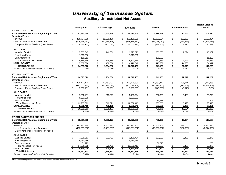### **Auxiliary Unrestricted Net Assets**

|                                                                            |                      |                                      |                                         |                                                 |                                       | <b>Health Science</b>                          |
|----------------------------------------------------------------------------|----------------------|--------------------------------------|-----------------------------------------|-------------------------------------------------|---------------------------------------|------------------------------------------------|
|                                                                            | <b>Total System</b>  | Chattanooga                          | Knoxville                               | <b>Martin</b>                                   | <b>Space Institute</b>                | <b>Center</b>                                  |
| <b>FY 2011-12 ACTUAL</b>                                                   |                      |                                      |                                         |                                                 |                                       |                                                |
| <b>Estimated Net Assets at Beginning of Year</b>                           | \$<br>21,372,684     | 1,445,969<br>\$                      | 18,674,442<br>\$                        | 1,129,889<br>\$                                 | \$<br>20,764                          | \$<br>101,620                                  |
| <b>Operating Funds</b>                                                     |                      |                                      |                                         |                                                 |                                       |                                                |
| Revenue                                                                    | \$<br>199,764,805    | \$<br>11,998,166                     | \$<br>172,129,555                       | \$<br>12,869,324                                | \$<br>159.336                         | \$<br>2,608,424                                |
| Less: Expenditures and Transfers                                           | (206, 239, 967)      | (12, 239, 749)                       | (178, 186, 832)                         | (13,058,080)                                    | (157,521)                             | (2, 597, 785)                                  |
| Carryover Funds To/(From) Net Assets                                       | \$<br>(6, 475, 162)  | \$<br>(241, 583)                     | \$<br>(6,057,277)                       | $\bullet$<br>(188, 756)                         | $\boldsymbol{\phi}$<br>1,815          | $\sqrt[6]{\frac{1}{2}}$<br>10,639              |
| <b>ALLOCATED</b>                                                           |                      |                                      |                                         |                                                 |                                       |                                                |
| <b>Working Capital</b>                                                     | \$<br>7,355,847      | \$<br>746,386                        | \$<br>6,225,020                         | \$<br>360,585                                   | \$<br>7,794                           | \$<br>16,062                                   |
| <b>Revolving Funds</b>                                                     | 1,915,596            |                                      | 1,915,596                               |                                                 |                                       |                                                |
| Encumbrances                                                               | 118,213              |                                      |                                         | 106,988                                         |                                       | 11,225                                         |
| <b>Total Allocated Net Assets</b>                                          | 9,389,656<br>\$      | $\,$<br>746,386                      | $\,$<br>8,140,616                       | 467,573                                         | $\bullet$<br>7,794                    | $\bullet$<br>27,287                            |
| <b>UNALLOCATED</b>                                                         | Ŝ.<br>5,507,866      | s,<br>458,000                        | \$<br>4,476,549                         | $\frac{1}{3}$<br>473,560                        | $\overline{\bullet}$<br>14,785        | $\pmb{\mathsf{s}}$<br>84,972                   |
| <b>Total Net Assets</b>                                                    | \$<br>14,897,522     | \$<br>1,204,386                      | \$<br>12,617,165                        | $\bullet$<br>941,133                            | $\bullet$<br>22,579                   | \$<br>112,259                                  |
| Percent Unallocated of Expend. & Transfers                                 | 2.67%                | 3.74%                                | 2.51%                                   | 3.63%                                           | 9.39%                                 | 3.27%                                          |
| <b>FY 2012-13 ACTUAL</b>                                                   |                      |                                      |                                         |                                                 |                                       |                                                |
| <b>Estimated Net Assets at Beginning of Year</b>                           | \$<br>14,897,522     | \$<br>1,204,386                      | \$<br>12,617,165                        | \$<br>941,133                                   | \$<br>22.579                          | 112,259<br>\$                                  |
| <b>Operating Funds</b>                                                     |                      |                                      |                                         |                                                 |                                       |                                                |
| Revenue                                                                    | \$<br>199,171,124    | \$<br>12.457.401                     | \$<br>173,429,399                       | \$<br>10.830.742                                | \$<br>206.244                         | \$<br>2,247,338                                |
| Less: Expenditures and Transfers                                           | (193, 507, 343)      | (12, 393, 610)                       | (167, 674, 306)                         | (10, 975, 800)                                  | (216, 159)                            | (2, 247, 468)                                  |
| Carryover Funds To/(From) Net Assets                                       | \$<br>5,663,781      | $\sqrt[6]{\frac{1}{2}}$<br>63,791    | $\boldsymbol{\mathsf{\$}}$<br>5,755,093 | \$<br>(145, 058)                                | $\boldsymbol{\mathsf{S}}$<br>(9, 915) | \$<br>(130)                                    |
|                                                                            |                      |                                      |                                         |                                                 |                                       |                                                |
| <b>ALLOCATED</b>                                                           |                      |                                      |                                         |                                                 |                                       |                                                |
| <b>Working Capital</b>                                                     | \$<br>7,302,481      | \$<br>818,021                        | \$<br>6,198,724                         | \$<br>257,035                                   | \$<br>5,428                           | \$<br>23,273                                   |
| <b>Revolving Funds</b>                                                     | 6,633,689            |                                      | 6,633,689                               |                                                 |                                       |                                                |
| Encumbrances                                                               | 31,723               |                                      |                                         | 31,518                                          |                                       | 205                                            |
| <b>Total Allocated Net Assets</b>                                          | 13,967,893<br>\$     | \$<br>818,021                        | \$<br>12,832,413                        | \$<br>288,553                                   | \$<br>5,428                           | $\bullet$<br>23,478                            |
| <b>UNALLOCATED</b>                                                         | \$<br>6,593,410      | \$<br>450,156                        | \$<br>5,539,845                         | $\overline{\boldsymbol{\mathsf{s}}}$<br>507,522 | $\sqrt[6]{\frac{1}{2}}$<br>7,236      | $\overline{\boldsymbol{\mathsf{s}}}$<br>88,651 |
| <b>Total Net Assets</b>                                                    | 20,561,303           | $\overline{\mathbf{s}}$<br>1,268,177 | s.<br>18,372,258                        | $\overline{\bullet}$<br>796,075                 | $\overline{\mathbf{s}}$<br>12,664     | $\overline{\mathbf{S}}$<br>112,129             |
| Percent Unallocated of Expend. & Transfers                                 | 3.41%                | 3.63%                                | 3.30%                                   | 4.62%                                           | 3.35%                                 | 3.94%                                          |
| FY 2013-14 REVISED BUDGET                                                  |                      |                                      |                                         |                                                 |                                       |                                                |
| <b>Estimated Net Assets at Beginning of Year</b><br><b>Operating Funds</b> | \$<br>20,561,303     | \$<br>1,268,177                      | \$<br>18,372,258                        | \$<br>796,075                                   | \$<br>12,664                          | \$<br>112,129                                  |
| Revenue                                                                    | \$<br>193,337,830    | \$<br>8,451,931                      | \$<br>171,291,952                       | \$<br>11,551,952                                | \$<br>197,000                         | \$<br>1,844,995                                |
| Less: Expenditures and Transfers                                           | (193, 337, 830)      | (8,451,931)                          | (171, 291, 952)                         | (11, 551, 952)                                  | (197,000)                             | (1,844,995)                                    |
| Carryover Funds To/(From) Net Assets                                       | \$<br>$\blacksquare$ | \$<br>$\sim$                         | \$<br>$\overline{\phantom{a}}$          | \$<br>$\blacksquare$                            | \$<br>$\overline{\phantom{a}}$        | \$<br>$\sim$                                   |
|                                                                            |                      |                                      |                                         |                                                 |                                       |                                                |
| <b>ALLOCATED</b>                                                           |                      |                                      |                                         |                                                 |                                       |                                                |
| <b>Working Capital</b>                                                     | \$<br>7,355,913      | \$<br>871,453                        | \$<br>6,198,724                         | \$<br>257,035                                   | \$<br>5,428                           | \$<br>23,273                                   |
| <b>Revolving Funds</b>                                                     | 6,633,689            |                                      | 6,633,689                               |                                                 |                                       |                                                |
| Encumbrances                                                               | 31,723               |                                      |                                         | 31,518                                          |                                       | 205                                            |
| <b>Total Allocated Net Assets</b>                                          | 14,021,325<br>\$     | \$<br>871,453                        | 12,832,413<br>\$                        | 288,553<br>\$                                   | \$<br>5,428                           | $\overline{\mathbf{e}}$<br>23,478              |
| <b>UNALLOCATED</b>                                                         | \$<br>6,539,978      | \$<br>396.724                        | \$<br>5,539,845                         | $\sqrt[6]{\frac{1}{2}}$<br>507,522              | \$<br>7,236                           | $\sqrt[6]{\frac{1}{2}}$<br>88,651              |
| <b>Total Net Assets</b>                                                    | \$<br>20,561,303     | $\overline{\mathbf{s}}$<br>1,268,177 | \$<br>18,372,258                        | $\overline{\bullet}$<br>796,075                 | s,<br>12,664                          | s,<br>112,129                                  |
| Percent Unallocated of Expend. & Transfers                                 | 3.38%                | 4.69%                                | 3.23%                                   | 4.39%                                           | 3.67%                                 | 4.80%                                          |

*\* Recommended percent unallocated of expenditures and transfers is 3% to 5%*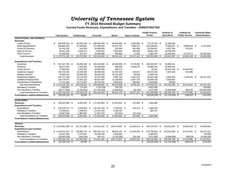**FY 2014 Revised Budget Summary**

**Current Funds Revenues, Expenditures, and Transfers - UNRESTRICTED**

|                                           |     |                     |      |                |      |                |               |                |      | <b>Health Science</b>  |      | Institute of      | Institute for |                    |  | University-Wide       |      |                |
|-------------------------------------------|-----|---------------------|------|----------------|------|----------------|---------------|----------------|------|------------------------|------|-------------------|---------------|--------------------|--|-----------------------|------|----------------|
|                                           |     | <b>Total System</b> |      | Chattanooga    |      | Knoxville      |               | <b>Martin</b>  |      | <b>Space Institute</b> |      | Center            |               | <b>Agriculture</b> |  | <b>Public Service</b> |      | Administration |
| <b>EDUCATIONAL AND GENERAL</b>            |     |                     |      |                |      |                |               |                |      |                        |      |                   |               |                    |  |                       |      |                |
| <b>Revenues</b>                           |     |                     |      |                |      |                |               |                |      |                        |      |                   |               |                    |  |                       |      |                |
| <b>Tuition &amp; Fees</b>                 | \$  | 565.908.764 \$      |      | 90,632,148 \$  |      | 330,656,359 \$ |               | 58,534,954 \$  |      | 1,653,900 \$           |      | 73,170,744 \$     |               | 11,260,659         |  |                       |      |                |
| <b>State Appropriations</b>               |     | 469,682,423         |      | 37,449,681     |      | 177,486,343    |               | 26,337,767     |      | 7,995,512              |      | 132,428,051       |               | 73,363,607 \$      |  | 9,899,924 \$          |      | 4,721,538      |
| <b>Grants &amp; Contracts</b>             |     | 41,762,792          |      | 616,230        |      | 20,560,000     |               | 310,500        |      | 461,000                |      | 15,209,047        |               | 4,327,794          |  | 278,221               |      |                |
| Sales & Service                           |     | 50,511,546          |      | 4,340,172      |      | 4,332,641      |               | 3,321,084      |      | 100,000                |      | 18,661,256        |               | 19,756,393         |  |                       |      |                |
| <b>Other Sources</b>                      |     | 51,858,603          |      | 237,427        |      | 10,083,986     |               | 656,800        |      | 17,000                 |      | 2,883,782         |               | 14,903,934         |  | 6,713,174             |      | 16,362,500     |
| <b>Total Revenues</b>                     |     | \$1,179,724,128     |      | 133,275,658 \$ |      | 543,119,329    | \$            | 89, 161, 105   | - \$ | 10,227,412 \$          |      | 242,352,880       | \$            | 123,612,387        |  | 16,891,319 \$         |      | 21,084,038     |
| <b>Expenditures and Transfers</b>         |     |                     |      |                |      |                |               |                |      |                        |      |                   |               |                    |  |                       |      |                |
| Instruction                               | \$. | 522,157,755 \$      |      | 60,690,230 \$  |      | 245,415,965 \$ |               | 42,203,839 \$  |      | 3,778,263 \$           |      | 136,263,447 \$    |               | 33,806,011         |  |                       |      |                |
| Research                                  |     | 96,477,561          |      | 2,020,402      |      | 35,186,883     |               | 396,828        |      | 2,050,276              |      | 10,886,730        |               | 45,936,442         |  |                       |      |                |
| <b>Public Service</b>                     |     | 77,682,916          |      | 2,424,023      |      | 10,960,509     |               | 609,274        |      |                        |      | 40,321            |               | 48,414,149 \$      |  | 15,234,640            |      |                |
| Academic Support                          |     | 146,722,452         |      | 10,180,296     |      | 68,666,664     |               | 10,762,525     |      | 319,317                |      | 48,672,536        |               | 7,807,528          |  | 313,586               |      |                |
| <b>Student Services</b>                   |     | 76,802,244          |      | 20,826,081     |      | 39,199,763     |               | 10,761,255     |      | 48,404                 |      | 5,966,741         |               |                    |  |                       |      |                |
| <b>Institutional Support</b>              |     | 145,777,259         |      | 10,718,253     |      | 41,074,340     |               | 5,902,761      |      | 1,451,232              |      | 36,823,188        |               | 2,505,235          |  | 1,165,125 \$          |      | 46, 137, 125   |
| Op/Maint Physical Plant                   |     | 129,779,757         |      | 17,601,122     |      | 68,337,397     |               | 11,528,805     |      | 2,007,718              |      | 26,800,748        |               | 3,503,967          |  |                       |      |                |
| Scholarships & Fellowships                |     | 77,741,340          |      | 10,773,407     |      | 49,742,431     |               | 8,055,619      |      | 280,944                |      | 8,849,881         |               | 39,058             |  |                       |      |                |
| Sub-total Expenditures                    |     | \$1,273,141,284     |      | 135,233,814 \$ |      | 558,583,952    | -\$           | 90,220,906     | - \$ | 9,936,154 \$           |      | 274,303,592       | -\$           | 142,012,390        |  | 16,713,351            | - \$ | 46, 137, 125   |
| <b>Mandatory Transfers</b>                |     | 7,380,997           |      | 774,165        |      | 1,701,536      |               | 746,700        |      |                        |      | 4,023,596         |               |                    |  |                       |      | 135,000        |
| Non Mandatory Transfers                   |     | (48, 777, 962)      |      | (2,798,901)    |      | (17, 166, 159) |               | (1,806,501)    |      | 291,258                |      | 3,071,900         |               | (5,666,594)        |  | 366,535               |      | (25,069,500)   |
| <b>Total Expenditures &amp; Transfers</b> |     | \$1,231,744,319     | - \$ | 133,209,078 \$ |      | 543,119,329    | \$            | 89,161,105     | -\$  | 10,227,412 \$          |      | 281,399,088       | \$            | 136,345,796        |  | 17,079,886 \$         |      | 21,202,625     |
| <b>Fund Balance Addition/(Reduction)</b>  | \$  | $(52,020,191)$ \$   |      | 66,580 \$      |      | ÷.             | \$            | $\sim$         | \$   |                        | \$   | $(39,046,208)$ \$ |               | $(12,733,409)$ \$  |  | $(188, 567)$ \$       |      | (118, 587)     |
| <b>AUXILIARIES</b>                        |     |                     |      |                |      |                |               |                |      |                        |      |                   |               |                    |  |                       |      |                |
| <b>Revenues</b>                           | \$  | 193,337,830 \$      |      | 8.451.931      | \$   | 171,291,952 \$ |               | 11.551.952 \$  |      | 197,000 \$             |      | 1,844,995         |               |                    |  |                       |      |                |
| <b>Expenditures and Transfers</b>         |     |                     |      |                |      |                |               |                |      |                        |      |                   |               |                    |  |                       |      |                |
| Expenditures                              | \$  | 146,379,773 \$      |      | 4,648,962 \$   |      | 132,197,162 \$ |               | 7,799,281 \$   |      | 254,110 \$             |      | 1,480,258         |               |                    |  |                       |      |                |
| <b>Mandatory Transfers</b>                |     | 27,030,511          |      | 1,948,402      |      | 21,537,220     |               | 3,180,152      |      |                        |      | 364,737           |               |                    |  |                       |      |                |
| Non-Mandatory Transfers                   |     | 19,927,546          |      | 1,854,567      |      | 17,557,570     |               | 572,519        |      | (57, 110)              |      |                   |               |                    |  |                       |      |                |
| <b>Total Expenditures &amp; Transfers</b> | \$  | 193,337,830         | - \$ | 8,451,931      | -\$  | 171,291,952    | -\$           | 11,551,952 \$  |      | 197,000 \$             |      | 1,844,995         |               |                    |  |                       |      |                |
| <b>Fund Balance Addition/(Reduction)</b>  |     |                     |      |                |      |                |               |                |      |                        |      |                   |               |                    |  |                       |      |                |
| <b>TOTALS</b>                             |     |                     |      |                |      |                |               |                |      |                        |      |                   |               |                    |  |                       |      |                |
| <b>Revenues</b>                           |     | $$1,373,061,958$ \$ |      | 141,727,589    | -\$  | 714,411,281    | -\$           | 100,713,057 \$ |      | 10,424,412             | - \$ | 244,197,875 \$    |               | 123,612,387 \$     |  | 16,891,319 \$         |      | 21,084,038     |
| <b>Expenditures and Transfers</b>         |     |                     |      |                |      |                |               |                |      |                        |      |                   |               |                    |  |                       |      |                |
| Expenditures                              |     | \$1,419,521,057 \$  |      | 139,882,776    | - \$ | 690,781,114    | -\$           | 98,020,187 \$  |      | 10,190,264             | - \$ | 275,783,850       | - \$          | 142,012,390 \$     |  | 16,713,351 \$         |      | 46,137,125     |
| <b>Mandatory Transfers</b>                |     | 34,411,508          |      | 2,722,567      |      | 23,238,756     |               | 3,926,852      |      |                        |      | 4,388,333         |               |                    |  |                       |      | 135,000        |
| Non-Mandatory Transfers                   |     | (28, 850, 416)      |      | (944, 334)     |      | 391,411        |               | (1,233,982)    |      | 234,148                |      | 3,071,900         |               | (5,666,594)        |  | 366,535               |      | $-25,069,500$  |
| <b>Total Expenditures &amp; Transfers</b> |     | \$1,425,082,149     | - 35 | 141,661,009    | -S   | 714,411,281    | \$            | 100,713,057    |      | 10,424,412             | \$   | 283,244,083       | -\$           | 136,345,796        |  | 17,079,886 \$         |      | 21,202,625     |
| <b>Fund Balance Addition/(Reduction)</b>  | \$  | $(52,020,191)$ \$   |      | 66,580 \$      |      |                | $\mathsf{\$}$ |                | \$   |                        | \$   | $(39,046,208)$ \$ |               | $(12,733,409)$ \$  |  | $(188, 567)$ \$       |      | (118, 587)     |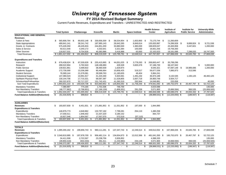### **FY 2014 Revised Budget Summary**

Current Funds Revenues, Expenditures and Transfers - UNRESTRICTED AND RESTRICTED

|                                                                |                          |                            |      |                          |     |                               |                         |                         |      |                        |                | <b>Health Science</b>        | Institute of           |     | Institute for         |    | University-Wide      |
|----------------------------------------------------------------|--------------------------|----------------------------|------|--------------------------|-----|-------------------------------|-------------------------|-------------------------|------|------------------------|----------------|------------------------------|------------------------|-----|-----------------------|----|----------------------|
|                                                                |                          | <b>Total System</b>        |      | Chattanooga              |     | <b>Knoxville</b>              |                         | <b>Martin</b>           |      | <b>Space Institute</b> |                | <b>Center</b>                | <b>Agriculture</b>     |     | <b>Public Service</b> |    | Administration       |
| <b>EDUCATIONAL AND GENERAL</b>                                 |                          |                            |      |                          |     |                               |                         |                         |      |                        |                |                              |                        |     |                       |    |                      |
| <b>Revenues</b>                                                |                          |                            |      |                          |     |                               |                         |                         |      |                        |                |                              |                        |     |                       |    |                      |
| <b>Tuition &amp; Fees</b>                                      | \$.                      | 565,908,764 \$             |      | 90,632,148 \$            |     | 330,656,359 \$                |                         | 58,534,954 \$           |      | 1,653,900 \$           |                | 73,170,744 \$                | 11,260,659             |     |                       |    |                      |
| <b>State Appropriations</b>                                    |                          | 490,641,141                |      | 38,241,742               |     | 187,995,143                   |                         | 26,642,265              |      | 8,849,614              |                | 135,003,987                  | 74,286,928 \$          |     | 9,899,924 \$          |    | 9,721,538            |
| Grants & Contracts                                             |                          | 575,428,350                |      | 48,435,824               |     | 244,851,200                   |                         | 33,880,500              |      | 1,383,000              |                | 198,829,047                  | 43,400,958             |     | 3,447,821             |    | 1,200,000            |
| Sales & Service                                                |                          | 50,511,546                 |      | 4,340,172                |     | 4,332,641                     |                         | 3,321,084               |      | 100,000                |                | 18,661,256                   | 19,756,393             |     |                       |    |                      |
| <b>Other Sources</b>                                           |                          | 118,927,531                |      | 9,754,926                |     | 40,383,986                    |                         | 3,416,988               |      | 63,000                 |                | 22,102,023                   | 19,161,088             |     | 7,298,020             |    | 16,747,500           |
| <b>Total Revenues</b>                                          |                          | \$1,801,417,332            | £.   | 191,404,812              | -\$ | 808,219,329                   | -\$                     | 125,795,791             | \$   | 12,049,514             | \$             | 447,767,057                  | \$<br>167,866,026      | -S  | 20,645,765            | -S | 27,669,038           |
| <b>Expenditures and Transfers</b>                              |                          |                            |      |                          |     |                               |                         |                         |      |                        |                |                              |                        |     |                       |    |                      |
| Instruction                                                    | \$                       | 676,438,624                | - \$ | 67,530,628               | -\$ | 255,415,965                   | - \$                    | 44,051,025              | - \$ | 3,778,263              | - \$           | 269,863,447 \$               | 35,799,296             |     |                       |    |                      |
| Research                                                       |                          | 288,522,904                |      | 5,792,643                |     | 148,186,883                   |                         | 428,328                 |      | 3,820,378              |                | 57,186,730                   | 68,107,942             |     |                       | \$ | 5,000,000            |
| <b>Public Service</b>                                          |                          | 139,921,861                |      | 3,499,822                |     | 38,460,509                    |                         | 1,629,974               |      |                        |                | 9,045,321                    | 67,097,149             | -\$ | 18,989,086            |    | 1,200,000            |
| Academic Support                                               |                          | 172,730,590                |      | 13,206,089               |     | 80,466,664                    |                         | 10,856,425              |      | 319,317                |                | 59,677,536                   | 7,890,973              |     | 313,586               |    |                      |
| <b>Student Services</b>                                        |                          | 78,369,144                 |      | 21,576,081               |     | 39,599,763                    |                         | 11,180,655              |      | 48,404                 |                | 5,964,241                    |                        |     |                       |    |                      |
|                                                                |                          |                            |      |                          |     |                               |                         |                         |      |                        |                |                              |                        |     |                       |    |                      |
| <b>Institutional Support</b><br><b>Op/Maint Physical Plant</b> |                          | 147,380,523<br>130,144,706 |      | 10,991,917<br>17,715,321 |     | 41,224,340<br>68,587,397      |                         | 5,920,061<br>11,528,805 |      | 1,491,232<br>2,007,718 |                | 36,973,188<br>26,800,748     | 3,132,535<br>3,504,717 |     | 1,165,125             |    | 46,482,125           |
|                                                                |                          | 260,322,870                |      | 52,717,237               |     |                               |                         | 41,260,319              |      | 292,944                |                |                              | 220,058                |     |                       |    |                      |
| Scholarships/Fellowships<br>Sub-Total Expenditures             |                          | \$1,893,831,222 \$         |      | 193,029,738 \$           |     | 151,742,431<br>823,683,952 \$ |                         | 126,855,592             | - \$ | 11,758,256 \$          |                | 14,049,881<br>479,561,092 \$ | 185,752,670 \$         |     | 20,467,797 \$         |    | 40,000<br>52,722,125 |
|                                                                |                          |                            |      |                          |     |                               |                         |                         |      |                        |                |                              |                        |     |                       |    |                      |
| <b>Mandatory Transfers</b>                                     |                          | 7,380,997                  |      | 774,165                  |     | 1,701,536                     |                         | 746,700                 |      |                        |                | 4,023,596                    |                        |     |                       |    | 135,000              |
| Non Mandatory Transfers                                        |                          | (48, 777, 962)             |      | (2,798,901)              |     | (17, 166, 159)                |                         | (1,806,501)             |      | 291,258                |                | 3,071,900                    | (5,666,594)            |     | 366,535               |    | (25,069,500)         |
| <b>Total Expenditures &amp; Transfers</b>                      |                          | \$1,852,434,257            | - \$ | 191,005,002 \$           |     | 808,219,329                   | \$                      | 125,795,791             | -\$  | 12,049,514             | -\$            | 486,656,588                  | \$<br>180,086,076 \$   |     | 20,834,332 \$         |    | 27,787,625           |
| <b>Fund Balance Addition/(Reduction)</b>                       | $\overline{\mathcal{S}}$ | $(51,016,925)$ \$          |      | 399.810 \$               |     |                               | $\overline{\mathbf{s}}$ |                         | \$.  |                        | \$             | $(38,889,531)$ \$            | $(12, 220, 050)$ \$    |     | $(188, 567)$ \$       |    | (118, 587)           |
| <b>AUXILIARIES</b>                                             |                          |                            |      |                          |     |                               |                         |                         |      |                        |                |                              |                        |     |                       |    |                      |
| <b>Revenues</b>                                                | \$                       | 193,937,830 \$             |      | 8,451,931 \$             |     | 171,891,952 \$                |                         | 11,551,952 \$           |      | 197,000 \$             |                | 1,844,995                    |                        |     |                       |    |                      |
| <b>Expenditures &amp; Transfers</b>                            |                          |                            |      |                          |     |                               |                         |                         |      |                        |                |                              |                        |     |                       |    |                      |
| Expenditures                                                   |                          | 146,979,773                |      | 4,648,962                |     | 132,797,162                   |                         | 7,799,281               |      | 254,110                |                | 1,480,258                    |                        |     |                       |    |                      |
| <b>Mandatory Transfers</b>                                     |                          | 27,030,511                 |      | 1,948,402                |     | 21,537,220                    |                         | 3,180,152               |      |                        |                | 364,737                      |                        |     |                       |    |                      |
| Non Mandatory Transfers                                        |                          | 19,927,546                 |      | 1,854,567                |     | 17,557,570                    |                         | 572,519                 |      | (57, 110)              |                |                              |                        |     |                       |    |                      |
| <b>Total Expenditures &amp; Transfers</b>                      | \$                       | 193,937,830                | -S   | 8,451,931                | \$  | 171,891,952                   | -\$                     | 11,551,952              | -\$  | 197,000                | \$             | 1,844,995                    |                        |     |                       |    |                      |
| <b>Fund Balance Addition/(Reduction)</b>                       |                          |                            |      |                          |     |                               |                         |                         |      |                        |                |                              |                        |     |                       |    |                      |
|                                                                |                          |                            |      |                          |     |                               |                         |                         |      |                        |                |                              |                        |     |                       |    |                      |
| <b>TOTALS</b>                                                  |                          |                            |      |                          |     |                               |                         |                         |      |                        |                |                              |                        |     |                       |    |                      |
| <b>Revenues</b>                                                |                          | $$1,995,355,162$ \$        |      | 199,856,743 \$           |     | 980,111,281 \$                |                         | 137,347,743 \$          |      | 12,246,514 \$          |                | 449,612,052 \$               | 167,866,026 \$         |     | 20,645,765 \$         |    | 27,669,038           |
| <b>Expenditures &amp; Transfers</b>                            |                          |                            |      |                          |     |                               |                         |                         |      |                        |                |                              |                        |     |                       |    |                      |
| Expenditures                                                   |                          | $$2,040,810,995$ \$        |      | 197,678,700 \$           |     | 956,481,114 \$                |                         | 134,654,873 \$          |      | 12,012,366 \$          |                | 481,041,350 \$               | 185,752,670 \$         |     | 20,467,797 \$         |    | 52,722,125           |
| <b>Mandatory Transfers</b>                                     |                          | 34,411,508                 |      | 2,722,567                |     | 23,238,756                    |                         | 3,926,852               |      |                        |                | 4,388,333                    |                        |     |                       |    | 135,000              |
| Non Mandatory Transfers                                        |                          | (28, 850, 416)             |      | (944, 334)               |     | 391,411                       |                         | (1, 233, 982)           |      | 234,148                |                | 3,071,900                    | (5,666,594)            |     | 366,535               |    | (25,069,500)         |
| <b>Total Expenditures &amp; Transfers</b>                      | \$                       | 2,046,372,087              | - \$ | 199,456,933              | -\$ | 980,111,281                   | \$                      | 137, 347, 743           | \$   | 12,246,514             | \$             | 488,501,583                  | \$<br>180,086,076 \$   |     | 20,834,332 \$         |    | 27,787,625           |
| <b>Fund Balance Addition/(Reduction)</b>                       | \$                       | $(51,016,925)$ \$          |      | 399,810 \$               |     |                               | $\overline{\mathbf{s}}$ |                         | \$   |                        | $\mathfrak{L}$ | $(38,889,531)$ \$            | $(12,220,050)$ \$      |     | $(188, 567)$ \$       |    | (118, 587)           |
|                                                                |                          |                            |      |                          |     |                               |                         |                         |      |                        |                |                              |                        |     |                       |    |                      |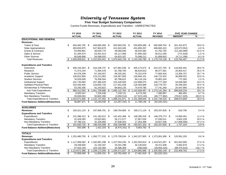#### **Five Year Budget Summary Comparison**

Current Funds Revenues, Expenditures and Transfers - UNRESTRICTED

|                                           |                          | FY 2010          |      | FY 2011                       | FY 2012                      | FY 2013             | FY 2014                |     | <b>FIVE YEAR CHANGE</b> |           |
|-------------------------------------------|--------------------------|------------------|------|-------------------------------|------------------------------|---------------------|------------------------|-----|-------------------------|-----------|
|                                           |                          | <b>ACTUAL</b>    |      | <b>ACTUAL</b>                 | <b>ACTUAL</b>                | <b>ACTUAL</b>       | <b>REVISED</b>         |     | <b>AMOUNT</b>           | %         |
| <b>EDUCATIONAL AND GENERAL</b>            |                          |                  |      |                               |                              |                     |                        |     |                         |           |
| <b>Revenues</b>                           |                          |                  |      |                               |                              |                     |                        |     |                         |           |
| <b>Tuition &amp; Fees</b>                 | \$                       | 404,492,792 \$   |      | 448,985,458 \$                | 503,560,202 \$               | 533,809,389 \$      | 565,908,764 \$         |     | 161,415,972             | 39.9 %    |
| <b>State Appropriations</b>               |                          | 493,655,975      |      | 547,904,679                   | 413,343,445                  | 431,850,267         | 469,682,423            |     | (23, 973, 552)          | $-4.9%$   |
| <b>Grants &amp; Contracts</b>             |                          | 53,956,891       |      | 48,030,770                    | 49,090,830                   | 49,542,582          | 41,762,792             |     | (12, 194, 099)          | $-22.6%$  |
| Sales & Service                           |                          | 51,284,074       |      | 53,401,514                    | 55,117,066                   | 57,856,330          | 50,511,546             |     | (772, 528)              | $-1.5%$   |
| <b>Other Sources</b>                      |                          | 56,569,899       |      | 54,598,020                    | 54,833,187                   | 70,098,212          | 51,858,603             |     | (4,711,296)             | $-8.3%$   |
| <b>Total Revenues</b>                     | S                        | 1,059,959,631    | \$   | 1,152,920,441                 | \$<br>1,075,944,729          | \$<br>1,143,156,780 | \$<br>1,179,724,128    | \$  | 119,764,497             | 11.3 %    |
| <b>Expenditures and Transfers</b>         |                          |                  |      |                               |                              |                     |                        |     |                         |           |
| Instruction                               | \$                       | 406,155,354 \$   |      | 416,108,737 \$                | 427,881,549 \$               | 455,174,572 \$      | 522,157,755 \$         |     | 116,002,401             | 28.6 %    |
| Research                                  |                          | 71,473,144       |      | 71,584,378                    | 81,768,794                   | 86,634,810          | 96,477,561             |     | 25,004,417              | 35.0 %    |
| <b>Public Service</b>                     |                          | 64,376,209       |      | 67,160,007                    | 65,533,281                   | 70,315,078          | 77,682,916             |     | 13,306,707              | 20.7 %    |
| Academic Support                          |                          | 109,822,900      |      | 123,213,093                   | 118,367,805                  | 130,694,151         | 146,722,452            |     | 36,899,552              | 33.6 %    |
| <b>Student Services</b>                   |                          | 76,029,939       |      | 76,356,504                    | 82,788,622                   | 84,118,134          | 76,802,244             |     | 772,305                 | 1.0%      |
| <b>Institutional Support</b>              |                          | 101,730,693      |      | 107,386,429                   | 122,428,550                  | 122,698,075         | 145,777,259            |     | 44,046,566              | 43.3 %    |
| Op/Maint Physical Plant                   |                          | 103,430,455      |      | 118,655,716                   | 117,451,028                  | 118,493,896         | 129,779,757            |     | 26,349,302              | 25.5 %    |
| Scholarships & Fellowships                |                          | 53,293,356       |      | 61,243,822                    | 68,903,135                   | 74,479,780          | 77,741,340             |     | 24,447,984              | 45.9 %    |
| Sub-Total Expenditures                    | \$                       | 986,312,050      |      | $\overline{\$}$ 1,041,708,686 | \$<br>1,085,122,764          | \$1,142,608,497     | \$<br>1,273,141,284    | -\$ | 286,829,234             | 29.1 %    |
| <b>Mandatory Transfers</b>                |                          | 6,920,547        |      | 7,226,436                     | 7,159,721                    | 6,273,292           | 7,380,997              |     | 460,450                 | 6.7%      |
| Non Mandatory Transfers                   |                          | 29,839,063       |      | 93,802,280                    | (3,050,514)                  | (17, 523, 145)      | (48, 777, 962)         |     | (78, 617, 025)          | $-263.5%$ |
| <b>Total Expenditures &amp; Transfers</b> | \$                       | 1,023,071,660    | \$   | 1,142,737,402                 | \$<br>1,089,231,971          | \$<br>1,131,358,644 | \$<br>1,231,744,319    | -\$ | 208,672,659             | 20.4 %    |
| <b>Fund Balance Addition/(Reduction)</b>  | \$                       | 36,887,971       | -\$  | 10,183,039 \$                 | $\overline{(13,287,242)}$ \$ | 11,798,136 \$       | (52,020,191)           |     |                         |           |
| <b>AUXILIARIES</b>                        |                          |                  |      |                               |                              |                     |                        |     |                         |           |
| <b>Revenues</b>                           | \$                       | 192,521,124 \$   |      | 197,856,791 \$                | 199,764,806 \$               | 199,171,124 \$      | 193,337,830 \$         |     | 816,706                 | 0.4%      |
| <b>Expenditures and Transfers</b>         |                          |                  |      |                               |                              |                     |                        |     |                         |           |
| Expenditures                              | \$                       | 131,386,312 \$   |      | 141,182,612 \$                | 142,431,466 \$               | 148,395,318 \$      | 146,379,773 \$         |     | 14,993,461              | 11.4 %    |
| <b>Mandatory Transfers</b>                |                          | 22,428,283       |      | 23,923,901                    | 26,171,577                   | 27,857,526          | 27,030,511             |     | 4,602,228               | 20.5 %    |
| Non-Mandatory Transfers                   |                          | 37.786.131       |      | 31.328.085                    | 37.636.923                   | 17.254.499          | 19,927,546             |     | (17, 858, 585)          | $-47.3%$  |
| <b>Total Expenditures &amp; Transfers</b> | \$                       | 191,600,726      | -\$  | 196,434,598                   | \$<br>206,239,966            | \$<br>193,507,343   | \$<br>193,337,830      | \$  | 1,737,104               | 0.9%      |
| <b>Fund Balance Addition/(Reduction)</b>  | $\overline{\mathcal{E}}$ | 920,398          | - \$ | 1,422,193 \$                  | $(6,475,161)$ \$             | 5,663,782 \$        |                        |     |                         |           |
| <b>TOTALS</b>                             |                          |                  |      |                               |                              |                     |                        |     |                         |           |
| <b>Revenues</b>                           | \$                       | 1,252,480,755    | \$   | 1,350,777,232 \$              | 1,275,709,534                | \$<br>1,342,327,905 | \$<br>1,373,061,958 \$ |     | 120,581,203             | 9.6%      |
| <b>Expenditures and Transfers</b>         |                          |                  |      |                               |                              |                     |                        |     |                         |           |
| Expenditures                              | \$                       | 1,117,698,362 \$ |      | 1,182,891,298 \$              | 1,227,554,230                | \$<br>1,291,003,814 | \$<br>1,419,521,057 \$ |     | 301,822,695             | 27.0 %    |
| <b>Mandatory Transfers</b>                |                          | 29,348,830       |      | 31,150,337                    | 33,331,298                   | 34,130,818          | 34,411,508             |     | 5,062,678               | 17.3 %    |
| Non-Mandatory Transfers                   |                          | 67,625,194       |      | 125, 130, 365                 | 34,586,409                   | (268, 646)          | (28, 850, 416)         |     | (96, 475, 610)          | $-142.7%$ |
| <b>Total Expenditures &amp; Transfers</b> | \$                       | 1,214,672,386    | \$   | 1,339,172,000                 | \$<br>1,295,471,937          | \$<br>1,324,865,986 | \$<br>1,425,082,149    | \$  | 210,409,763             | 17.3 %    |
| <b>Fund Balance Addition/(Reduction)</b>  | \$                       | 37,808,369 \$    |      | 11,605,231 \$                 | $(19,762,402)$ \$            | 17,461,918 \$       | (52,020,191)           |     |                         |           |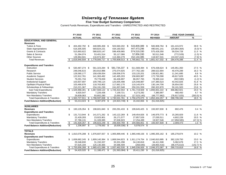**Five Year Budget Summary Comparison**

Current Funds Revenues, Expenditures and Transfers - UNRESTRICTED AND RESTRICTED

|                                           |            | FY 2010        |    | FY 2011          |     | FY 2012             | FY 2013 |                  | FY 2014 |                                      |      | <b>FIVE YEAR CHANGE</b> |               |
|-------------------------------------------|------------|----------------|----|------------------|-----|---------------------|---------|------------------|---------|--------------------------------------|------|-------------------------|---------------|
|                                           |            | <b>ACTUAL</b>  |    | <b>ACTUAL</b>    |     | <b>ACTUAL</b>       |         | <b>ACTUAL</b>    |         | <b>REVISED</b>                       |      | <b>AMOUNT</b>           | $\frac{9}{6}$ |
| <b>EDUCATIONAL AND GENERAL</b>            |            |                |    |                  |     |                     |         |                  |         |                                      |      |                         |               |
| <b>Revenues</b>                           |            |                |    |                  |     |                     |         |                  |         |                                      |      |                         |               |
| <b>Tuition &amp; Fees</b>                 | \$         | 404,492,792 \$ |    | 448,985,458 \$   |     | 503,560,202 \$      |         | 533,809,389 \$   |         | 565,908,764 \$                       |      | 161,415,972             | 39.9 %        |
| <b>State Appropriations</b>               |            | 516,305,505    |    | 569,824,231      |     | 434,160,502         |         | 447,473,296      |         | 490,641,141                          |      | (25,664,364)            | (5.0) %       |
| <b>Grants &amp; Contracts</b>             |            | 515,893,622    |    | 588,820,147      |     | 599,409,965         |         | 574,519,330      |         | 575,428,350                          |      | 59,534,728              | 11.5 %        |
| Sales & Service                           |            | 51,284,074     |    | 53,401,514       |     | 55,117,066          |         | 57,856,330       |         | 50,511,546                           |      | (772, 528)              | (1.5) %       |
| <b>Other Sources</b>                      |            | 128,964,941    |    | 116,974,367      |     | 113,360,279         |         | 152,144,385      |         | 118,927,531                          |      | (10,037,410)            | (7.8) %       |
| <b>Total Revenues</b>                     | -\$        | 1,616,940,934  | s, | 1,778,005,717    | \$  | 1,705,608,013       | க       | 1,765,802,731    | \$      | 1,801,417,332 \$                     |      | 184,476,398             | 11.4 %        |
| <b>Expenditures and Transfers</b>         |            |                |    |                  |     |                     |         |                  |         |                                      |      |                         |               |
| Instruction                               | \$         | 530,487,274 \$ |    | 561,323,284 \$   |     | 581,734,237 \$      |         | 611,569,394 \$   |         | 676,438,624 \$                       |      | 145,951,350             | 27.5 %        |
| Research                                  |            | 248,046,615    |    | 263,910,986      |     | 275,074,925         |         | 277,762,160      |         | 288,522,904                          |      | 40,476,289              | 16.3 %        |
| <b>Public Service</b>                     |            | 128,580,177    |    | 158,439,054      |     | 159,006,576         |         | 133,120,201      |         | 139,921,861                          |      | 11,341,685              | 8.8 %         |
| Academic Support                          |            | 122,912,761    |    | 141,363,492      |     | 142,495,203         |         | 158,683,987      |         | 172,730,590                          |      | 49,817,829              | 40.5 %        |
| <b>Student Services</b>                   |            | 79,291,734     |    | 79,778,059       |     | 84,436,897          |         | 86,057,765       |         | 78,369,144                           |      | (922, 590)              | (1.2) %       |
| <b>Institutional Support</b>              |            | 103,937,697    |    | 109,799,114      |     | 125,005,498         |         | 125,048,887      |         | 147,380,523                          |      | 43,442,826              | 41.8 %        |
| Op/Maint Physical Plant                   |            | 103,490,676    |    | 118,763,902      |     | 117,662,170         |         | 119,145,974      |         | 130,144,706                          |      | 26,654,030              | 25.8 %        |
| Scholarships & Fellowships                |            | 210,221,367    |    | 234, 191, 230    |     | 241,007,048         |         | 250,331,559      |         | 260,322,870                          |      | 50,101,503              | 23.8 %        |
| <b>Sub-Total Expenditures</b>             | \$         | 1,526,968,301  | \$ | 1,667,569,122 \$ |     | 1,726,422,554 \$    |         | 1,761,719,928 \$ |         | 1,893,831,222 \$                     |      | 366,862,921             | 24.0 %        |
| <b>Mandatory Transfers</b>                |            | 6,920,547      |    | 7,226,436        |     | 7,159,721           |         | 6,273,292        |         | 7,380,997                            |      | 460,450                 | 6.7 %         |
| Non Mandatory Transfers                   |            | 29,839,063     |    | 93,802,280       |     | (3,050,514)         |         | (17, 523, 145)   |         | (48, 777, 962)                       |      | (78, 617, 025)          | (263.5) %     |
| <b>Total Expenditures &amp; Transfers</b> | \$         | 1,563,727,911  | \$ | 1,768,597,838    | \$  | 1,730,531,761       | \$      | 1,750,470,075    | \$      | 1,852,434,257                        | - \$ | 288,706,346             | 18.5 %        |
| <b>Fund Balance Addition/(Reduction)</b>  | ․5         | 53,213,023     | \$ | 9,407,879 \$     |     | $(24, 923, 748)$ \$ |         | 15,332,656 \$    |         | (51,016,925)                         |      |                         |               |
| <b>AUXILIARIES</b>                        |            |                |    |                  |     |                     |         |                  |         |                                      |      |                         |               |
| <b>Revenues</b>                           | \$         | 193,135,354    | \$ | 198,601,840      | -\$ | 200,291,433         | \$      | 199,645,425      | - \$    | 193,937,830 \$                       |      | 802,476                 | 0.4%          |
| <b>Expenditures and Transfers</b>         |            |                |    |                  |     |                     |         |                  |         |                                      |      |                         |               |
| <b>Expenditures</b>                       | \$         | 131,713,944 \$ |    | 141,571,262 \$   |     | 143,122,269 \$      |         | 149,454,826 \$   |         | 146,979,773 \$                       |      | 15,265,829              | 11.6 %        |
| <b>Mandatory Transfers</b>                |            | 22,428,283     |    | 23,923,901       |     | 26,171,577          |         | 27,857,526       |         | 27,030,511                           |      | 4,602,228               | 20.5 %        |
| Non-Mandatory Transfers                   |            | 37.786.131     |    | 31,328,085       |     | 37.636.923          |         | 17,254,499       |         | 19,927,546                           |      | (17, 858, 585)          | (47.3) %      |
| <b>Total Expenditures &amp; Transfers</b> | \$         | 191,928,357    | \$ | 196,823,248      | \$  | 206,930,769         | -\$     | 194,566,851      | -\$     | 193,937,830                          | -\$  | 2,009,473               | 1.0%          |
| <b>Fund Balance Addition/(Reduction)</b>  | $\sqrt{3}$ | 1,206,997      | \$ | 1,778,592 \$     |     | $(6,639,336)$ \$    |         | 5,078,574 \$     |         |                                      |      |                         |               |
| <b>TOTALS</b>                             |            |                |    |                  |     |                     |         |                  |         |                                      |      |                         |               |
| <b>Revenues</b>                           | \$         | 1,810,076,288  | \$ | 1,976,607,557    | \$  | 1,905,899,446       | \$      | 1,965,448,156    | \$      | 1,995,355,162 \$                     |      | 185,278,874             | 10.2 %        |
| <b>Expenditures and Transfers</b>         |            |                |    |                  |     |                     |         |                  |         |                                      |      |                         |               |
| Expenditures                              | \$         | 1,658,682,245  | \$ | 1,809,140,384    | \$  | 1,869,544,823       |         |                  |         | \$ 1,911,174,754 \$ 2,040,810,995 \$ |      | 382,128,750             | 23.0 %        |
| <b>Mandatory Transfers</b>                |            | 29,348,830     |    | 31,150,337       |     | 33,331,298          |         | 34,130,818       |         | 34,411,508                           |      | 5,062,678               | 17.3 %        |
| Non-Mandatory Transfers                   |            | 67,625,194     |    | 125,130,365      |     | 34,586,409          |         | (268, 646)       |         | (28, 850, 416)                       |      | (96, 475, 610)          | (142.7) %     |
| <b>Total Expenditures &amp; Transfers</b> | \$         | 1,755,656,268  | \$ | 1,965,421,086    | \$  | 1,937,462,530       | \$      | 1,945,036,926    | \$      | 2,046,372,087                        | \$   | 290,715,819             | 16.6 %        |
| <b>Fund Balance Addition/(Reduction)</b>  | ․5         | 54,420,020 \$  |    | 11,186,471 \$    |     | $(31,563,084)$ \$   |         | 20,411,230 \$    |         | (51,016,925)                         |      |                         |               |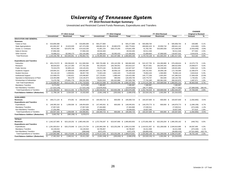**FY 2014 Revised Budget Summary**

Unrestricted and Restricted Current Funds Revenues, Expenditures and Transfers

|                                           |                        |                                      |               |                            |                              |                |                         |                                    |                | <b>CHANGE</b>              |           |
|-------------------------------------------|------------------------|--------------------------------------|---------------|----------------------------|------------------------------|----------------|-------------------------|------------------------------------|----------------|----------------------------|-----------|
|                                           |                        | FY 2013 Actual                       |               |                            | FY 2014 Original             |                |                         | FY 2014 Revised                    |                | <b>Original to Revised</b> |           |
|                                           | <b>Unrestricted</b>    | Restricted                           | <b>Total</b>  | <b>Unrestricted</b>        | Restricted                   | <b>Total</b>   | <b>Unrestricted</b>     | Total<br><b>Restricted</b>         |                | Amount                     | %         |
| <b>EDUCATION AND GENERAL</b>              |                        |                                      |               |                            |                              |                |                         |                                    |                |                            |           |
| <b>Revenues</b>                           |                        |                                      |               |                            |                              |                |                         |                                    |                |                            |           |
| Tuition & Fees                            | \$<br>533,809,389      | \$                                   | 533,809,389   | \$<br>565,277,884          | S                            | 565,277,884    | 565,908,764<br>\$       | \$<br>565,908,764                  |                | Ŝ.<br>630,880              | 0.1%      |
| <b>State Appropriations</b>               | 431,850,267 \$         | 15,623,029                           | 447,473,296   | 469.891.623 \$             | 20,883,978                   | 490,775,601    | 469,682,423 \$          | 20,958,718<br>490,641,141          |                | (134, 460)                 | 0.0%      |
| Grants & Contracts                        | 49,542,582             | 524,976,748                          | 574,519,330   | 41,661,154                 | 538,170,255                  | 579,831,409    | 41,762,792              | 533,665,558<br>575,428,350         |                | (4, 403, 059)              | $-0.8%$   |
| Sales & Service                           | 57,856,330             |                                      | 57,856,330    | 49,534,483                 |                              | 49,534,483     | 50,511,546              |                                    | 50,511,546     | 977,063                    | 2.0%      |
| <b>Other Sources</b>                      | 70,098,212             | 82,046,173                           | 152,144,385   | 51,990,420                 | 63,393,433                   | 115,383,853    | 51,858,603              | 67,068,928<br>118,927,531          |                | 3,543,678                  | 3.1%      |
| <b>Total Revenues</b>                     | \$1,143,156,780        | 622,645,951<br>\$                    | 1,765,802,731 | \$1,178,355,564            | 622,447,666 \$               | 1,800,803,230  | \$1,179,724,128         | 621,693,204<br>1,801,417,332<br>\$ |                | \$<br>614,102              | 0.0%      |
| <b>Expenditures and Transfers</b>         |                        |                                      |               |                            |                              |                |                         |                                    |                |                            |           |
| Instruction                               | \$<br>455, 174, 572 \$ | 156.394.823 \$                       | 611,569,394   | \$.<br>505,720,486<br>- \$ | 155, 142, 359 \$             | 660,862,845    | \$.<br>522.157.755 \$   | 154.280.869<br>676,438,624<br>- \$ |                | \$.<br>15,575,779          | 2.4%      |
| Research                                  | 86,634,810             | 191,127,350                          | 277,762,160   | 69,129,676                 | 194,784,551                  | 263,914,227    | 96,477,561              | 288,522,904<br>192,045,343         |                | 24,608,677                 | 9.3%      |
| <b>Public Service</b>                     | 70,315,078             | 62,805,123                           | 133,120,201   | 70,973,102                 | 61,954,445                   | 132,927,547    | 77,682,916              | 62,238,945<br>139,921,861          |                | 6,994,314                  | 5.3%      |
| Academic Support                          | 130,694,151            | 27,989,836                           | 158,683,987   | 134,311,788                | 26,058,132                   | 160,369,920    | 146,722,452             | 172,730,590<br>26,008,138          |                | 12,360,670                 | 7.7%      |
| <b>Student Services</b>                   | 84,118,134             | 1,939,631                            | 86,057,765    | 72,823,106                 | 1,602,420                    | 74,425,526     | 76,802,244              | 1,566,900                          | 78,369,144     | 3,943,618                  | 5.3%      |
| <b>Institutional Support</b>              | 122,698,075            | 2,350,811                            | 125,048,887   | 127,723,651                | 1,698,444                    | 129,422,095    | 145,777,259             | 1,603,264<br>147,380,523           |                | 17,958,428                 | 13.9%     |
| Operation & Maintenance of Plant          | 118,493,896            | 652,078                              | 119,145,974   | 128,019,649                | 390,056                      | 128,409,705    | 129,779,757             | 364,949<br>130,144,706             |                | 1,735,001                  | 1.4%      |
| Scholarships & Fellowships                | 74,479,780             | 175,851,779                          | 250,331,559   | 76,812,910                 | 181,022,889                  | 257,835,799    | 77,741,340              | 182,581,530<br>260,322,870         |                | 2,487,071                  | 1.0%      |
| Sub-Total Expenditures                    | \$1,142,608,497        | 619,111,431 \$ 1,761,719,928<br>- \$ |               | \$1,185,514,368<br>- \$    | 622,653,296 \$ 1,808,167,664 |                | \$1,273,141,284<br>- \$ | 620,689,938 \$<br>1,893,831,222    |                | 85,663,558<br>-S           | 4.7%      |
| <b>Mandatory Transfers</b>                | 6,273,292              |                                      | 6,273,292     | 7,380,997                  |                              | 7,380,997      | 7,380,997               |                                    | 7,380,997      |                            |           |
| Non-Mandatory Transfers                   | (17, 523, 145)         |                                      | (17,523,145)  | (10, 878, 453)             |                              | (10, 878, 453) | (48, 777, 962)          |                                    | (48, 777, 962) | (37, 899, 509)             | 348.4%    |
| <b>Total Expenditures &amp; Transfers</b> | $$1,131,358,644$ \\$   | 619,111,431 \$ 1,750,470,075         |               | $$1,182,016,912$ \$        | 622,653,296 \$ 1,804,670,208 |                | $$1,231,744,319$ \$     | 620,689,938 \$<br>1,852,434,257    |                | \$<br>47,764,049           | 2.6%      |
| Fund Balance Addition / (Reduction)       | \$<br>11,798,136 \$    | 3,534,520 \$                         | 15,332,656    | \$<br>$(3,661,348)$ \$     | $(205, 630)$ \$              | (3,866,978)    | \$<br>$(52,020,191)$ \$ | 1,003,266<br>- \$                  | (51,016,925)   |                            |           |
| <b>AUXILIARIES</b>                        |                        |                                      |               |                            |                              |                |                         |                                    |                |                            |           |
| <b>Revenues</b>                           | \$<br>199, 171, 124 \$ | 474,301<br>\$                        | 199,645,425   | \$.<br>194,400,723 \$      | 600,000<br>\$                | 195,000,723    | S<br>193,337,830 \$     | 600,000<br>\$<br>193,937,830       |                | \$.<br>(1,062,893)         | $-0.5%$   |
| <b>Expenditures and Transfers</b>         |                        |                                      |               |                            |                              |                |                         |                                    |                |                            |           |
| Expenditures                              | 148,395,318 \$<br>\$   | 1,059,509 \$                         | 149,454,826   | 147,445,931 \$<br>\$       | 600,000 \$                   | 148,045,931    | S.<br>146,379,773 \$    | 146,979,773<br>600,000 \$          |                | Ŝ.<br>(1,066,158)          | $-0.7%$   |
| <b>Mandatory Transfers</b>                | 27,857,526             |                                      | 27,857,526    | 27,404,860                 |                              | 27,404,860     | 27,030,511              |                                    | 27,030,511     | (374, 349)                 | $-1.4%$   |
| Non-Mandatory Transfers                   | 17,254,499             |                                      | 17,254,499    | 19,549,932                 |                              | 19,549,932     | 19,927,546              |                                    | 19,927,546     | 377,614                    | 1.9%      |
| <b>Total Expenditures &amp; Transfers</b> | \$<br>193,507,343 \$   | 1,059,509 \$                         | 194,566,851   | \$<br>194,400,723 \$       | 600,000 \$                   | 195,000,723    | \$<br>193,337,830 \$    | 600,000 \$                         | 193,937,830    | \$<br>(1,062,893)          | $-0.5%$   |
| Fund Balance Addition / (Reduction)       | \$<br>5,663,782 \$     | $(585, 208)$ \$                      | 5,078,574     |                            |                              |                |                         |                                    |                |                            |           |
| <b>TOTALS</b>                             |                        |                                      |               |                            |                              |                |                         |                                    |                |                            |           |
| Revenues                                  | \$1,342,327,905        | 623,120,252 \$ 1,965,448,156<br>- \$ |               | $$1,372,756,287$ \$        | 623,047,666 \$ 1,995,803,953 |                | \$1,373,061,958<br>- \$ | 622,293,204 \$<br>1,995,355,162    |                | (448, 791)<br>\$           | 0.0%      |
| <b>Expenditures and Transfers</b>         |                        |                                      |               |                            |                              |                |                         |                                    |                |                            |           |
| Expenditures                              | $$1,291,003,814$ \$    | 620,170,940 \$ 1,911,174,754         |               | \$1,332,960,299<br>- \$    | 623,253,296 \$               | 1,956,213,595  | \$1,419,521,057<br>- \$ | 621,289,938 \$<br>2,040,810,995    |                | \$<br>84,597,400           | 4.3%      |
| <b>Mandatory Transfers</b>                | 34,130,818             |                                      | 34,130,818    | 34,785,857                 |                              | 34,785,857     | 34,411,508              |                                    | 34,411,508     | (374, 349)                 | $-1.1%$   |
| Non-Mandatory Transfers                   | (268, 646)             |                                      | (268, 646)    | 8,671,479                  |                              | 8,671,479      | (28, 850, 416)          |                                    | (28, 850, 416) | (37, 521, 895)             | $-432.7%$ |
| <b>Total Expenditures &amp; Transfers</b> | \$1,324,865,986        | \$<br>620,170,940<br>\$              | 1,945,036,926 | \$1,376,417,635<br>- \$    | 623,253,296 \$ 1,999,670,931 |                | \$1,425,082,149<br>- \$ | 621,289,938<br>\$2,046,372,087     |                | $\mathbb{S}$<br>46,701,156 | 2.3%      |
| Fund Balance Addition / (Reduction)       | \$<br>17,461,918 \$    | 2,949,312 \$                         | 20,411,230    | \$<br>$(3,661,348)$ \$     | $(205, 630)$ \$              | (3,866,978)    | S.<br>$(52,020,191)$ \$ | 1,003,266 \$                       | (51,016,925)   |                            |           |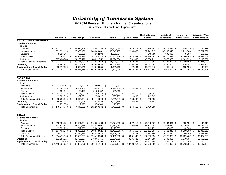**FY 2014 Revised Budget - Natural Classifications**

Unrestricted Current Funds Expenditures

|                                     |     |                     |      |                |      |                  |               |                        |      | <b>Health Science</b> |      | Institute of       |                       | <b>Institute for</b> | <b>University-Wide</b> |
|-------------------------------------|-----|---------------------|------|----------------|------|------------------|---------------|------------------------|------|-----------------------|------|--------------------|-----------------------|----------------------|------------------------|
|                                     |     | <b>Total System</b> |      | Chattanooga    |      | Knoxville        | Martin        | <b>Space Institute</b> |      | <b>Center</b>         |      | <b>Agriculture</b> | <b>Public Service</b> |                      | <b>Administration</b>  |
| <b>EDUCATIONAL AND GENERAL</b>      |     |                     |      |                |      |                  |               |                        |      |                       |      |                    |                       |                      |                        |
| <b>Salaries and Benefits</b>        |     |                     |      |                |      |                  |               |                        |      |                       |      |                    |                       |                      |                        |
| Salaries                            |     |                     |      |                |      |                  |               |                        |      |                       |      |                    |                       |                      |                        |
| Academic                            | \$  | 317,923,127 \$      |      | 38,974,304 \$  |      | 145,061,128 \$   | 23,771,030 \$ | 1,972,113 \$           |      | 79,545,467 \$         |      | 28,104,331 \$      |                       | 300,139 \$           | 194,615                |
| Non-Academic                        |     | 291,092,199         |      | 29,935,163     |      | 108,340,881      | 19,243,155    | 2,968,469              |      | 57,741,217            |      | 40,906,049         |                       | 9,219,364            | 22,737,901             |
| <b>Students</b>                     |     | 8,180,985           |      | 638,858        |      | 4,362,203        | 1,636,784     |                        |      | 949,759               |      | 396,468            |                       | 40,860               | 156,053                |
| <b>Total Salaries</b>               | \$  | 617,196,311 \$      |      | 69,548,325     | -\$  | 257,764,212 \$   | 44,650,969 \$ | 4,940,582              | - \$ | 138,236,443 \$        |      | 69,406,848 \$      |                       | 9,560,363 \$         | 23,088,569             |
| <b>Staff Benefits</b>               |     | 207,434,740         |      | 24,123,478     |      | 84,211,752       | 17,024,034    | 1,731,895              |      | 43,538,111            |      | 26,370,020         |                       | 3,149,099            | 7,286,351              |
| <b>Total Salaries and Benefits</b>  | \$  | 824,631,051 \$      |      | 93,671,803 \$  |      | 341,975,964 \$   | 61,675,003 \$ | 6,672,477 \$           |      | 181,774,554 \$        |      | 95,776,868 \$      |                       | 12,709,462 \$        | 30,374,920             |
| Operating                           |     | 415,992,837         |      | 39,758,469     |      | 201,989,033      | 27, 154, 135  | 3,190,793              |      | 78,577,093            |      | 45,790,405         |                       | 3,870,704            | 15,662,205             |
| <b>Equipment and Capital Outlay</b> |     | 32,517,396          |      | 1,803,542      |      | 14,618,955       | 1,391,768     | 72,884                 |      | 13,951,945            |      | 445,117            |                       | 133,185              | 100,000                |
| <b>Total Expenditures</b>           |     | \$1,273,141,284     | \$   | 135,233,814 \$ |      | 558,583,952 \$   | 90,220,906 \$ | 9,936,154              | - \$ | 274,303,592 \$        |      | 142,012,390        | - \$                  | 16,713,351 \$        | 46, 137, 125           |
|                                     |     |                     |      |                |      |                  |               |                        |      |                       |      |                    |                       |                      |                        |
|                                     |     |                     |      |                |      |                  |               |                        |      |                       |      |                    |                       |                      |                        |
| <b>AUXILIAIRES</b>                  |     |                     |      |                |      |                  |               |                        |      |                       |      |                    |                       |                      |                        |
| <b>Salaries and Benefits</b>        |     |                     |      |                |      |                  |               |                        |      |                       |      |                    |                       |                      |                        |
| Salaries                            |     |                     |      |                |      |                  |               |                        |      |                       |      |                    |                       |                      |                        |
| Academic                            | \$  | 600,604 \$          |      | $7,000$ \$     |      | 590,541 \$       | 3,063         |                        |      |                       |      |                    |                       |                      |                        |
| Non-Academic                        |     | 42,483,349          |      | 1,367,305      |      | 39,098,720       | 1,516,905 \$  | 134,568 \$             |      | 365,851               |      |                    |                       |                      |                        |
| <b>Students</b>                     |     | 4,121,969           |      | 80,498         |      | 3,480,452        | 561,019       |                        |      |                       |      |                    |                       |                      |                        |
| <b>Total Salaries</b>               | \$  | 47,205,922 \$       |      | 1,454,803 \$   |      | 43,169,713 \$    | 2,080,987 \$  | 134,568 \$             |      | 365,851               |      |                    |                       |                      |                        |
| <b>Staff Benefits</b>               |     | 12,582,593          |      | 459,261        |      | 11,274,827       | 680,960       | 24,000                 |      | 143,545               |      |                    |                       |                      |                        |
| <b>Total Salaries and Benefits</b>  | \$  | 59,788,515 \$       |      | 1,914,064 \$   |      | 54,444,540 \$    | 2,761,947 \$  | 158,568 \$             |      | 509,396               |      |                    |                       |                      |                        |
| Operating                           |     | 85,888,388          |      | 2,724,928      |      | 77,076,422       | 5,020,634     | 95,542                 |      | 970,862               |      |                    |                       |                      |                        |
| <b>Equipment and Capital Outlay</b> |     | 702,870             |      | 9,970          |      | 676,200          | 16,700        |                        |      |                       |      |                    |                       |                      |                        |
| <b>Total Expenditures</b>           | \$  | 146,379,773 \$      |      | 4,648,962      | - \$ | 132, 197, 162 \$ | 7,799,281     | \$<br>254,110          | - \$ | 1,480,258             |      |                    |                       |                      |                        |
|                                     |     |                     |      |                |      |                  |               |                        |      |                       |      |                    |                       |                      |                        |
|                                     |     |                     |      |                |      |                  |               |                        |      |                       |      |                    |                       |                      |                        |
| <b>TOTALS</b>                       |     |                     |      |                |      |                  |               |                        |      |                       |      |                    |                       |                      |                        |
| <b>Salaries and Benefits</b>        |     |                     |      |                |      |                  |               |                        |      |                       |      |                    |                       |                      |                        |
| Salaries                            |     |                     |      |                |      |                  |               |                        |      |                       |      |                    |                       |                      |                        |
| Academic                            | \$  | 318,523,731 \$      |      | 38,981,304 \$  |      | 145,651,669 \$   | 23,774,093 \$ | 1,972,113 \$           |      | 79,545,467 \$         |      | 28,104,331 \$      |                       | 300,139 \$           | 194,615                |
| Non-Academic                        |     | 333,575,548         |      | 31,302,468     |      | 147,439,601      | 20,760,060    | 3,103,037              |      | 58,107,068            |      | 40,906,049         |                       | 9,219,364            | 22,737,901             |
| <b>Students</b>                     |     | 12,302,954          |      | 719,356        |      | 7,842,655        | 2,197,803     |                        |      | 949,759               |      | 396,468            |                       | 40,860               | 156,053                |
| <b>Total Salaries</b>               | \$. | 664,402,233 \$      |      | 71,003,128 \$  |      | 300,933,925 \$   | 46,731,956 \$ | 5,075,150 \$           |      | 138,602,294           | -\$  | 69,406,848 \$      |                       | 9,560,363 \$         | 23,088,569             |
| <b>Staff Benefits</b>               |     | 220,017,333         |      | 24,582,739     |      | 95,486,579       | 17,704,994    | 1,755,895              |      | 43,681,656            |      | 26,370,020         |                       | 3,149,099            | 7,286,351              |
| <b>Total Salaries and Benefits</b>  | \$. | 884,419,566         | - \$ | 95,585,867 \$  |      | 396,420,504 \$   | 64,436,950 \$ | 6,831,045              | -\$  | 182,283,950           | \$   | 95,776,868 \$      |                       | 12,709,462 \$        | 30,374,920             |
| Operating                           |     | 501,881,225         |      | 42,483,397     |      | 279,065,455      | 32,174,769    | 3,286,335              |      | 79,547,955            |      | 45,790,405         |                       | 3,870,704            | 15,662,205             |
| <b>Equipment and Capital Outlay</b> |     | 33,220,266          |      | 1,813,512      |      | 15,295,155       | 1,408,468     | 72,884                 |      | 13,951,945            |      | 445,117            |                       | 133,185              | 100,000                |
| <b>Total Expenditures</b>           |     | \$1,419,521,057     | \$   | 139,882,776    | - \$ | 690,781,114 \$   | 98,020,187 \$ | 10,190,264             | S.   | 275,783,850           | - \$ | 142,012,390        | - \$                  | 16,713,351 \$        | 46,137,125             |
|                                     |     |                     |      |                |      |                  |               |                        |      |                       |      |                    |                       |                      |                        |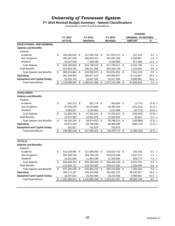#### **FY 2014 Revised Budget Summary - Natural Classifications**

Unrestricted Current Funds Expenditures

| FY 2013<br>FY 2014<br>FY 2014<br><b>ORIGINAL TO REVISED</b><br><b>AMOUNT</b><br>$\%$<br><b>ACTUAL</b><br><b>ORIGINAL</b><br><b>REVISED</b><br><b>EDUCATIONAL AND GENERAL</b><br><b>Salaries and Benefits</b><br>Salaries<br>\$<br>Academic<br>309,583,652<br>\$<br>317,395,704 \$<br>317,923,127 \$<br>527,423<br>5,028,887<br>Non-Academic<br>285,407,559<br>286,063,312<br>291,092,199<br><b>Students</b><br>10,197,839<br>7,309,499<br>871,486<br>8,180,985<br>\$<br><b>Total Salaries</b><br>605,189,049<br>\$<br>610,768,515<br>\$<br>617,196,311<br>\$<br>6,427,796<br><b>Staff Benefits</b><br>202,864,792<br>206,221,308<br>207,434,740<br>1,213,432<br>\$<br><b>Total Salaries and Benefits</b><br>808,053,841<br>\$<br>816,989,823 \$<br>824,631,051<br>\$<br>7,641,228<br>Operating<br>302,198,952<br>345,877,010<br>415,992,837<br>70,115,827<br><b>Equipment and Capital Outlay</b><br>32,355,704<br>22,647,535<br>32,517,396<br>9,869,861<br><b>Total Expenditures</b><br>\$<br>1,142,608,497<br>\$<br>1,185,514,368<br>\$<br>1,273,141,284<br>\$<br>87,626,916<br><b>AUXILIARIES</b><br><b>Salaries and Benefits</b><br>Salaries<br>\$<br>Academic<br>562,213<br>- \$<br>602,779<br>- \$<br>600,604<br>\$<br>(2, 175)<br>Non-Academic<br>47,033,236<br>42,674,964<br>42,483,349<br>(191, 615)<br><b>Students</b><br>4,063,827<br>4,154,681<br>4,121,969<br>(32, 712)<br><b>Total Salaries</b><br>\$<br>51,659,276<br>\$<br>47,432,424 \$<br>47,205,922<br>\$<br>(226, 502)<br><b>Staff Benefits</b><br>12,570,919<br>12,582,593<br>40,614<br>12,541,979<br><b>Total Salaries and Benefits</b><br>\$<br>64,230,195<br>\$<br>59,974,403 \$<br>59,788,515<br>(185, 888)<br>\$<br>Operating<br>83,973,206<br>86,768,658<br>85,888,388<br>(880, 270) |           |
|----------------------------------------------------------------------------------------------------------------------------------------------------------------------------------------------------------------------------------------------------------------------------------------------------------------------------------------------------------------------------------------------------------------------------------------------------------------------------------------------------------------------------------------------------------------------------------------------------------------------------------------------------------------------------------------------------------------------------------------------------------------------------------------------------------------------------------------------------------------------------------------------------------------------------------------------------------------------------------------------------------------------------------------------------------------------------------------------------------------------------------------------------------------------------------------------------------------------------------------------------------------------------------------------------------------------------------------------------------------------------------------------------------------------------------------------------------------------------------------------------------------------------------------------------------------------------------------------------------------------------------------------------------------------------------------------------------------------------------------------------------------|-----------|
|                                                                                                                                                                                                                                                                                                                                                                                                                                                                                                                                                                                                                                                                                                                                                                                                                                                                                                                                                                                                                                                                                                                                                                                                                                                                                                                                                                                                                                                                                                                                                                                                                                                                                                                                                                |           |
|                                                                                                                                                                                                                                                                                                                                                                                                                                                                                                                                                                                                                                                                                                                                                                                                                                                                                                                                                                                                                                                                                                                                                                                                                                                                                                                                                                                                                                                                                                                                                                                                                                                                                                                                                                |           |
|                                                                                                                                                                                                                                                                                                                                                                                                                                                                                                                                                                                                                                                                                                                                                                                                                                                                                                                                                                                                                                                                                                                                                                                                                                                                                                                                                                                                                                                                                                                                                                                                                                                                                                                                                                |           |
|                                                                                                                                                                                                                                                                                                                                                                                                                                                                                                                                                                                                                                                                                                                                                                                                                                                                                                                                                                                                                                                                                                                                                                                                                                                                                                                                                                                                                                                                                                                                                                                                                                                                                                                                                                |           |
|                                                                                                                                                                                                                                                                                                                                                                                                                                                                                                                                                                                                                                                                                                                                                                                                                                                                                                                                                                                                                                                                                                                                                                                                                                                                                                                                                                                                                                                                                                                                                                                                                                                                                                                                                                |           |
|                                                                                                                                                                                                                                                                                                                                                                                                                                                                                                                                                                                                                                                                                                                                                                                                                                                                                                                                                                                                                                                                                                                                                                                                                                                                                                                                                                                                                                                                                                                                                                                                                                                                                                                                                                | 0.2 %     |
|                                                                                                                                                                                                                                                                                                                                                                                                                                                                                                                                                                                                                                                                                                                                                                                                                                                                                                                                                                                                                                                                                                                                                                                                                                                                                                                                                                                                                                                                                                                                                                                                                                                                                                                                                                | 1.8%      |
|                                                                                                                                                                                                                                                                                                                                                                                                                                                                                                                                                                                                                                                                                                                                                                                                                                                                                                                                                                                                                                                                                                                                                                                                                                                                                                                                                                                                                                                                                                                                                                                                                                                                                                                                                                | 11.9 %    |
|                                                                                                                                                                                                                                                                                                                                                                                                                                                                                                                                                                                                                                                                                                                                                                                                                                                                                                                                                                                                                                                                                                                                                                                                                                                                                                                                                                                                                                                                                                                                                                                                                                                                                                                                                                | 1.1 $%$   |
|                                                                                                                                                                                                                                                                                                                                                                                                                                                                                                                                                                                                                                                                                                                                                                                                                                                                                                                                                                                                                                                                                                                                                                                                                                                                                                                                                                                                                                                                                                                                                                                                                                                                                                                                                                | 0.6%      |
|                                                                                                                                                                                                                                                                                                                                                                                                                                                                                                                                                                                                                                                                                                                                                                                                                                                                                                                                                                                                                                                                                                                                                                                                                                                                                                                                                                                                                                                                                                                                                                                                                                                                                                                                                                | 0.9 %     |
|                                                                                                                                                                                                                                                                                                                                                                                                                                                                                                                                                                                                                                                                                                                                                                                                                                                                                                                                                                                                                                                                                                                                                                                                                                                                                                                                                                                                                                                                                                                                                                                                                                                                                                                                                                | 20.3 %    |
|                                                                                                                                                                                                                                                                                                                                                                                                                                                                                                                                                                                                                                                                                                                                                                                                                                                                                                                                                                                                                                                                                                                                                                                                                                                                                                                                                                                                                                                                                                                                                                                                                                                                                                                                                                | 43.6 %    |
|                                                                                                                                                                                                                                                                                                                                                                                                                                                                                                                                                                                                                                                                                                                                                                                                                                                                                                                                                                                                                                                                                                                                                                                                                                                                                                                                                                                                                                                                                                                                                                                                                                                                                                                                                                | 7.4 %     |
|                                                                                                                                                                                                                                                                                                                                                                                                                                                                                                                                                                                                                                                                                                                                                                                                                                                                                                                                                                                                                                                                                                                                                                                                                                                                                                                                                                                                                                                                                                                                                                                                                                                                                                                                                                |           |
|                                                                                                                                                                                                                                                                                                                                                                                                                                                                                                                                                                                                                                                                                                                                                                                                                                                                                                                                                                                                                                                                                                                                                                                                                                                                                                                                                                                                                                                                                                                                                                                                                                                                                                                                                                |           |
|                                                                                                                                                                                                                                                                                                                                                                                                                                                                                                                                                                                                                                                                                                                                                                                                                                                                                                                                                                                                                                                                                                                                                                                                                                                                                                                                                                                                                                                                                                                                                                                                                                                                                                                                                                |           |
|                                                                                                                                                                                                                                                                                                                                                                                                                                                                                                                                                                                                                                                                                                                                                                                                                                                                                                                                                                                                                                                                                                                                                                                                                                                                                                                                                                                                                                                                                                                                                                                                                                                                                                                                                                |           |
|                                                                                                                                                                                                                                                                                                                                                                                                                                                                                                                                                                                                                                                                                                                                                                                                                                                                                                                                                                                                                                                                                                                                                                                                                                                                                                                                                                                                                                                                                                                                                                                                                                                                                                                                                                | $(0.4)$ % |
|                                                                                                                                                                                                                                                                                                                                                                                                                                                                                                                                                                                                                                                                                                                                                                                                                                                                                                                                                                                                                                                                                                                                                                                                                                                                                                                                                                                                                                                                                                                                                                                                                                                                                                                                                                | $(0.4)$ % |
|                                                                                                                                                                                                                                                                                                                                                                                                                                                                                                                                                                                                                                                                                                                                                                                                                                                                                                                                                                                                                                                                                                                                                                                                                                                                                                                                                                                                                                                                                                                                                                                                                                                                                                                                                                | $(0.8)$ % |
|                                                                                                                                                                                                                                                                                                                                                                                                                                                                                                                                                                                                                                                                                                                                                                                                                                                                                                                                                                                                                                                                                                                                                                                                                                                                                                                                                                                                                                                                                                                                                                                                                                                                                                                                                                | $(0.5)$ % |
|                                                                                                                                                                                                                                                                                                                                                                                                                                                                                                                                                                                                                                                                                                                                                                                                                                                                                                                                                                                                                                                                                                                                                                                                                                                                                                                                                                                                                                                                                                                                                                                                                                                                                                                                                                | 0.3 %     |
|                                                                                                                                                                                                                                                                                                                                                                                                                                                                                                                                                                                                                                                                                                                                                                                                                                                                                                                                                                                                                                                                                                                                                                                                                                                                                                                                                                                                                                                                                                                                                                                                                                                                                                                                                                | $(0.3)$ % |
|                                                                                                                                                                                                                                                                                                                                                                                                                                                                                                                                                                                                                                                                                                                                                                                                                                                                                                                                                                                                                                                                                                                                                                                                                                                                                                                                                                                                                                                                                                                                                                                                                                                                                                                                                                | $(1.0)$ % |
| <b>Equipment and Capital Outlay</b><br>191,917<br>702,870<br>702,870                                                                                                                                                                                                                                                                                                                                                                                                                                                                                                                                                                                                                                                                                                                                                                                                                                                                                                                                                                                                                                                                                                                                                                                                                                                                                                                                                                                                                                                                                                                                                                                                                                                                                           |           |
| <b>Total Expenditures</b><br>\$<br>148,395,318<br>\$<br>147,445,931<br>\$<br>146,379,773<br>\$<br>(1,066,158)                                                                                                                                                                                                                                                                                                                                                                                                                                                                                                                                                                                                                                                                                                                                                                                                                                                                                                                                                                                                                                                                                                                                                                                                                                                                                                                                                                                                                                                                                                                                                                                                                                                  | $(0.7)$ % |
|                                                                                                                                                                                                                                                                                                                                                                                                                                                                                                                                                                                                                                                                                                                                                                                                                                                                                                                                                                                                                                                                                                                                                                                                                                                                                                                                                                                                                                                                                                                                                                                                                                                                                                                                                                |           |
| <b>TOTALS</b>                                                                                                                                                                                                                                                                                                                                                                                                                                                                                                                                                                                                                                                                                                                                                                                                                                                                                                                                                                                                                                                                                                                                                                                                                                                                                                                                                                                                                                                                                                                                                                                                                                                                                                                                                  |           |
| <b>Salaries and Benefits</b>                                                                                                                                                                                                                                                                                                                                                                                                                                                                                                                                                                                                                                                                                                                                                                                                                                                                                                                                                                                                                                                                                                                                                                                                                                                                                                                                                                                                                                                                                                                                                                                                                                                                                                                                   |           |
| <b>Salaries</b>                                                                                                                                                                                                                                                                                                                                                                                                                                                                                                                                                                                                                                                                                                                                                                                                                                                                                                                                                                                                                                                                                                                                                                                                                                                                                                                                                                                                                                                                                                                                                                                                                                                                                                                                                |           |
| \$<br>310,145,865<br>Academic<br>\$<br>317,998,483<br>318,523,731<br>525,248<br>- \$<br>\$                                                                                                                                                                                                                                                                                                                                                                                                                                                                                                                                                                                                                                                                                                                                                                                                                                                                                                                                                                                                                                                                                                                                                                                                                                                                                                                                                                                                                                                                                                                                                                                                                                                                     | 0.2 %     |
| Non-Academic<br>332,440,794<br>328,738,276<br>333,575,548<br>4,837,272                                                                                                                                                                                                                                                                                                                                                                                                                                                                                                                                                                                                                                                                                                                                                                                                                                                                                                                                                                                                                                                                                                                                                                                                                                                                                                                                                                                                                                                                                                                                                                                                                                                                                         | 1.5%      |
| 11,464,180<br>838,774<br>Students<br>14,261,665<br>12,302,954                                                                                                                                                                                                                                                                                                                                                                                                                                                                                                                                                                                                                                                                                                                                                                                                                                                                                                                                                                                                                                                                                                                                                                                                                                                                                                                                                                                                                                                                                                                                                                                                                                                                                                  | 7.3 %     |
| <b>Total Salaries</b><br>\$<br>656,848,324<br>658,200,939<br>6,201,294<br>\$<br>-\$<br>664,402,233<br>\$                                                                                                                                                                                                                                                                                                                                                                                                                                                                                                                                                                                                                                                                                                                                                                                                                                                                                                                                                                                                                                                                                                                                                                                                                                                                                                                                                                                                                                                                                                                                                                                                                                                       | 0.9 %     |
| <b>Staff Benefits</b><br>215,435,711<br>218,763,287<br>220,017,333<br>1,254,046                                                                                                                                                                                                                                                                                                                                                                                                                                                                                                                                                                                                                                                                                                                                                                                                                                                                                                                                                                                                                                                                                                                                                                                                                                                                                                                                                                                                                                                                                                                                                                                                                                                                                | 0.6%      |
| \$<br><b>Total Salaries and Benefits</b><br>872,284,036<br>\$<br>876,964,226 \$<br>884,419,566<br>\$<br>7,455,340                                                                                                                                                                                                                                                                                                                                                                                                                                                                                                                                                                                                                                                                                                                                                                                                                                                                                                                                                                                                                                                                                                                                                                                                                                                                                                                                                                                                                                                                                                                                                                                                                                              | 0.9%      |
| Operating<br>386,172,157<br>432,645,668<br>501,881,225<br>69,235,557                                                                                                                                                                                                                                                                                                                                                                                                                                                                                                                                                                                                                                                                                                                                                                                                                                                                                                                                                                                                                                                                                                                                                                                                                                                                                                                                                                                                                                                                                                                                                                                                                                                                                           | 16.0 %    |
| <b>Equipment and Capital Outlay</b><br>32,547,621<br>23,350,405<br>33,220,266<br>9,869,861                                                                                                                                                                                                                                                                                                                                                                                                                                                                                                                                                                                                                                                                                                                                                                                                                                                                                                                                                                                                                                                                                                                                                                                                                                                                                                                                                                                                                                                                                                                                                                                                                                                                     | 42.3 %    |
| <b>Total Expenditures</b><br>1,291,003,814<br>\$<br>1,332,960,299<br>\$<br>1,419,521,057<br>\$<br>86,560,758<br>\$                                                                                                                                                                                                                                                                                                                                                                                                                                                                                                                                                                                                                                                                                                                                                                                                                                                                                                                                                                                                                                                                                                                                                                                                                                                                                                                                                                                                                                                                                                                                                                                                                                             | 6.5 %     |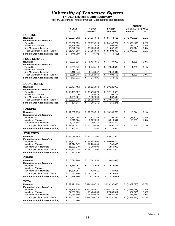**FY 2014 Revised Budget Summary**

Auxiliary Enterprises Funds Revenues, Expenditures and Transfers

|                                                       |                                  |                                        |                                       | <b>CHANGE</b>              |         |
|-------------------------------------------------------|----------------------------------|----------------------------------------|---------------------------------------|----------------------------|---------|
|                                                       | FY 2013                          | FY 2014                                | FY 2014                               | <b>ORIGINAL TO REVISED</b> |         |
|                                                       | <b>ACTUAL</b>                    | <b>ORIGINAL</b>                        | <b>REVISED</b>                        | <b>AMOUNT</b>              | %       |
| <b>HOUSING</b>                                        |                                  |                                        |                                       |                            |         |
|                                                       |                                  |                                        |                                       |                            |         |
| <b>Revenues</b>                                       | \$<br>60,987,902                 | \$<br>57,834,048                       | \$<br>56,754,516                      | \$<br>(1,079,532)          | $-1.9%$ |
| <b>Expenditures and Transfers</b>                     |                                  |                                        |                                       |                            |         |
| Expenditures                                          | \$<br>33,792,359                 | 35,175,923<br>S                        | 34, 143, 777<br>\$                    | \$<br>(1,032,146)          | $-2.9%$ |
| <b>Mandatory Transfers</b>                            | 11,899,956                       | 11,427,549                             | 11,002,549                            | (425,000)                  | $-3.7%$ |
| Non-Mandatory Transfers                               | 16,042,378                       | 11,280,368                             | 11,657,982                            | 377,614                    | 3.3%    |
| <b>Total Expenditures and Transfers</b>               | \$<br>61,734,693                 | 57,883,840<br>\$                       | \$<br>56,804,308                      | (1,079,532)<br>\$          | $-1.9%$ |
| <b>Fund Balance Addition/(Reduction)</b>              | \$<br>(746, 790)                 | \$<br>(49, 792)                        | \$<br>(49, 792)                       |                            |         |
| <b>FOOD SERVICE</b>                                   |                                  |                                        |                                       |                            |         |
| <b>Revenues</b>                                       | \$<br>5,823,515                  | \$<br>5,435,665                        | \$<br>5,437,060                       | \$<br>1,395                | 0.0%    |
| <b>Expenditures and Transfers</b>                     |                                  |                                        |                                       |                            |         |
| Expenditures                                          | \$<br>2,831,942                  | \$                                     | \$<br>2,244,808                       | \$<br>1,395                | 0.1%    |
|                                                       |                                  | 2,243,413                              |                                       |                            |         |
| <b>Mandatory Transfers</b><br>Non-Mandatory Transfers | 67,958                           |                                        |                                       |                            |         |
|                                                       | 3,416,846                        | 2,848,647                              | 2,848,647                             |                            |         |
| <b>Total Expenditures and Transfers</b>               | \$<br>6,316,746                  | \$<br>5,092,060                        | \$<br>5,093,455                       | \$<br>1,395                | 0.0%    |
| <b>Fund Balance Addition/(Reduction)</b>              | \$<br>(493, 231)                 | \$<br>343,605                          | \$<br>343,605                         |                            |         |
| <b>BOOKSTORES</b>                                     |                                  |                                        |                                       |                            |         |
| Revenues                                              | 20,457,482<br>S                  | 19,121,958                             | \$                                    |                            |         |
|                                                       |                                  | S                                      | 19,121,958                            |                            |         |
| <b>Expenditures and Transfers</b>                     |                                  |                                        |                                       |                            |         |
| Expenditures                                          | S<br>18,401,037                  | S<br>17,713,673                        | \$<br>17,713,673                      |                            |         |
| <b>Mandatory Transfers</b>                            | 0                                | 109,418                                | 109,418                               |                            |         |
| Non-Mandatory Transfers                               | 1,931,801                        | 1,032,596                              | 1,032,596                             |                            |         |
| <b>Total Expenditures and Transfers</b>               | \$<br>$\overline{20}$ , 332, 838 | \$<br>18,855,687                       | \$<br>18,855,687                      |                            |         |
| <b>Fund Balance Addition/(Reduction)</b>              | \$<br>124,644                    | \$<br>266,271                          | \$<br>266,271                         |                            |         |
| <b>PARKING</b>                                        |                                  |                                        |                                       |                            |         |
|                                                       |                                  |                                        |                                       |                            |         |
| Revenues                                              | \$<br>11,735,275                 | 13,090,519<br>\$                       | 13,105,763<br>\$                      | \$<br>15,244               | 0.1%    |
| <b>Expenditures and Transfers</b>                     |                                  |                                        |                                       |                            |         |
| Expenditures                                          | \$<br>6,867,055                  | \$<br>7,828,756                        | \$<br>7,793,349                       | \$<br>(35, 407)            | $-0.5%$ |
| <b>Mandatory Transfers</b>                            | 2,915,564                        | 3,167,893                              | 3,218,544                             | 50,651                     | 1.6%    |
| Non-Mandatory Transfers                               | 1,994,508                        | 2,080,310                              | 2,080,310                             |                            |         |
| <b>Total Expenditures and Transfers</b>               | \$<br>11,777,127                 | \$<br>13,076,959                       | \$<br>13,092,203                      | \$<br>15,244               | 0.1%    |
| <b>Fund Balance Addition/(Reduction)</b>              | \$<br>(41, 852)                  | \$<br>13,560                           | \$<br>13,560                          |                            |         |
| <b>ATHLETICS</b>                                      |                                  |                                        |                                       |                            |         |
|                                                       |                                  |                                        |                                       |                            |         |
| <b>Revenues</b>                                       | \$<br>93,594,169                 | 95,077,500<br>\$                       | 95,077,500<br>S                       |                            |         |
| <b>Expenditures and Transfers</b>                     |                                  |                                        |                                       |                            |         |
| Expenditures                                          | \$<br>81,321,971                 | 80,508,500<br>\$                       | \$<br>80,508,500                      |                            |         |
| <b>Mandatory Transfers</b>                            | 12,974,047                       | 12,700,000                             | 12,700,000                            |                            |         |
| Non-Mandatory Transfers                               | (1,532,979)                      | 1,869,000                              | 1,869,000                             |                            |         |
| <b>Total Expenditures and Transfers</b>               | 92,763,039<br>\$                 | \$<br>95,077,500                       | \$<br>95,077,500                      |                            |         |
| <b>Fund Balance Addition/(Reduction)</b>              | \$<br>831,130                    |                                        |                                       |                            |         |
| <b>OTHER</b>                                          |                                  |                                        |                                       |                            |         |
| <b>Revenues</b>                                       | \$<br>6,572,780                  | \$<br>3,841,033                        | \$<br>3,841,033                       |                            |         |
| <b>Expenditures and Transfers</b>                     |                                  |                                        |                                       |                            |         |
|                                                       |                                  |                                        |                                       |                            |         |
| Expenditures                                          | \$<br>5,180,954                  | \$<br>3,975,666                        | 3,975,666<br>\$                       |                            |         |
| <b>Mandatory Transfers</b>                            | 0                                |                                        |                                       |                            |         |
| Non-Mandatory Transfers                               | (4,598,054)                      | 439,011                                | 439,011                               |                            |         |
| <b>Total Expenditures and Transfers</b>               | \$<br>582,900                    | \$<br>4,414,677                        | \$<br>4,414,677                       |                            |         |
| <b>Fund Balance Addition/(Reduction)</b>              | \$<br>5,989,880                  | $\overline{\mathcal{S}}$<br>(573, 644) | $\overline{\mathbf{s}}$<br>(573, 644) |                            |         |
| <b>TOTAL</b>                                          |                                  |                                        |                                       |                            |         |
| <b>Revenues</b>                                       | \$199,171,124                    | \$194,400,723                          | \$193,337,830                         | (1,062,893)<br>\$          | $-0.5%$ |
| <b>Expenditures and Transfers</b>                     |                                  |                                        |                                       |                            |         |
| Expenditures                                          | \$148,395,319                    | \$147,445,931                          | \$146,379,773                         | \$<br>(1,066,158)          | $-0.7%$ |
| <b>Mandatory Transfers</b>                            | 27,857,525                       | 27,404,860                             | 27,030,511                            | (374, 349)                 | $-1.4%$ |
| Non-Mandatory Transfers                               | 17,254,500                       | 19,549,932                             | 19,927,546                            | 377,614                    | 1.9%    |
| <b>Total Expenditures and Transfers</b>               | \$193,507,344                    | \$194,400,723                          | \$193,337,830                         | (1,062,893)<br>\$          | $-0.5%$ |
|                                                       |                                  |                                        |                                       |                            |         |
| <b>Fund Balance Addition/(Reduction)</b>              | \$<br>5,663,780                  |                                        |                                       |                            |         |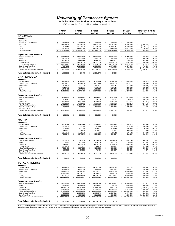**Athletics Five Year Budget Summary Comparison**

E&G and Auxiliary Funds for Men's and Women's Athletics

|                                                           | FY 2010<br><b>ACTUAL</b>        | FY 2011<br><b>ACTUAL</b>      | FY 2012<br><b>ACTUAL</b>      | FY 2013<br><b>ACTUAL</b>      | FY 2014<br><b>REVISED</b>     | <b>FIVE YEAR CHANGE</b><br><b>AMOUNT</b><br>%          |
|-----------------------------------------------------------|---------------------------------|-------------------------------|-------------------------------|-------------------------------|-------------------------------|--------------------------------------------------------|
| <b>KNOXVILLE</b>                                          |                                 |                               |                               |                               |                               |                                                        |
| <b>Revenues</b>                                           |                                 |                               |                               |                               |                               |                                                        |
| <b>General Funds</b>                                      |                                 |                               |                               |                               |                               |                                                        |
| <b>Student Fees for Athletics</b>                         | \$<br>1,000,000                 | \$<br>1,000,000               | \$<br>1,000,000               | \$<br>1,000,000               | \$<br>1,000,000               |                                                        |
| <b>Ticket Sales</b><br>Gifts                              | 37,689,669<br>25,508,512        | 34,799,207<br>26,554,657      | 33,156,097                    | 32,291,776<br>24.189.845      | 32.384.000<br>24,000,000      | \$<br>(5,305,669)<br>$-14.1%$<br>$-5.9%$               |
| Other                                                     | 36,532,258                      | 40,141,340                    | 25,038,370<br>42,693,539      | 52,443,730                    | 40,116,000                    | (1,508,512)<br>9.8%<br>3,583,742                       |
| <b>Total Revenues</b>                                     | S<br>100,730,439                | 102,495,204<br>\$             | 101,888,006                   | 109,925,350<br>\$             | 97,500,000<br>\$              | (3, 230, 439)<br>$-3.2%$<br>\$                         |
|                                                           |                                 |                               |                               |                               |                               |                                                        |
| <b>Expenditures and Transfers</b>                         |                                 |                               |                               |                               |                               |                                                        |
| Salaries and Benefits<br>Travel                           | \$<br>35,844,160<br>6,505,978   | S<br>38,361,583<br>6,835,168  | \$<br>37.285.629<br>6,617,308 | \$<br>37,284,852<br>5,787,589 | \$<br>36,442,500<br>7,810,500 | \$<br>598,340<br>1.7%<br>1,304,522<br>20.1%            |
| Student Aid                                               | 8,105,044                       | 8,873,639                     | 9,529,062                     | 10,338,711                    | 11,040,000                    | 36.2%<br>2,934,956                                     |
| Other Operating                                           | 28.495.090                      | 28,958,686                    | 33,801,080                    | 39,913,529                    | 25,632,000                    | $-10.0%$<br>(2,863,090)                                |
| Sub-Total Expenditures                                    | S<br>78,950,272                 | \$<br>83,029,076              | \$<br>87,233,079              | \$<br>93,324,680              | \$<br>80,925,000              | \$<br>1,974,728<br>2.5%                                |
| <b>Debt Service Transfers</b><br>Other Transfers          | 7,657,353<br>12,513,832         | 10,142,066<br>9,309,616       | 10,523,880<br>8,112,322       | 11,772,046<br>4,803,035       | 14,375,000<br>2,200,000       | 87.7%<br>6,717,647<br>$-82.4%$<br>(10, 313, 832)       |
| <b>Total Expenditures and Transfers</b>                   | \$<br>99,121,457                | 102,480,758<br>\$             | $\frac{1}{2}$<br>105,869,281  | \$<br>109,899,762             | 97,500,000<br>\$              | $-1.6%$<br>(1,621,457)<br>S                            |
| <b>Fund Balance Addition / (Reduction)</b>                | \$<br>1,608,982                 | \$<br>14,446                  | \$<br>(3,981,275)             | \$<br>25,589                  |                               |                                                        |
|                                                           |                                 |                               |                               |                               |                               |                                                        |
| <b>CHATTANOOGA</b><br><b>Revenues</b>                     |                                 |                               |                               |                               |                               |                                                        |
| <b>General Funds</b>                                      | \$<br>4,668,862                 | \$<br>5,034,581               | \$<br>5,072,219               | \$<br>5,636,090               | \$<br>5,833,588               | \$<br>1,164,726<br>24.9%                               |
| <b>Student Fees for Athletics</b>                         | 3,033,232                       | 3,070,180                     | 4,127,744                     | 5,180,579                     | 5,170,817                     | 2,137,585<br>70.5%                                     |
| <b>Ticket Sales</b>                                       | 620,608                         | 637,888                       | 712,167                       | 709,642                       | 817,000                       | 31.6%<br>196,392                                       |
| Gifts                                                     | 1,515,486                       | 1,285,002                     | 1,305,324                     | 1,096,841                     | 1,430,000                     | $-5.6%$<br>(85, 486)                                   |
| Other<br><b>Total Revenues</b>                            | 1,748,433<br>11,586,621         | 1,747,848<br>11,775,499<br>\$ | 1,758,309<br>12,975,763<br>\$ | 1,576,653<br>\$<br>14,199,805 | 1.446.200<br>14,697,605<br>\$ | (302, 233)<br>$-17.3%$<br>3,110,984<br>26.8%<br>\$     |
|                                                           |                                 |                               |                               |                               |                               |                                                        |
| <b>Expenditures and Transfers</b>                         |                                 |                               |                               |                               |                               |                                                        |
| Salaries and Benefits                                     | \$<br>4,529,881                 | \$<br>4,726,977               | \$<br>5,130,281               | \$<br>5,587,489               | \$<br>5,179,790               | \$<br>649,909<br>14.3%                                 |
| Travel                                                    | 784,372                         | 833,639                       | 1,003,626                     | 1.089.801                     | 1.648.116                     | 110.1%<br>863.744                                      |
| Student Aid                                               | 3,199,843                       | 3,287,149                     | 3,895,434                     | 4,291,836                     | 5,271,521                     | 2,071,678<br>64.7%                                     |
| <b>Other Operating</b>                                    | 2,799,975<br>\$.                | 2,460,702<br>\$               | 2,554,483<br>\$<br>12,583,824 | 2,996,823<br>\$               | 2,428,178<br>\$               | (371, 797)<br>$-13.3%$<br>3,213,534<br>28.4%           |
| Sub-Total Expenditures<br><b>Debt Service Transfers</b>   | 11,314,071<br>168,879           | 11,308,467<br>168.680         | 169.610                       | 13,965,949<br>165,136         | 14,527,605<br>170,000         | \$<br>\$<br>1,121<br>0.7%                              |
| <b>Other Transfers</b>                                    |                                 |                               |                               |                               |                               |                                                        |
| <b>Total Expenditures and Transfers</b>                   | 11,482,950<br>- \$              | 11,477,147<br>\$              | \$<br>12,753,434              | \$<br>14,131,085              | 14,697,605<br>\$              | \$<br>3,214,655<br>28.0%                               |
| <b>Fund Balance Addition / (Reduction)</b>                | \$<br>103,671                   | \$<br>298,352                 | \$<br>222,329                 | \$<br>68,720                  |                               |                                                        |
|                                                           |                                 |                               |                               |                               |                               |                                                        |
| <b>MARTIN</b>                                             |                                 |                               |                               |                               |                               |                                                        |
| <b>Revenues</b>                                           |                                 |                               |                               |                               |                               |                                                        |
| <b>General Funds</b><br><b>Student Fees for Athletics</b> | \$<br>4,009,783<br>2,000,630    | \$<br>4,431,339<br>2,081,875  | \$<br>4,959,761<br>2,011,149  | \$<br>5,173,844<br>1,981,413  | \$<br>5,433,478<br>1,970,000  | \$<br>1,423,695<br>35.5%<br>\$<br>$-1.5%$<br>(30, 630) |
| <b>Ticket Sales</b>                                       | 109,873                         | 107,596                       | 136,237                       | 123,245                       | 147,469                       | \$<br>34.2%<br>37,596                                  |
| Gifts                                                     | 418,092                         | 669,728                       | 474,787                       | 512,187                       | 430,000                       | \$<br>11,908<br>2.8%                                   |
| Other                                                     | 1,057,866                       | 1,384,606                     | 1,357,216                     | 1,604,348                     | 1,631,200                     | \$<br>573,334<br>54.2%                                 |
| <b>Total Revenues</b>                                     | 7,596,244<br>\$                 | 8,675,144<br>\$               | \$<br>8,939,150               | \$<br>9,395,037               | \$<br>9,612,147               | \$<br>2,015,903<br>26.5%                               |
| <b>Expenditures and Transfers</b>                         |                                 |                               |                               |                               |                               |                                                        |
| Salaries and Benefits                                     | S<br>2,767,981                  | \$<br>2,812,169               | \$<br>3,060,136               | \$<br>3,210,920               | \$<br>3,237,543               | \$<br>469,562<br>17.0%                                 |
| Travel                                                    | 558,947                         | 757,178                       | 735,058                       | 781,674                       | 886,289                       | 327,342<br>58.6%                                       |
| Student Aid                                               | 2,816,472                       | 3.431.486                     | 3,724,320                     | 3.860.770                     | 3,949,209                     | 1,132,737<br>40.2%                                     |
| Other Operating<br>Sub-Total Expenditures                 | 1,385,060<br>\$                 | 1,567,162                     | 1,643,789<br>\$               | 1,450,467<br>9,303,830        | 1,314,106                     | $-5.1%$<br>(70, 954)<br>24.7%<br>1.858.687             |
| <b>Debt Service Transfers</b>                             | 7,528,460<br>129,326            | \$<br>8,567,995<br>24,203     | 9,163,303<br>72,489           | \$<br>160,137                 | \$<br>9,387,147<br>225,000    | \$<br>74.0%<br>95,674                                  |
| <b>Other Transfers</b>                                    |                                 |                               |                               |                               |                               |                                                        |
| <b>Total Expenditures and Transfers</b>                   | 7,657,786<br>\$                 | 8,592,198<br>\$               | \$<br>9,235,792               | 9,463,967<br>\$               | 9,612,147<br>\$               | <b>S</b><br>1,954,361<br>25.5%                         |
| <b>Fund Balance Addition / (Reduction)</b>                | \$<br>(61, 542)                 | \$<br>82,946                  | \$<br>(296, 642)              | \$<br>(68, 930)               |                               |                                                        |
| <b>TOTAL ATHLETICS</b>                                    |                                 |                               |                               |                               |                               |                                                        |
|                                                           |                                 |                               |                               |                               |                               |                                                        |
| <b>Revenues</b><br><b>General Funds</b>                   | \$                              | \$                            | \$                            | \$                            | \$                            | \$<br>29.8%                                            |
| <b>Student Fees for Athletics</b>                         | 8,678,645<br>6,033,862          | 9,465,920<br>6,152,055        | 10,031,980<br>7,138,893       | 10,809,934<br>8,161,992       | 11,267,066<br>8,140,817       | 2,588,421<br>2,106,955<br>34.9%                        |
| <b>Ticket Sales</b>                                       | 38,420,150                      | 35,544,691                    | 34,004,501                    | 33,124,663                    | 33,348,469                    | $-13.2%$<br>(5,071,681)                                |
| Gifts                                                     | 27,442,090                      | 28,509,387                    | 26,818,481                    | 25,798,873                    | 25,860,000                    | (1,582,090)<br>$-5.8%$                                 |
| Other                                                     | 39,338,557                      | 43,273,794                    | 45,809,064                    | 55,624,731                    | 43,193,400                    | 9.8%<br>3,854,843                                      |
| <b>Total Revenues</b>                                     | 119,913,304                     | 122,945,847                   | 123,802,919                   | 133,520,192                   | 121,809,752<br>5              | 1,896,448<br>1.6%<br>\$                                |
| <b>Expenditures and Transfers</b>                         |                                 |                               |                               |                               |                               |                                                        |
| Salaries and Benefits                                     | \$<br>43,142,022                | S<br>45,900,729               | \$<br>45,476,046              | \$<br>46,083,261              | \$<br>44,859,833              | \$<br>1,717,811<br>4.0%                                |
| Travel                                                    | 7,849,297                       | 8,425,985                     | 8,355,992                     | 7,659,063                     | 10,344,905                    | 31.8%<br>2,495,608                                     |
| Student Aid<br>Other Operating                            | 14, 121, 359                    | 15,592,274<br>32,986,550      | 17,148,816<br>37,999,352      | 18,491,316<br>44,360,819      | 20,260,730<br>29,374,284      | 6,139,371<br>43.5%<br>(3,305,841)<br>$-10.1%$          |
| Sub-Total Expenditures                                    | 32,680,125<br>\$.<br>97,792,803 | \$<br>102,905,538             | \$<br>108,980,206             | \$<br>116,594,460             | \$<br>104,839,752             | 7.2%<br>\$<br>7,046,949                                |
| <b>Debt Service Transfers</b>                             | 7,955,558                       | 10,334,949                    | 10,765,979                    | 12,097,319                    | 14,770,000                    | 6,814,442<br>85.7%                                     |
| Other Transfers                                           | 12,513,832                      | 9,309,616                     | 8,112,322                     | 4,803,035                     | 2,200,000                     | (10, 313, 832)<br>$-82.4%$                             |
| <b>Total Expenditures and Transfers</b>                   | \$<br>118,262,193               | \$<br>122,550,103             | \$<br>127,858,507             | \$<br>133,494,814             | 121,809,752<br>\$             | \$<br>3,547,559<br>3.0%                                |
| <b>Fund Balance Addition / (Reduction)</b>                | \$<br>1,651,111                 | \$<br>395,744                 | \$<br>(4,055,588)             | \$<br>25,379                  |                               |                                                        |

NOTES: Data includes unrestricted and restricted funds. Other revenue sources include NCAA conference income, tournament income, program sales, concessions, parking, broadcasting, television,<br>radio, internet, endowments, i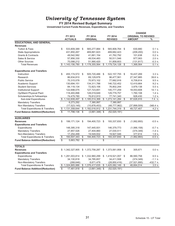### **FY 2014 Revised Budget Summary**

|                                           |                         |                 |                         |                  |                 |                 | <b>CHANGE</b>              |           |
|-------------------------------------------|-------------------------|-----------------|-------------------------|------------------|-----------------|-----------------|----------------------------|-----------|
|                                           |                         | FY 2013         |                         | FY 2014          |                 | FY 2014         | <b>ORIGINAL TO REVISED</b> |           |
|                                           |                         | <b>ACTUALS</b>  |                         | <b>ORIGINAL</b>  |                 | <b>REVISED</b>  | <b>AMOUNT</b>              | %         |
| <b>EDUCATIONAL AND GENERAL</b>            |                         |                 |                         |                  |                 |                 |                            |           |
| <b>Revenues</b>                           |                         |                 |                         |                  |                 |                 |                            |           |
| <b>Tuition &amp; Fees</b>                 | \$                      | 533,809,389     | \$                      | 565,277,884      | \$              | 565,908,764     | \$<br>630,880              | 0.1%      |
| <b>State Appropriations</b>               |                         | 431,850,267     |                         | 469,891,623      |                 | 469,682,423     | (209, 200)                 | 0.0 %     |
| <b>Grants &amp; Contracts</b>             |                         | 49,542,582      |                         | 41,661,154       |                 | 41,762,792      | 101,638                    | 0.2 %     |
| Sales & Service                           |                         | 57,856,330      |                         | 49,534,483       |                 | 50,511,546      | 977,063                    | 2.0 %     |
| <b>Other Sources</b>                      |                         | 70,098,212      |                         | 51,990,420       |                 | 51,858,603      | (131, 817)                 | $-0.3%$   |
| <b>Total Revenues</b>                     | \$                      | 1,143,156,780   |                         | \$1,178,355,564  | \$              | 1,179,724,128   | \$<br>1,368,564            | 0.1%      |
| <b>Expenditures and Transfers</b>         |                         |                 |                         |                  |                 |                 |                            |           |
| Instruction                               | \$                      | 455, 174, 572   | \$                      | 505,720,486      | \$              | 522,157,755     | \$<br>16,437,269           | 3.3%      |
| Research                                  |                         | 86,634,810      |                         | 69,129,676       |                 | 96,477,561      | 27,347,885                 | 39.6 %    |
| <b>Public Service</b>                     |                         | 70,315,078      |                         | 70,973,102       |                 | 77,682,916      | 6,709,814                  | 9.5 %     |
| Academic Support                          |                         | 130,694,151     |                         | 134,311,788      |                 | 146,722,452     | 12,410,664                 | 9.2%      |
| <b>Student Services</b>                   |                         | 84,118,134      |                         | 72,823,106       |                 | 76,802,244      | 3,979,138                  | 5.5 %     |
| <b>Institutional Support</b>              |                         | 122,698,075     |                         | 127,723,651      |                 | 145,777,259     | 18,053,608                 | 14.1 %    |
| Op/Maint Physical Plant                   |                         | 118,493,896     |                         | 128,019,649      |                 | 129,779,757     | 1,760,108                  | 1.4%      |
| Scholarships & Fellowships                |                         | 74,479,780      |                         | 76,812,910       |                 | 77,741,340      | 928,430                    | 1.2%      |
| Sub-total Expenditures                    |                         | \$1,142,608,497 |                         | \$1,185,514,368  | \$              | 1,273,141,284   | \$<br>87,626,916           | 7.4%      |
| <b>Mandatory Transfers</b>                |                         | 6,273,292       |                         | 7,380,997        |                 | 7,380,997       |                            |           |
| Non Mandatory Transfers                   |                         | (17, 523, 145)  |                         | (10, 878, 453)   |                 | (48, 777, 962)  | (37,899,509)               | $-348.4%$ |
| <b>Total Expenditures &amp; Transfers</b> | \$                      | 1,131,358,644   | \$                      | 1,182,016,912    | \$              | 1,231,744,319   | \$<br>49,727,407           | 4.2 %     |
| <b>Fund Balance Addition/(Reduction)</b>  | $\overline{\$}$         | 11,798,136      | $\overline{\mathbb{S}}$ | $(3,661,348)$ \$ |                 | (52,020,191)    |                            |           |
| <b>AUXILIARIES</b>                        |                         |                 |                         |                  |                 |                 |                            |           |
| <b>Revenues</b>                           | \$                      | 199, 171, 124   | \$                      | 194,400,723      | \$              | 193,337,830     | \$<br>(1,062,893)          | $-0.5%$   |
| <b>Expenditures and Transfers</b>         |                         |                 |                         |                  |                 |                 |                            |           |
| Expenditures                              |                         | 148,395,318     |                         | 147,445,931      |                 | 146,379,773     | (1,066,158)                | $-0.7%$   |
| <b>Mandatory Transfers</b>                |                         | 27,857,526      |                         | 27,404,860       |                 | 27,030,511      | (374, 349)                 | $-1.4%$   |
| Non-Mandatory Transfers                   |                         | 17,254,499      |                         | 19,549,932       |                 | 19,927,546      | 377,614                    | 1.9%      |
| <b>Total Expenditures &amp; Transfers</b> | \$                      | 193,507,343     | \$                      | 194,400,723      | $\overline{\$}$ | 193,337,830     | \$<br>(1,062,893)          | $-0.5%$   |
| <b>Fund Balance Addition/(Reduction)</b>  | $\overline{\mathbb{S}}$ | 5,663,782       | \$                      |                  | \$              |                 |                            |           |
| <b>TOTALS</b>                             |                         |                 |                         |                  |                 |                 |                            |           |
| <b>Revenues</b>                           |                         | \$1,342,327,905 |                         | \$1,372,756,287  |                 | \$1,373,061,958 | \$<br>305,671              | 0.0 %     |
| <b>Expenditures and Transfers</b>         |                         |                 |                         |                  |                 |                 |                            |           |
| Expenditures                              | \$                      | 1,291,003,814   |                         | \$1,332,960,299  |                 | \$1,419,521,057 | \$<br>86,560,758           | 6.5%      |
| <b>Mandatory Transfers</b>                |                         | 34,130,818      |                         | 34,785,857       |                 | 34,411,508      | (374, 349)                 | $-1.1%$   |
| Non-Mandatory Transfers                   |                         | (268, 646)      |                         | 8,671,479        |                 | (28, 850, 416)  | (37, 521, 895)             | $-432.7%$ |
| <b>Total Expenditures &amp; Transfers</b> |                         | 1,324,865,986   |                         | \$1,376,417,635  | \$              | 1,425,082,149   | \$<br>48,664,514           | 3.5 %     |
| <b>Fund Balance Addition/(Reduction)</b>  | $\overline{\$}$         | 17,461,918      | \$                      | $(3,661,348)$ \$ |                 | (52,020,191)    |                            |           |
|                                           |                         |                 |                         |                  |                 |                 |                            |           |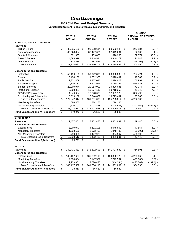# *Chattanooga*

#### **FY 2014 Revised Budget Summary**

|                                           |                 |               |                          |                 |                          |                | <b>CHANGE</b> |                            |             |  |  |
|-------------------------------------------|-----------------|---------------|--------------------------|-----------------|--------------------------|----------------|---------------|----------------------------|-------------|--|--|
|                                           |                 | FY 2013       |                          | FY 2014         |                          | FY 2014        |               | <b>ORIGINAL TO REVISED</b> |             |  |  |
|                                           |                 | <b>ACTUAL</b> |                          | <b>ORIGINAL</b> |                          | <b>REVISED</b> |               | <b>AMOUNT</b>              | %           |  |  |
| <b>EDUCATIONAL AND GENERAL</b>            |                 |               |                          |                 |                          |                |               |                            |             |  |  |
| <b>Revenues</b>                           |                 |               |                          |                 |                          |                |               |                            |             |  |  |
| <b>Tuition &amp; Fees</b>                 | \$              | 86,525,109    | \$                       | 90,358,614      | \$                       | 90,632,148     | \$            | 273,534                    | 0.3%        |  |  |
| <b>State Appropriations</b>               |                 | 35,523,864    |                          | 37,427,681      |                          | 37,449,681     |               | 22,000                     | 0.1 %       |  |  |
| <b>Grants &amp; Contracts</b>             |                 | 891,905       |                          | 453,856         |                          | 616,230        |               | 162,374                    | 35.8 %      |  |  |
| Sales & Service                           |                 | 4,698,919     |                          | 4,248,524       |                          | 4,340,172      |               | 91,648                     | 2.2%        |  |  |
| <b>Other Sources</b>                      |                 | 334,235       |                          | 481,533         |                          | 237,427        |               | (244, 106)                 | $(50.7)$ %  |  |  |
| <b>Total Revenues</b>                     | \$              | 127,974,032   | \$                       | 132,970,208     | \$                       | 133,275,658    | \$            | 305,450                    | 0.2 %       |  |  |
| <b>Expenditures and Transfers</b>         |                 |               |                          |                 |                          |                |               |                            |             |  |  |
| Instruction                               | \$              | 55,186,168    | \$                       | 59,922,806      | \$                       | 60,690,230     | \$            | 767,424                    | 1.3%        |  |  |
| Research                                  |                 | 3,498,130     |                          | 1,902,900       |                          | 2,020,402      |               | 117,502                    | 6.2 %       |  |  |
| <b>Public Service</b>                     |                 | 2,331,469     |                          | 2,257,032       |                          | 2,424,023      |               | 166,991                    | 7.4 %       |  |  |
| Academic Support                          |                 | 10,136,131    |                          | 8,624,913       |                          | 10,180,296     |               | 1,555,383                  | 18.0 %      |  |  |
| <b>Student Services</b>                   |                 | 22,960,974    |                          | 20,053,007      |                          | 20,826,081     |               | 773,074                    | 3.9%        |  |  |
| <b>Institutional Support</b>              |                 | 9,668,887     |                          | 10,277,110      |                          | 10,718,253     |               | 441,143                    | 4.3 %       |  |  |
| Op/Maint Physical Plant                   |                 | 14,046,694    |                          | 17,248,630      |                          | 17,601,122     |               | 352,492                    | 2.0%        |  |  |
| Scholarships & Fellowships                |                 | 10,019,162    |                          | 10,744,607      |                          | 10,773,407     |               | 28,800                     | 0.3 %       |  |  |
| Sub-total Expenditures                    | \$              | 127,847,614   | \$                       | 131,031,005     | \$                       | 135,233,814    | \$            | 4,202,809                  | 3.2%        |  |  |
| <b>Mandatory Transfers</b>                |                 | 686,465       |                          | 774,165         |                          | 774,165        |               |                            |             |  |  |
| Non Mandatory Transfers                   |                 | (510, 107)    |                          | 1,098,458       |                          | (2,798,901)    |               | (3,897,359)                | $(354.8)$ % |  |  |
| <b>Total Expenditures &amp; Transfers</b> | \$              | 128,023,972   | \$                       | 132,903,628     | \$                       | 133,209,078    | \$            | 305,450                    | 0.2 %       |  |  |
| <b>Fund Balance Addition/(Reduction)</b>  | \$              | (49, 940)     | $\overline{\mathcal{E}}$ | 66,580          | $\overline{\mathcal{S}}$ | 66,580         |               |                            |             |  |  |
| <b>AUXILIARIES</b>                        |                 |               |                          |                 |                          |                |               |                            |             |  |  |
| <b>Revenues</b>                           | \$              | 12,457,401    | \$                       | 8,402,485       | \$                       | 8,451,931      | \$            | 49,446                     | 0.6 %       |  |  |
| <b>Expenditures and Transfers</b>         |                 |               |                          |                 |                          |                |               |                            |             |  |  |
| Expenditures                              |                 | 8,260,043     |                          | 4,601,108       |                          | 4,648,962      |               | 47,854                     | 1.0%        |  |  |
| <b>Mandatory Transfers</b>                |                 | 1,393,599     |                          | 2,373,402       |                          | 1,948,402      |               | (425,000)                  | $(17.9)$ %  |  |  |
| Non-Mandatory Transfers                   |                 | 2,739,968     |                          | 1,427,975       |                          | 1,854,567      |               | 426,592                    | 29.9 %      |  |  |
| <b>Total Expenditures &amp; Transfers</b> | \$              | 12,393,610    | \$                       | 8,402,485       | \$                       | 8,451,931      | \$            | 49,446                     | 0.6%        |  |  |
| <b>Fund Balance Addition/(Reduction)</b>  | $\overline{\$}$ | 63,791        | \$                       |                 | \$                       |                |               |                            |             |  |  |
| <b>TOTALS</b>                             |                 |               |                          |                 |                          |                |               |                            |             |  |  |
| <b>Revenues</b>                           | \$              | 140,431,432   | \$                       | 141,372,693     | \$                       | 141,727,589    | \$            | 354,896                    | 0.3%        |  |  |
| <b>Expenditures and Transfers</b>         |                 |               |                          |                 |                          |                |               |                            |             |  |  |
| Expenditures                              | \$              | 136, 107, 657 | \$                       | 135,632,113     | \$                       | 139,882,776    | \$            | 4,250,663                  | 3.1%        |  |  |
| <b>Mandatory Transfers</b>                |                 | 2,080,064     |                          | 3,147,567       |                          | 2,722,567      |               | (425,000)                  | $(13.5)$ %  |  |  |
| Non-Mandatory Transfers                   |                 | 2,229,861     |                          | 2,526,433       |                          | (944, 334)     |               | (3,470,767)                | $(137.4)$ % |  |  |
| <b>Total Expenditures &amp; Transfers</b> | \$              | 140,417,582   | \$                       | 141,306,113     | \$                       | 141,661,009    | \$            | 354,896                    | 0.3%        |  |  |
| <b>Fund Balance Addition/(Reduction)</b>  | \$              | 13,850        | \$                       | 66,580          | \$                       | 66,580         |               |                            |             |  |  |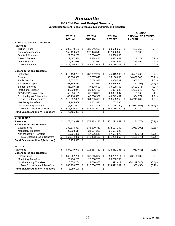## *Knoxville*

### **FY 2014 Revised Budget Summary**

| FY 2013<br><b>ORIGINAL TO REVISED</b><br>FY 2014<br>FY 2014<br><b>ACTUAL</b><br><b>ORIGINAL</b><br><b>REVISED</b><br><b>AMOUNT</b><br>%<br><b>EDUCATIONAL AND GENERAL</b><br><b>Revenues</b><br>\$<br>\$<br>109,750<br>0.0 %<br><b>Tuition &amp; Fees</b><br>305,640,162<br>\$<br>330,546,609<br>330,656,359<br>\$<br>156,439,550<br>177,486,343<br>0.0%<br>177,446,543<br>39,800<br><b>State Appropriations</b><br>29,036,239<br><b>Grants &amp; Contracts</b><br>20,560,000<br>20,560,000<br>Sales & Service<br>9,587,584<br>4,324,470<br>4,332,641<br>0.2%<br>8,171<br><b>Other Sources</b><br>12,947,014<br>10,083,986<br>19,999<br>0.2 %<br>10,063,987<br>177,720<br>0.0 %<br>513,650,550<br>\$<br>542,941,609<br>\$<br>543,119,329<br>\$<br><b>Total Revenues</b><br>\$<br><b>Expenditures and Transfers</b><br>\$<br>Instruction<br>218,498,737<br>\$<br>238,932,202<br>\$<br>245,415,965<br>\$<br>6,483,763<br>2.7%<br>35,594,360<br>20,687,843<br>14,499,040<br>70.1 %<br>Research<br>35,186,883<br><b>Public Service</b><br>13,677,751<br>9.0 %<br>10,054,983<br>10,960,509<br>905,526<br>61,399,810<br>Academic Support<br>70,418,959<br>68,666,664<br>(1,752,295)<br>$(2.5)$ %<br><b>Student Services</b><br>45,269,568<br>37,698,592<br>39,199,763<br>1,501,171<br>4.0 %<br><b>Institutional Support</b><br>4.2 %<br>37,038,944<br>39,436,700<br>41,074,340<br>1,637,640<br>Op/Maint Physical Plant<br>59,694,101<br>68,268,029<br>68,337,397<br>69,368<br>0.1%<br>Scholarships & Fellowships<br>48,114,597<br>48,838,357<br>49,742,431<br>904,074<br>1.9 %<br>Sub-total Expenditures<br>534,335,665<br>$\overline{\mathcal{G}}$<br>558,583,952<br>24,248,287<br>4.5 %<br>\$<br>519,287,869<br>\$<br>\$<br><b>Mandatory Transfers</b><br>2,165,669<br>1,701,536<br>1,701,536<br>Non Mandatory Transfers<br>(5,337,091)<br>6,904,408<br>(17, 166, 159)<br>(24,070,567)<br>$(348.6)$ %<br><b>Total Expenditures &amp; Transfers</b><br>\$<br>516,116,447<br>\$<br>\$<br>543,119,329<br>\$<br>177,720<br>542,941,609<br>0.0 %<br><b>Fund Balance Addition/(Reduction)</b><br>\$<br>\$<br>(2,465,897)<br>\$<br><b>AUXILIARIES</b><br>\$<br>173,429,399<br>172,423,130<br>\$<br>171,291,952<br>(1, 131, 178)<br>$(0.7)$ %<br><b>Revenues</b><br>\$<br>\$<br><b>Expenditures and Transfers</b><br>130,374,337<br>(1,082,200)<br>$(0.8)$ %<br>Expenditures<br>133,279,362<br>132, 197, 162<br><b>Mandatory Transfers</b><br>23,308,614<br>21,537,220<br>21,537,220<br>Non-Mandatory Transfers<br>13,991,355<br>17,606,548<br>17,557,570<br>(48, 978)<br>$(0.3)$ %<br>$\overline{\$}$<br><b>Total Expenditures &amp; Transfers</b><br>167,674,306<br>172,423,130<br>\$<br>171,291,952<br>\$<br>(1, 131, 178)<br>$(0.7)$ %<br>\$<br>\$<br>\$<br><b>Fund Balance Addition/(Reduction)</b><br>5,755,093<br>\$<br><b>TOTALS</b><br>\$<br>687,079,949<br>715,364,739<br>$(0.1)$ %<br><b>Revenues</b><br>\$<br>\$<br>714,411,281<br>\$<br>(953, 458)<br><b>Expenditures and Transfers</b><br>\$<br>649,662,206<br>667,615,027<br>Expenditures<br>\$<br>\$<br>690,781,114<br>23,166,087<br>3.5%<br>\$<br><b>Mandatory Transfers</b><br>25,474,283<br>23,238,756<br>23,238,756<br>Non-Mandatory Transfers<br>8,654,264<br>24,510,956<br>391,411<br>(24, 119, 545)<br>$(98.4)$ %<br><b>Total Expenditures &amp; Transfers</b><br>714,411,281<br>\$<br>(953, 458)<br>\$<br>683,790,753<br>\$<br>715,364,739<br>\$<br>$(0.1)$ % |                                          |    |           |    |  | <b>CHANGE</b> |  |  |  |  |
|---------------------------------------------------------------------------------------------------------------------------------------------------------------------------------------------------------------------------------------------------------------------------------------------------------------------------------------------------------------------------------------------------------------------------------------------------------------------------------------------------------------------------------------------------------------------------------------------------------------------------------------------------------------------------------------------------------------------------------------------------------------------------------------------------------------------------------------------------------------------------------------------------------------------------------------------------------------------------------------------------------------------------------------------------------------------------------------------------------------------------------------------------------------------------------------------------------------------------------------------------------------------------------------------------------------------------------------------------------------------------------------------------------------------------------------------------------------------------------------------------------------------------------------------------------------------------------------------------------------------------------------------------------------------------------------------------------------------------------------------------------------------------------------------------------------------------------------------------------------------------------------------------------------------------------------------------------------------------------------------------------------------------------------------------------------------------------------------------------------------------------------------------------------------------------------------------------------------------------------------------------------------------------------------------------------------------------------------------------------------------------------------------------------------------------------------------------------------------------------------------------------------------------------------------------------------------------------------------------------------------------------------------------------------------------------------------------------------------------------------------------------------------------------------------------------------------------------------------------------------------------------------------------------------------------------------------------------------------------------------------------------------------------------------------------------------------------------------------------------------------------------------------------------------------------------------------------------------------------------------------------------------------------------------------------------------------------------------------------------------------------------------------------------------------|------------------------------------------|----|-----------|----|--|---------------|--|--|--|--|
|                                                                                                                                                                                                                                                                                                                                                                                                                                                                                                                                                                                                                                                                                                                                                                                                                                                                                                                                                                                                                                                                                                                                                                                                                                                                                                                                                                                                                                                                                                                                                                                                                                                                                                                                                                                                                                                                                                                                                                                                                                                                                                                                                                                                                                                                                                                                                                                                                                                                                                                                                                                                                                                                                                                                                                                                                                                                                                                                                                                                                                                                                                                                                                                                                                                                                                                                                                                                                           |                                          |    |           |    |  |               |  |  |  |  |
|                                                                                                                                                                                                                                                                                                                                                                                                                                                                                                                                                                                                                                                                                                                                                                                                                                                                                                                                                                                                                                                                                                                                                                                                                                                                                                                                                                                                                                                                                                                                                                                                                                                                                                                                                                                                                                                                                                                                                                                                                                                                                                                                                                                                                                                                                                                                                                                                                                                                                                                                                                                                                                                                                                                                                                                                                                                                                                                                                                                                                                                                                                                                                                                                                                                                                                                                                                                                                           |                                          |    |           |    |  |               |  |  |  |  |
|                                                                                                                                                                                                                                                                                                                                                                                                                                                                                                                                                                                                                                                                                                                                                                                                                                                                                                                                                                                                                                                                                                                                                                                                                                                                                                                                                                                                                                                                                                                                                                                                                                                                                                                                                                                                                                                                                                                                                                                                                                                                                                                                                                                                                                                                                                                                                                                                                                                                                                                                                                                                                                                                                                                                                                                                                                                                                                                                                                                                                                                                                                                                                                                                                                                                                                                                                                                                                           |                                          |    |           |    |  |               |  |  |  |  |
|                                                                                                                                                                                                                                                                                                                                                                                                                                                                                                                                                                                                                                                                                                                                                                                                                                                                                                                                                                                                                                                                                                                                                                                                                                                                                                                                                                                                                                                                                                                                                                                                                                                                                                                                                                                                                                                                                                                                                                                                                                                                                                                                                                                                                                                                                                                                                                                                                                                                                                                                                                                                                                                                                                                                                                                                                                                                                                                                                                                                                                                                                                                                                                                                                                                                                                                                                                                                                           |                                          |    |           |    |  |               |  |  |  |  |
|                                                                                                                                                                                                                                                                                                                                                                                                                                                                                                                                                                                                                                                                                                                                                                                                                                                                                                                                                                                                                                                                                                                                                                                                                                                                                                                                                                                                                                                                                                                                                                                                                                                                                                                                                                                                                                                                                                                                                                                                                                                                                                                                                                                                                                                                                                                                                                                                                                                                                                                                                                                                                                                                                                                                                                                                                                                                                                                                                                                                                                                                                                                                                                                                                                                                                                                                                                                                                           |                                          |    |           |    |  |               |  |  |  |  |
|                                                                                                                                                                                                                                                                                                                                                                                                                                                                                                                                                                                                                                                                                                                                                                                                                                                                                                                                                                                                                                                                                                                                                                                                                                                                                                                                                                                                                                                                                                                                                                                                                                                                                                                                                                                                                                                                                                                                                                                                                                                                                                                                                                                                                                                                                                                                                                                                                                                                                                                                                                                                                                                                                                                                                                                                                                                                                                                                                                                                                                                                                                                                                                                                                                                                                                                                                                                                                           |                                          |    |           |    |  |               |  |  |  |  |
|                                                                                                                                                                                                                                                                                                                                                                                                                                                                                                                                                                                                                                                                                                                                                                                                                                                                                                                                                                                                                                                                                                                                                                                                                                                                                                                                                                                                                                                                                                                                                                                                                                                                                                                                                                                                                                                                                                                                                                                                                                                                                                                                                                                                                                                                                                                                                                                                                                                                                                                                                                                                                                                                                                                                                                                                                                                                                                                                                                                                                                                                                                                                                                                                                                                                                                                                                                                                                           |                                          |    |           |    |  |               |  |  |  |  |
|                                                                                                                                                                                                                                                                                                                                                                                                                                                                                                                                                                                                                                                                                                                                                                                                                                                                                                                                                                                                                                                                                                                                                                                                                                                                                                                                                                                                                                                                                                                                                                                                                                                                                                                                                                                                                                                                                                                                                                                                                                                                                                                                                                                                                                                                                                                                                                                                                                                                                                                                                                                                                                                                                                                                                                                                                                                                                                                                                                                                                                                                                                                                                                                                                                                                                                                                                                                                                           |                                          |    |           |    |  |               |  |  |  |  |
|                                                                                                                                                                                                                                                                                                                                                                                                                                                                                                                                                                                                                                                                                                                                                                                                                                                                                                                                                                                                                                                                                                                                                                                                                                                                                                                                                                                                                                                                                                                                                                                                                                                                                                                                                                                                                                                                                                                                                                                                                                                                                                                                                                                                                                                                                                                                                                                                                                                                                                                                                                                                                                                                                                                                                                                                                                                                                                                                                                                                                                                                                                                                                                                                                                                                                                                                                                                                                           |                                          |    |           |    |  |               |  |  |  |  |
|                                                                                                                                                                                                                                                                                                                                                                                                                                                                                                                                                                                                                                                                                                                                                                                                                                                                                                                                                                                                                                                                                                                                                                                                                                                                                                                                                                                                                                                                                                                                                                                                                                                                                                                                                                                                                                                                                                                                                                                                                                                                                                                                                                                                                                                                                                                                                                                                                                                                                                                                                                                                                                                                                                                                                                                                                                                                                                                                                                                                                                                                                                                                                                                                                                                                                                                                                                                                                           |                                          |    |           |    |  |               |  |  |  |  |
|                                                                                                                                                                                                                                                                                                                                                                                                                                                                                                                                                                                                                                                                                                                                                                                                                                                                                                                                                                                                                                                                                                                                                                                                                                                                                                                                                                                                                                                                                                                                                                                                                                                                                                                                                                                                                                                                                                                                                                                                                                                                                                                                                                                                                                                                                                                                                                                                                                                                                                                                                                                                                                                                                                                                                                                                                                                                                                                                                                                                                                                                                                                                                                                                                                                                                                                                                                                                                           |                                          |    |           |    |  |               |  |  |  |  |
|                                                                                                                                                                                                                                                                                                                                                                                                                                                                                                                                                                                                                                                                                                                                                                                                                                                                                                                                                                                                                                                                                                                                                                                                                                                                                                                                                                                                                                                                                                                                                                                                                                                                                                                                                                                                                                                                                                                                                                                                                                                                                                                                                                                                                                                                                                                                                                                                                                                                                                                                                                                                                                                                                                                                                                                                                                                                                                                                                                                                                                                                                                                                                                                                                                                                                                                                                                                                                           |                                          |    |           |    |  |               |  |  |  |  |
|                                                                                                                                                                                                                                                                                                                                                                                                                                                                                                                                                                                                                                                                                                                                                                                                                                                                                                                                                                                                                                                                                                                                                                                                                                                                                                                                                                                                                                                                                                                                                                                                                                                                                                                                                                                                                                                                                                                                                                                                                                                                                                                                                                                                                                                                                                                                                                                                                                                                                                                                                                                                                                                                                                                                                                                                                                                                                                                                                                                                                                                                                                                                                                                                                                                                                                                                                                                                                           |                                          |    |           |    |  |               |  |  |  |  |
|                                                                                                                                                                                                                                                                                                                                                                                                                                                                                                                                                                                                                                                                                                                                                                                                                                                                                                                                                                                                                                                                                                                                                                                                                                                                                                                                                                                                                                                                                                                                                                                                                                                                                                                                                                                                                                                                                                                                                                                                                                                                                                                                                                                                                                                                                                                                                                                                                                                                                                                                                                                                                                                                                                                                                                                                                                                                                                                                                                                                                                                                                                                                                                                                                                                                                                                                                                                                                           |                                          |    |           |    |  |               |  |  |  |  |
|                                                                                                                                                                                                                                                                                                                                                                                                                                                                                                                                                                                                                                                                                                                                                                                                                                                                                                                                                                                                                                                                                                                                                                                                                                                                                                                                                                                                                                                                                                                                                                                                                                                                                                                                                                                                                                                                                                                                                                                                                                                                                                                                                                                                                                                                                                                                                                                                                                                                                                                                                                                                                                                                                                                                                                                                                                                                                                                                                                                                                                                                                                                                                                                                                                                                                                                                                                                                                           |                                          |    |           |    |  |               |  |  |  |  |
|                                                                                                                                                                                                                                                                                                                                                                                                                                                                                                                                                                                                                                                                                                                                                                                                                                                                                                                                                                                                                                                                                                                                                                                                                                                                                                                                                                                                                                                                                                                                                                                                                                                                                                                                                                                                                                                                                                                                                                                                                                                                                                                                                                                                                                                                                                                                                                                                                                                                                                                                                                                                                                                                                                                                                                                                                                                                                                                                                                                                                                                                                                                                                                                                                                                                                                                                                                                                                           |                                          |    |           |    |  |               |  |  |  |  |
|                                                                                                                                                                                                                                                                                                                                                                                                                                                                                                                                                                                                                                                                                                                                                                                                                                                                                                                                                                                                                                                                                                                                                                                                                                                                                                                                                                                                                                                                                                                                                                                                                                                                                                                                                                                                                                                                                                                                                                                                                                                                                                                                                                                                                                                                                                                                                                                                                                                                                                                                                                                                                                                                                                                                                                                                                                                                                                                                                                                                                                                                                                                                                                                                                                                                                                                                                                                                                           |                                          |    |           |    |  |               |  |  |  |  |
|                                                                                                                                                                                                                                                                                                                                                                                                                                                                                                                                                                                                                                                                                                                                                                                                                                                                                                                                                                                                                                                                                                                                                                                                                                                                                                                                                                                                                                                                                                                                                                                                                                                                                                                                                                                                                                                                                                                                                                                                                                                                                                                                                                                                                                                                                                                                                                                                                                                                                                                                                                                                                                                                                                                                                                                                                                                                                                                                                                                                                                                                                                                                                                                                                                                                                                                                                                                                                           |                                          |    |           |    |  |               |  |  |  |  |
|                                                                                                                                                                                                                                                                                                                                                                                                                                                                                                                                                                                                                                                                                                                                                                                                                                                                                                                                                                                                                                                                                                                                                                                                                                                                                                                                                                                                                                                                                                                                                                                                                                                                                                                                                                                                                                                                                                                                                                                                                                                                                                                                                                                                                                                                                                                                                                                                                                                                                                                                                                                                                                                                                                                                                                                                                                                                                                                                                                                                                                                                                                                                                                                                                                                                                                                                                                                                                           |                                          |    |           |    |  |               |  |  |  |  |
|                                                                                                                                                                                                                                                                                                                                                                                                                                                                                                                                                                                                                                                                                                                                                                                                                                                                                                                                                                                                                                                                                                                                                                                                                                                                                                                                                                                                                                                                                                                                                                                                                                                                                                                                                                                                                                                                                                                                                                                                                                                                                                                                                                                                                                                                                                                                                                                                                                                                                                                                                                                                                                                                                                                                                                                                                                                                                                                                                                                                                                                                                                                                                                                                                                                                                                                                                                                                                           |                                          |    |           |    |  |               |  |  |  |  |
|                                                                                                                                                                                                                                                                                                                                                                                                                                                                                                                                                                                                                                                                                                                                                                                                                                                                                                                                                                                                                                                                                                                                                                                                                                                                                                                                                                                                                                                                                                                                                                                                                                                                                                                                                                                                                                                                                                                                                                                                                                                                                                                                                                                                                                                                                                                                                                                                                                                                                                                                                                                                                                                                                                                                                                                                                                                                                                                                                                                                                                                                                                                                                                                                                                                                                                                                                                                                                           |                                          |    |           |    |  |               |  |  |  |  |
|                                                                                                                                                                                                                                                                                                                                                                                                                                                                                                                                                                                                                                                                                                                                                                                                                                                                                                                                                                                                                                                                                                                                                                                                                                                                                                                                                                                                                                                                                                                                                                                                                                                                                                                                                                                                                                                                                                                                                                                                                                                                                                                                                                                                                                                                                                                                                                                                                                                                                                                                                                                                                                                                                                                                                                                                                                                                                                                                                                                                                                                                                                                                                                                                                                                                                                                                                                                                                           |                                          |    |           |    |  |               |  |  |  |  |
|                                                                                                                                                                                                                                                                                                                                                                                                                                                                                                                                                                                                                                                                                                                                                                                                                                                                                                                                                                                                                                                                                                                                                                                                                                                                                                                                                                                                                                                                                                                                                                                                                                                                                                                                                                                                                                                                                                                                                                                                                                                                                                                                                                                                                                                                                                                                                                                                                                                                                                                                                                                                                                                                                                                                                                                                                                                                                                                                                                                                                                                                                                                                                                                                                                                                                                                                                                                                                           |                                          |    |           |    |  |               |  |  |  |  |
|                                                                                                                                                                                                                                                                                                                                                                                                                                                                                                                                                                                                                                                                                                                                                                                                                                                                                                                                                                                                                                                                                                                                                                                                                                                                                                                                                                                                                                                                                                                                                                                                                                                                                                                                                                                                                                                                                                                                                                                                                                                                                                                                                                                                                                                                                                                                                                                                                                                                                                                                                                                                                                                                                                                                                                                                                                                                                                                                                                                                                                                                                                                                                                                                                                                                                                                                                                                                                           |                                          |    |           |    |  |               |  |  |  |  |
|                                                                                                                                                                                                                                                                                                                                                                                                                                                                                                                                                                                                                                                                                                                                                                                                                                                                                                                                                                                                                                                                                                                                                                                                                                                                                                                                                                                                                                                                                                                                                                                                                                                                                                                                                                                                                                                                                                                                                                                                                                                                                                                                                                                                                                                                                                                                                                                                                                                                                                                                                                                                                                                                                                                                                                                                                                                                                                                                                                                                                                                                                                                                                                                                                                                                                                                                                                                                                           |                                          |    |           |    |  |               |  |  |  |  |
|                                                                                                                                                                                                                                                                                                                                                                                                                                                                                                                                                                                                                                                                                                                                                                                                                                                                                                                                                                                                                                                                                                                                                                                                                                                                                                                                                                                                                                                                                                                                                                                                                                                                                                                                                                                                                                                                                                                                                                                                                                                                                                                                                                                                                                                                                                                                                                                                                                                                                                                                                                                                                                                                                                                                                                                                                                                                                                                                                                                                                                                                                                                                                                                                                                                                                                                                                                                                                           |                                          |    |           |    |  |               |  |  |  |  |
|                                                                                                                                                                                                                                                                                                                                                                                                                                                                                                                                                                                                                                                                                                                                                                                                                                                                                                                                                                                                                                                                                                                                                                                                                                                                                                                                                                                                                                                                                                                                                                                                                                                                                                                                                                                                                                                                                                                                                                                                                                                                                                                                                                                                                                                                                                                                                                                                                                                                                                                                                                                                                                                                                                                                                                                                                                                                                                                                                                                                                                                                                                                                                                                                                                                                                                                                                                                                                           |                                          |    |           |    |  |               |  |  |  |  |
|                                                                                                                                                                                                                                                                                                                                                                                                                                                                                                                                                                                                                                                                                                                                                                                                                                                                                                                                                                                                                                                                                                                                                                                                                                                                                                                                                                                                                                                                                                                                                                                                                                                                                                                                                                                                                                                                                                                                                                                                                                                                                                                                                                                                                                                                                                                                                                                                                                                                                                                                                                                                                                                                                                                                                                                                                                                                                                                                                                                                                                                                                                                                                                                                                                                                                                                                                                                                                           |                                          |    |           |    |  |               |  |  |  |  |
|                                                                                                                                                                                                                                                                                                                                                                                                                                                                                                                                                                                                                                                                                                                                                                                                                                                                                                                                                                                                                                                                                                                                                                                                                                                                                                                                                                                                                                                                                                                                                                                                                                                                                                                                                                                                                                                                                                                                                                                                                                                                                                                                                                                                                                                                                                                                                                                                                                                                                                                                                                                                                                                                                                                                                                                                                                                                                                                                                                                                                                                                                                                                                                                                                                                                                                                                                                                                                           |                                          |    |           |    |  |               |  |  |  |  |
|                                                                                                                                                                                                                                                                                                                                                                                                                                                                                                                                                                                                                                                                                                                                                                                                                                                                                                                                                                                                                                                                                                                                                                                                                                                                                                                                                                                                                                                                                                                                                                                                                                                                                                                                                                                                                                                                                                                                                                                                                                                                                                                                                                                                                                                                                                                                                                                                                                                                                                                                                                                                                                                                                                                                                                                                                                                                                                                                                                                                                                                                                                                                                                                                                                                                                                                                                                                                                           |                                          |    |           |    |  |               |  |  |  |  |
|                                                                                                                                                                                                                                                                                                                                                                                                                                                                                                                                                                                                                                                                                                                                                                                                                                                                                                                                                                                                                                                                                                                                                                                                                                                                                                                                                                                                                                                                                                                                                                                                                                                                                                                                                                                                                                                                                                                                                                                                                                                                                                                                                                                                                                                                                                                                                                                                                                                                                                                                                                                                                                                                                                                                                                                                                                                                                                                                                                                                                                                                                                                                                                                                                                                                                                                                                                                                                           |                                          |    |           |    |  |               |  |  |  |  |
|                                                                                                                                                                                                                                                                                                                                                                                                                                                                                                                                                                                                                                                                                                                                                                                                                                                                                                                                                                                                                                                                                                                                                                                                                                                                                                                                                                                                                                                                                                                                                                                                                                                                                                                                                                                                                                                                                                                                                                                                                                                                                                                                                                                                                                                                                                                                                                                                                                                                                                                                                                                                                                                                                                                                                                                                                                                                                                                                                                                                                                                                                                                                                                                                                                                                                                                                                                                                                           |                                          |    |           |    |  |               |  |  |  |  |
|                                                                                                                                                                                                                                                                                                                                                                                                                                                                                                                                                                                                                                                                                                                                                                                                                                                                                                                                                                                                                                                                                                                                                                                                                                                                                                                                                                                                                                                                                                                                                                                                                                                                                                                                                                                                                                                                                                                                                                                                                                                                                                                                                                                                                                                                                                                                                                                                                                                                                                                                                                                                                                                                                                                                                                                                                                                                                                                                                                                                                                                                                                                                                                                                                                                                                                                                                                                                                           |                                          |    |           |    |  |               |  |  |  |  |
|                                                                                                                                                                                                                                                                                                                                                                                                                                                                                                                                                                                                                                                                                                                                                                                                                                                                                                                                                                                                                                                                                                                                                                                                                                                                                                                                                                                                                                                                                                                                                                                                                                                                                                                                                                                                                                                                                                                                                                                                                                                                                                                                                                                                                                                                                                                                                                                                                                                                                                                                                                                                                                                                                                                                                                                                                                                                                                                                                                                                                                                                                                                                                                                                                                                                                                                                                                                                                           |                                          |    |           |    |  |               |  |  |  |  |
|                                                                                                                                                                                                                                                                                                                                                                                                                                                                                                                                                                                                                                                                                                                                                                                                                                                                                                                                                                                                                                                                                                                                                                                                                                                                                                                                                                                                                                                                                                                                                                                                                                                                                                                                                                                                                                                                                                                                                                                                                                                                                                                                                                                                                                                                                                                                                                                                                                                                                                                                                                                                                                                                                                                                                                                                                                                                                                                                                                                                                                                                                                                                                                                                                                                                                                                                                                                                                           |                                          |    |           |    |  |               |  |  |  |  |
|                                                                                                                                                                                                                                                                                                                                                                                                                                                                                                                                                                                                                                                                                                                                                                                                                                                                                                                                                                                                                                                                                                                                                                                                                                                                                                                                                                                                                                                                                                                                                                                                                                                                                                                                                                                                                                                                                                                                                                                                                                                                                                                                                                                                                                                                                                                                                                                                                                                                                                                                                                                                                                                                                                                                                                                                                                                                                                                                                                                                                                                                                                                                                                                                                                                                                                                                                                                                                           |                                          |    |           |    |  |               |  |  |  |  |
|                                                                                                                                                                                                                                                                                                                                                                                                                                                                                                                                                                                                                                                                                                                                                                                                                                                                                                                                                                                                                                                                                                                                                                                                                                                                                                                                                                                                                                                                                                                                                                                                                                                                                                                                                                                                                                                                                                                                                                                                                                                                                                                                                                                                                                                                                                                                                                                                                                                                                                                                                                                                                                                                                                                                                                                                                                                                                                                                                                                                                                                                                                                                                                                                                                                                                                                                                                                                                           |                                          |    |           |    |  |               |  |  |  |  |
|                                                                                                                                                                                                                                                                                                                                                                                                                                                                                                                                                                                                                                                                                                                                                                                                                                                                                                                                                                                                                                                                                                                                                                                                                                                                                                                                                                                                                                                                                                                                                                                                                                                                                                                                                                                                                                                                                                                                                                                                                                                                                                                                                                                                                                                                                                                                                                                                                                                                                                                                                                                                                                                                                                                                                                                                                                                                                                                                                                                                                                                                                                                                                                                                                                                                                                                                                                                                                           |                                          |    |           |    |  |               |  |  |  |  |
|                                                                                                                                                                                                                                                                                                                                                                                                                                                                                                                                                                                                                                                                                                                                                                                                                                                                                                                                                                                                                                                                                                                                                                                                                                                                                                                                                                                                                                                                                                                                                                                                                                                                                                                                                                                                                                                                                                                                                                                                                                                                                                                                                                                                                                                                                                                                                                                                                                                                                                                                                                                                                                                                                                                                                                                                                                                                                                                                                                                                                                                                                                                                                                                                                                                                                                                                                                                                                           |                                          |    |           |    |  |               |  |  |  |  |
|                                                                                                                                                                                                                                                                                                                                                                                                                                                                                                                                                                                                                                                                                                                                                                                                                                                                                                                                                                                                                                                                                                                                                                                                                                                                                                                                                                                                                                                                                                                                                                                                                                                                                                                                                                                                                                                                                                                                                                                                                                                                                                                                                                                                                                                                                                                                                                                                                                                                                                                                                                                                                                                                                                                                                                                                                                                                                                                                                                                                                                                                                                                                                                                                                                                                                                                                                                                                                           | <b>Fund Balance Addition/(Reduction)</b> | \$ | 3,289,196 | \$ |  | \$            |  |  |  |  |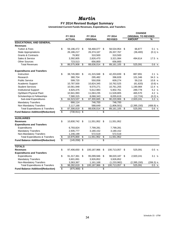## *Martin*

### **FY 2014 Revised Budget Summary**

|                                           |                          |                 |                 |                 |                         | <b>CHANGE</b>  |    |                            |             |  |
|-------------------------------------------|--------------------------|-----------------|-----------------|-----------------|-------------------------|----------------|----|----------------------------|-------------|--|
|                                           |                          | FY 2013         |                 | FY 2014         |                         | FY 2014        |    | <b>ORIGINAL TO REVISED</b> |             |  |
|                                           |                          | <b>ACTUAL</b>   |                 | <b>ORIGINAL</b> |                         | <b>REVISED</b> |    | <b>AMOUNT</b>              | %           |  |
| <b>EDUCATIONAL AND GENERAL</b>            |                          |                 |                 |                 |                         |                |    |                            |             |  |
| <b>Revenues</b>                           |                          |                 |                 |                 |                         |                |    |                            |             |  |
| <b>Tuition &amp; Fees</b>                 | \$                       | 56,196,472      | \$              | 58,468,077      | - \$                    | 58,534,954     | \$ | 66,877                     | 0.1%        |  |
| <b>State Appropriations</b>               |                          | 26,186,217      |                 | 26,374,167      |                         | 26,337,767     |    | (36, 400)                  | $(0.1)$ %   |  |
| <b>Grants &amp; Contracts</b>             |                          | 76,902          |                 | 310,500         |                         | 310,500        |    |                            |             |  |
| Sales & Service                           |                          | 3,392,805       |                 | 2,826,470       |                         | 3,321,084      |    | 494,614                    | 17.5 %      |  |
| <b>Other Sources</b>                      |                          | 723,513         |                 | 656,800         |                         | 656,800        |    |                            |             |  |
| <b>Total Revenues</b>                     | \$                       | 86,575,908      | \$              | 88,636,014      | \$                      | 89, 161, 105   | \$ | 525,091                    | 0.6 %       |  |
| <b>Expenditures and Transfers</b>         |                          |                 |                 |                 |                         |                |    |                            |             |  |
| Instruction                               | \$                       | 38,745,983      | \$              | 41,315,948      | \$                      | 42,203,839     | \$ | 887,891                    | 2.1%        |  |
| Research                                  |                          | 380,704         |                 | 295,482         |                         | 396,828        |    | 101,346                    | 34.3 %      |  |
| <b>Public Service</b>                     |                          | 599,720         |                 | 550,058         |                         | 609,274        |    | 59,216                     | 10.8 %      |  |
| Academic Support                          |                          | 10,787,500      |                 | 10,824,345      |                         | 10,762,525     |    | (61, 820)                  | $(0.6)$ %   |  |
| <b>Student Services</b>                   |                          | 10,561,948      |                 | 9,570,271       |                         | 10,761,255     |    | 1,190,984                  | 12.4%       |  |
| <b>Institutional Support</b>              |                          | 4,925,375       |                 | 5,612,983       |                         | 5,902,761      |    | 289,778                    | 5.2 %       |  |
| Op/Maint Physical Plant                   |                          | 10,941,993      |                 | 11,063,235      |                         | 11,528,805     |    | 465,570                    | 4.2 %       |  |
| Scholarships & Fellowships                |                          | 7,580,315       |                 | 8,068,343       |                         | 8,055,619      |    | (12, 724)                  | $(0.2)$ %   |  |
| Sub-total Expenditures                    | \$                       | 84,523,537      | \$              | 87,300,665      | \$                      | 90,220,906     | \$ | 2,920,241                  | 3.3%        |  |
| <b>Mandatory Transfers</b>                |                          | 666,114         |                 | 746,700         |                         | 746,700        |    |                            |             |  |
| Non Mandatory Transfers                   |                          | 2,117,168       |                 | 588,649         |                         | (1,806,501)    |    | (2, 395, 150)              | $(406.9)$ % |  |
| <b>Total Expenditures &amp; Transfers</b> | $\overline{\mathcal{E}}$ | 87,306,819      | \$              | 88,636,014      | \$                      | 89, 161, 105   | \$ | 525,091                    | 0.6%        |  |
| <b>Fund Balance Addition/(Reduction)</b>  | \$                       | $(730, 911)$ \$ |                 |                 | \$                      |                |    |                            |             |  |
| <b>AUXILIARIES</b>                        |                          |                 |                 |                 |                         |                |    |                            |             |  |
| <b>Revenues</b>                           | \$                       | 10,830,742      | \$              | 11,551,952      | - \$                    | 11,551,952     |    |                            |             |  |
| <b>Expenditures and Transfers</b>         |                          |                 |                 |                 |                         |                |    |                            |             |  |
| Expenditures                              |                          | 6,793,824       |                 | 7,799,281       |                         | 7,799,281      |    |                            |             |  |
| <b>Mandatory Transfers</b>                |                          | 2,935,777       |                 | 3,180,152       |                         | 3,180,152      |    |                            |             |  |
| Non-Mandatory Transfers                   |                          | 1,246,199       |                 | 572,519         |                         | 572,519        |    |                            |             |  |
| <b>Total Expenditures &amp; Transfers</b> | $\overline{\mathbf{e}}$  | 10,975,800      | \$              | 11,551,952      | $\overline{\mathbf{e}}$ | 11,551,952     |    |                            |             |  |
| <b>Fund Balance Addition/(Reduction)</b>  | \$                       | (145,058)       | \$              |                 | \$                      |                |    |                            |             |  |
| <b>TOTALS</b>                             |                          |                 |                 |                 |                         |                |    |                            |             |  |
| <b>Revenues</b>                           | \$                       | 97,406,650      | \$              | 100,187,966     | \$                      | 100,713,057    | \$ | 525,091                    | 0.5%        |  |
| <b>Expenditures and Transfers</b>         |                          |                 |                 |                 |                         |                |    |                            |             |  |
| Expenditures                              | \$                       | 91,317,361      | \$              | 95,099,946      | -\$                     | 98,020,187     | \$ | 2,920,241                  | 3.1%        |  |
| <b>Mandatory Transfers</b>                |                          | 3,601,891       |                 | 3,926,852       |                         | 3,926,852      |    |                            |             |  |
| Non-Mandatory Transfers                   |                          | 3,363,367       |                 | 1,161,168       |                         | (1, 233, 982)  |    | (2, 395, 150)              | $(206.3)$ % |  |
| <b>Total Expenditures &amp; Transfers</b> | \$                       | 98,282,619      | \$              | 100,187,966     | \$                      | 100,713,057    | \$ | 525,091                    | 0.5%        |  |
| <b>Fund Balance Addition/(Reduction)</b>  | \$                       | (875,968)       | $\overline{\$}$ |                 | $\overline{\mathbf{e}}$ |                |    |                            |             |  |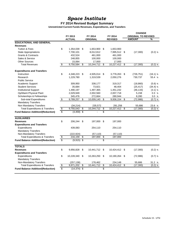# *Space Institute*

### **FY 2014 Revised Budget Summary**

|                                           |                         |                |                          |                 |                 |                |     | <b>CHANGE</b>              |            |  |
|-------------------------------------------|-------------------------|----------------|--------------------------|-----------------|-----------------|----------------|-----|----------------------------|------------|--|
|                                           |                         | FY 2013        |                          | FY 2014         |                 | FY 2014        |     | <b>ORIGINAL TO REVISED</b> |            |  |
|                                           |                         | <b>ACTUAL</b>  |                          | <b>ORIGINAL</b> |                 | <b>REVISED</b> |     | <b>AMOUNT</b>              | %          |  |
| <b>EDUCATIONAL AND GENERAL</b>            |                         |                |                          |                 |                 |                |     |                            |            |  |
| <b>Revenues</b>                           |                         |                |                          |                 |                 |                |     |                            |            |  |
| <b>Tuition &amp; Fees</b>                 | \$                      | 1,354,039      | \$                       | 1,653,900       | -\$             | 1,653,900      |     |                            |            |  |
| <b>State Appropriations</b>               |                         | 7,700,101      |                          | 8,012,812       |                 | 7,995,512      | -\$ | (17, 300)                  | $(0.2)$ %  |  |
| <b>Grants &amp; Contracts</b>             |                         | 432,524        |                          | 461,000         |                 | 461,000        |     |                            |            |  |
| Sales & Service                           |                         | 248,855        |                          | 100,000         |                 | 100,000        |     |                            |            |  |
| <b>Other Sources</b>                      |                         | 15,064         |                          | 17,000          |                 | 17,000         |     |                            |            |  |
| <b>Total Revenues</b>                     | \$                      | 9,750,584      | \$                       | 10,244,712      | \$              | 10,227,412     | \$  | (17, 300)                  | $(0.2)$ %  |  |
| <b>Expenditures and Transfers</b>         |                         |                |                          |                 |                 |                |     |                            |            |  |
| Instruction                               | \$                      | 4,348,223      | \$                       | 4,505,014       | \$              | 3,778,263      | \$  | (726, 751)                 | $(16.1)$ % |  |
| Research                                  |                         | 1,229,780      |                          | 1,319,539       |                 | 2,050,276      |     | 730,737                    | 55.4 %     |  |
| <b>Public Service</b>                     |                         |                |                          |                 |                 |                |     |                            |            |  |
| Academic Support                          |                         | 309,950        |                          | 338,177         |                 | 319,317        |     | (18, 860)                  | $(5.6)$ %  |  |
| <b>Student Services</b>                   |                         | 35,684         |                          | 73,821          |                 | 48,404         |     | (25, 417)                  | $(34.4)$ % |  |
| <b>Institutional Support</b>              |                         | 1,490,197      |                          | 1,497,365       |                 | 1,451,232      |     | (46, 133)                  | $(3.1)$ %  |  |
| Op/Maint Physical Plant                   |                         | 2,029,949      |                          | 2,002,560       |                 | 2,007,718      |     | 5,158                      | 0.3%       |  |
| Scholarships & Fellowships                |                         | 345,476        |                          | 272,664         |                 | 280,944        |     | 8,280                      | 3.0%       |  |
| Sub-total Expenditures                    | \$                      | 9,789,257      | \$                       | 10,009,140      | \$              | 9,936,154      | \$  | (72, 986)                  | $(0.7)$ %  |  |
| <b>Mandatory Transfers</b>                |                         |                |                          |                 |                 |                |     |                            |            |  |
| Non Mandatory Transfers                   |                         | (34, 214)      |                          | 235,572         |                 | 291,258        |     | 55,686                     | 23.6 %     |  |
| <b>Total Expenditures &amp; Transfers</b> | $\overline{\mathbf{S}}$ | 9,755,043      | \$                       | 10,244,712      | \$              | 10,227,412     | \$  | (17, 300)                  | $(0.2)$ %  |  |
| <b>Fund Balance Addition/(Reduction)</b>  | \$                      | (4, 459)       | $\overline{\mathcal{E}}$ |                 | \$              |                |     |                            |            |  |
| <b>AUXILIARIES</b>                        |                         |                |                          |                 |                 |                |     |                            |            |  |
| <b>Revenues</b>                           | \$                      | 206,244        | \$                       | 197,000         | \$              | 197,000        |     |                            |            |  |
| <b>Expenditures and Transfers</b>         |                         |                |                          |                 |                 |                |     |                            |            |  |
| Expenditures                              |                         | 439,083        |                          | 254,110         |                 | 254,110        |     |                            |            |  |
| <b>Mandatory Transfers</b>                |                         |                |                          |                 |                 |                |     |                            |            |  |
| Non-Mandatory Transfers                   |                         | (222,924)      |                          | (57, 110)       |                 | (57, 110)      |     |                            |            |  |
| <b>Total Expenditures &amp; Transfers</b> | $\overline{\$}$         | 216,159        | \$                       | 197,000         | $\overline{\$}$ | 197,000        |     |                            |            |  |
| <b>Fund Balance Addition/(Reduction)</b>  | $\overline{\$}$         | $(9,915)$ \$   |                          |                 | \$              |                |     |                            |            |  |
| <b>TOTALS</b>                             |                         |                |                          |                 |                 |                |     |                            |            |  |
| <b>Revenues</b>                           | \$                      | 9,956,828      | \$                       | 10,441,712      | -\$             | 10,424,412 \$  |     | (17, 300)                  | $(0.2)$ %  |  |
| <b>Expenditures and Transfers</b>         |                         |                |                          |                 |                 |                |     |                            |            |  |
| Expenditures                              | \$                      | 10,228,340     | \$                       | 10,263,250      | -\$             | 10,190,264     | -\$ | (72,986)                   | $(0.7)$ %  |  |
| <b>Mandatory Transfers</b>                |                         |                |                          |                 |                 |                |     |                            |            |  |
| Non-Mandatory Transfers                   |                         | (257, 138)     |                          | 178,462         |                 | 234,148        |     | 55,686                     | 31.2 %     |  |
| <b>Total Expenditures &amp; Transfers</b> | \$                      | 9,971,202      | \$                       | 10,441,712      | \$              | 10,424,412     | \$  | (17, 300)                  | $(0.2)$ %  |  |
| <b>Fund Balance Addition/(Reduction)</b>  | \$                      | $(14, 374)$ \$ |                          |                 | \$              |                |     |                            |            |  |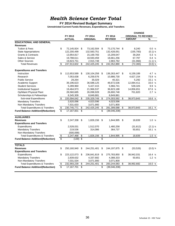## *Health Science Center Total*

#### **FY 2014 Revised Budget Summary**

|                                           |                         |               |                          |                 |    |                |     | <b>CHANGE</b>              |           |  |  |
|-------------------------------------------|-------------------------|---------------|--------------------------|-----------------|----|----------------|-----|----------------------------|-----------|--|--|
|                                           |                         | FY 2013       |                          | FY 2014         |    | FY 2014        |     | <b>ORIGINAL TO REVISED</b> |           |  |  |
|                                           |                         | <b>ACTUAL</b> |                          | <b>ORIGINAL</b> |    | <b>REVISED</b> |     | <b>AMOUNT</b>              | %         |  |  |
| <b>EDUCATIONAL AND GENERAL</b>            |                         |               |                          |                 |    |                |     |                            |           |  |  |
| <b>Revenues</b>                           |                         |               |                          |                 |    |                |     |                            |           |  |  |
| <b>Tuition &amp; Fees</b>                 | \$                      | 72,145,924 \$ |                          | 73,162,504      | \$ | 73,170,744 \$  |     | 8,240                      | 0.0%      |  |  |
| <b>State Appropriations</b>               |                         | 122,200,499   |                          | 132,583,751     |    | 132,428,051    |     | (155,700)                  | $(0.1)$ % |  |  |
| <b>Grants &amp; Contracts</b>             |                         | 13,954,817    |                          | 15,169,783      |    | 15,209,047     |     | 39,264                     | 0.3%      |  |  |
| Sales & Service                           |                         | 19,788,611    |                          | 18,593,459      |    | 18,661,256     |     | 67,797                     | 0.4%      |  |  |
| <b>Other Sources</b>                      |                         | 19,823,751    |                          | 2,915,748       |    | 2,883,782      |     | (31, 966)                  | $(1.1)$ % |  |  |
| <b>Total Revenues</b>                     | \$                      | 247,913,602   | \$                       | 242,425,245     | \$ | 242,352,880    | \$  | (72, 365)                  | $(0.0)$ % |  |  |
| <b>Expenditures and Transfers</b>         |                         |               |                          |                 |    |                |     |                            |           |  |  |
| Instruction                               | \$                      | 112,653,589   | \$                       | 130,104,258     | \$ | 136,263,447    | \$  | 6,159,189                  | 4.7 %     |  |  |
| Research                                  |                         | 7,053,638     |                          | 6,259,576       |    | 10,886,730     |     | 4,627,154                  | 73.9 %    |  |  |
| <b>Public Service</b>                     |                         | 29,264        |                          | 35,029          |    | 40,321         |     | 5,292                      | 15.1 %    |  |  |
| Academic Support                          |                         | 39,196,623    |                          | 36,588,125      |    | 48,672,536     |     | 12,084,411                 | 33.0 %    |  |  |
| <b>Student Services</b>                   |                         | 5,289,960     |                          | 5,427,415       |    | 5,966,741      |     | 539,326                    | 9.9%      |  |  |
| <b>Institutional Support</b>              |                         | 19,464,973    |                          | 21,966,537      |    | 36,823,188     |     | 14,856,651                 | 67.6 %    |  |  |
| Op/Maint Physical Plant                   |                         | 28,560,685    |                          | 26,098,928      |    | 26,800,748     |     | 701,820                    | 2.7%      |  |  |
| Scholarships & Fellowships                |                         | 8,345,309     |                          | 8,849,881       |    | 8,849,881      |     |                            |           |  |  |
| Sub-total Expenditures                    | \$                      | 220,594,042   | \$                       | 235,329,749     | \$ | 274,303,592    | \$  | 38,973,843                 | 16.6 %    |  |  |
| <b>Mandatory Transfers</b>                |                         | 2,620,096     |                          | 4,023,596       |    | 4,023,596      |     |                            |           |  |  |
| Non Mandatory Transfers                   |                         | 7,531,633     |                          | 3,071,900       |    | 3,071,900      |     |                            |           |  |  |
| <b>Total Expenditures &amp; Transfers</b> | \$                      | 230,745,771   | \$                       | 242,425,245     | \$ | 281,399,088    | \$  | 38,973,843                 | 16.1 %    |  |  |
| <b>Fund Balance Addition/(Reduction)</b>  | \$                      | 17,167,831    | \$                       |                 | \$ | (39,046,208)   |     |                            |           |  |  |
| <b>AUXILIARIES</b>                        |                         |               |                          |                 |    |                |     |                            |           |  |  |
| <b>Revenues</b>                           | \$                      | 2,247,338     | \$                       | 1,826,156       | \$ | 1,844,995      | -\$ | 18,839                     | 1.0%      |  |  |
| <b>Expenditures and Transfers</b>         |                         |               |                          |                 |    |                |     |                            |           |  |  |
| Expenditures                              |                         | 2,528,031     |                          | 1,512,070       |    | 1,480,258      |     | (31, 812)                  | $(2.1)$ % |  |  |
| <b>Mandatory Transfers</b>                |                         | 219,536       |                          | 314,086         |    | 364,737        |     | 50,651                     | 16.1 %    |  |  |
| Non-Mandatory Transfers                   |                         | (500, 099)    |                          |                 |    |                |     |                            |           |  |  |
| <b>Total Expenditures &amp; Transfers</b> | $\overline{\mathbf{e}}$ | 2,247,468     | $\overline{\$}$          | 1,826,156       | \$ | 1,844,995      | \$  | 18,839                     | 1.0%      |  |  |
| <b>Fund Balance Addition/(Reduction)</b>  | \$                      | (130)         | $\overline{\mathcal{S}}$ |                 | \$ |                |     |                            |           |  |  |
| <b>TOTALS</b>                             |                         |               |                          |                 |    |                |     |                            |           |  |  |
| <b>Revenues</b>                           | \$                      | 250,160,940   | \$                       | 244,251,401     | \$ | 244,197,875    | \$  | (53, 526)                  | $(0.0)$ % |  |  |
| <b>Expenditures and Transfers</b>         |                         |               |                          |                 |    |                |     |                            |           |  |  |
| Expenditures                              | \$                      | 223,122,073   | \$                       | 236,841,819     | \$ | 275,783,850    | \$  | 38,942,031                 | 16.4 %    |  |  |
| <b>Mandatory Transfers</b>                |                         | 2,839,632     |                          | 4,337,682       |    | 4,388,333      |     | 50,651                     | 1.2%      |  |  |
| Non-Mandatory Transfers                   |                         | 7,031,534     |                          | 3,071,900       |    | 3,071,900      |     |                            |           |  |  |
| <b>Total Expenditures &amp; Transfers</b> | \$                      | 232,993,239   | \$                       | 244,251,401     | \$ | 283,244,083    | \$  | 38,992,682                 | 16.0%     |  |  |
| <b>Fund Balance Addition/(Reduction)</b>  | \$                      | 17,167,701    | \$                       |                 | \$ | (39,046,208)   |     |                            |           |  |  |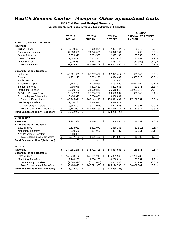# *Health Science Center - Memphis Other Specialized Units*

**FY 2014 Revised Budget Summary**

|                                           |                          |               |                 |                 |                         |                | <b>CHANGE</b> |                            |           |  |
|-------------------------------------------|--------------------------|---------------|-----------------|-----------------|-------------------------|----------------|---------------|----------------------------|-----------|--|
|                                           |                          | FY 2013       |                 | FY 2014         |                         | FY 2014        |               | <b>ORIGINAL TO REVISED</b> |           |  |
|                                           |                          | <b>ACTUAL</b> |                 | <b>ORIGINAL</b> |                         | <b>REVISED</b> |               | <b>AMOUNT</b>              | %         |  |
| <b>EDUCATIONAL AND GENERAL</b>            |                          |               |                 |                 |                         |                |               |                            |           |  |
| <b>Revenues</b>                           |                          |               |                 |                 |                         |                |               |                            |           |  |
| <b>Tuition &amp; Fees</b>                 | \$                       | 49,879,624    | \$              | 47,919,204      | \$                      | 47,927,444     | \$            | 8,240                      | 0.0 %     |  |
| <b>State Appropriations</b>               |                          | 67,383,999    |                 | 74,840,051      |                         | 74,840,751     |               | 700                        | 0.0 %     |  |
| <b>Grants &amp; Contracts</b>             |                          | 13,353,919    |                 | 12,959,580      |                         | 12,997,136     |               | 37,556                     | 0.3 %     |  |
| Sales & Service                           |                          | 7,449,415     |                 | 6,813,586       |                         | 6,945,873      |               | 132,287                    | 1.9 %     |  |
| <b>Other Sources</b>                      |                          | 14,036,982    |                 | 2,363,748       |                         | 2,331,782      |               | (31, 966)                  | $(1.4)$ % |  |
| <b>Total Revenues</b>                     | \$                       | 152,103,940   | \$              | 144,896,169     | \$                      | 145,042,986    | \$            | 146,817                    | 0.1<br>%  |  |
| <b>Expenditures and Transfers</b>         |                          |               |                 |                 |                         |                |               |                            |           |  |
| Instruction                               | \$                       | 42,501,951    | \$              | 50,387,472      | - \$                    | 52,341,417     | \$            | 1,953,945                  | 3.9%      |  |
| Research                                  |                          | 4,271,115     |                 | 5,569,176       |                         | 9,094,499      |               | 3,525,323                  | 63.3 %    |  |
| <b>Public Service</b>                     |                          |               |                 | 25,000          |                         | 25,000         |               |                            |           |  |
| Academic Support                          |                          | 34,798,101    |                 | 32,109,966      |                         | 38,753,460     |               | 6,643,494                  | 20.7 %    |  |
| <b>Student Services</b>                   |                          | 4,796,975     |                 | 4,672,580       |                         | 5,201,951      |               | 529,371                    | 11.3%     |  |
| <b>Institutional Support</b>              |                          | 19,090,790    |                 | 21,629,843      |                         | 35,610,919     |               | 13,981,076                 | 64.6 %    |  |
| Op/Maint Physical Plant                   |                          | 28,347,766    |                 | 25,896,222      |                         | 26,525,564     |               | 629,342                    | 2.4%      |  |
| Scholarships & Fellowships                |                          | 6,438,373     |                 | 6,858,881       |                         | 6,858,881      |               |                            |           |  |
| Sub-total Expenditures                    | \$                       | 140,245,071   | \$              | 147,149,140     | \$                      | 174,411,691    | \$            | 27,262,551                 | 18.5 %    |  |
| <b>Mandatory Transfers</b>                |                          | 2,520,733     |                 | 3,924,077       |                         | 3,924,077      |               |                            |           |  |
| Non Mandatory Transfers                   |                          | (6,584,797)   |                 | (6, 177, 048)   |                         | 4,943,943      |               | 11,120,991                 | 180.0 %   |  |
| <b>Total Expenditures &amp; Transfers</b> | \$                       | 136, 181, 007 | \$              | 144,896,169     | \$                      | 183,279,711    | \$            | 38,383,542                 | 26.5 %    |  |
| <b>Fund Balance Addition/(Reduction)</b>  | S                        | 15,922,933    | \$              |                 | S                       | (38, 236, 725) |               |                            |           |  |
| <b>AUXILIARIES</b>                        |                          |               |                 |                 |                         |                |               |                            |           |  |
| <b>Revenues</b>                           | \$                       | 2,247,338     | \$              | 1,826,156       | \$                      | 1,844,995      | \$            | 18,839                     | 1.0%      |  |
| <b>Expenditures and Transfers</b>         |                          |               |                 |                 |                         |                |               |                            |           |  |
| Expenditures                              |                          | 2,528,031     |                 | 1,512,070       |                         | 1,480,258      |               | (31, 812)                  | $(2.1)$ % |  |
| <b>Mandatory Transfers</b>                |                          | 219,536       |                 | 314,086         |                         | 364,737        |               | 50,651                     | 16.1 %    |  |
| Non-Mandatory Transfers                   |                          | (500, 099)    |                 |                 |                         |                |               |                            |           |  |
| <b>Total Expenditures &amp; Transfers</b> | $\overline{\mathcal{G}}$ | 2,247,468     | $\overline{\$}$ | 1,826,156       | $\overline{\mathbf{e}}$ | 1,844,995      | \$            | 18,839                     | 1.0%      |  |
| <b>Fund Balance Addition/(Reduction)</b>  | $\overline{\mathbb{S}}$  | (130)         | \$              |                 | \$                      |                |               |                            |           |  |
| <b>TOTALS</b>                             |                          |               |                 |                 |                         |                |               |                            |           |  |
| <b>Revenues</b>                           | \$                       | 154, 351, 278 | \$              | 146,722,325     | \$                      | 146,887,981    | \$            | 165,656                    | 0.1%      |  |
| <b>Expenditures and Transfers</b>         |                          |               |                 |                 |                         |                |               |                            |           |  |
| Expenditures                              | \$                       | 142,773,102   | \$              | 148,661,210     | \$                      | 175,891,949    | \$            | 27,230,739                 | 18.3%     |  |
| <b>Mandatory Transfers</b>                |                          | 2,740,269     |                 | 4,238,163       |                         | 4,288,814      |               | 50,651                     | 1.2%      |  |
| Non-Mandatory Transfers                   |                          | (7,084,896)   |                 | (6, 177, 048)   |                         | 4,943,943      |               | 11,120,991                 | 180.0 %   |  |
| <b>Total Expenditures &amp; Transfers</b> | $\overline{\mathbf{3}}$  | 138,428,475   | \$              | 146,722,325     | \$                      | 185, 124, 706  | \$            | 38,402,381                 | 26.2 %    |  |
| <b>Fund Balance Addition/(Reduction)</b>  | $\overline{\$}$          | 15,922,803    | \$              |                 | $\overline{\$}$         | (38, 236, 725) |               |                            |           |  |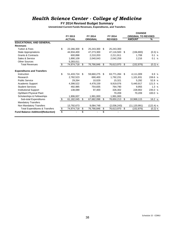## *Health Science Center - College of Medicine*

**FY 2014 Revised Budget Summary**

|                                           |                         |               |     |                 |    |                |     | <b>CHANGE</b>              |             |
|-------------------------------------------|-------------------------|---------------|-----|-----------------|----|----------------|-----|----------------------------|-------------|
|                                           |                         | FY 2013       |     | FY 2014         |    | FY 2014        |     | <b>ORIGINAL TO REVISED</b> |             |
|                                           |                         | <b>ACTUAL</b> |     | <b>ORIGINAL</b> |    | <b>REVISED</b> |     | <b>AMOUNT</b>              | %           |
| <b>EDUCATIONAL AND GENERAL</b>            |                         |               |     |                 |    |                |     |                            |             |
| <b>Revenues</b>                           |                         |               |     |                 |    |                |     |                            |             |
| <b>Tuition &amp; Fees</b>                 | \$                      | 22,266,300    | \$. | 25,243,300      | \$ | 25,243,300     |     |                            |             |
| <b>State Appropriations</b>               |                         | 44,934,400    |     | 47,273,300      |    | 47,116,500     | -\$ | (156, 800)                 | $(0.3)$ %   |
| <b>Grants &amp; Contracts</b>             |                         | 600.898       |     | 2,210,203       |    | 2,211,911      |     | 1.708                      | 0.1%        |
| Sales & Service                           |                         | 1.890.109     |     | 2.040.043       |    | 2,042,259      |     | 2.216                      | 0.1%        |
| <b>Other Sources</b>                      |                         | 5,283,011     |     |                 |    |                |     |                            |             |
| <b>Total Revenues</b>                     | \$                      | 74,974,718    | \$  | 76,766,846      | \$ | 76,613,970     | \$  | (152, 876)                 | $(0.2)$ %   |
| <b>Expenditures and Transfers</b>         |                         |               |     |                 |    |                |     |                            |             |
| Instruction                               | \$                      | 51,433,724    | \$  | 59,660,275      | \$ | 63.771.284     | -S  | 4,111,009                  | 6.9 %       |
| Research                                  |                         | 2,782,523     |     | 690.400         |    | 1,792,231      |     | 1,101,831                  | 159.6 %     |
| <b>Public Service</b>                     |                         | 29.264        |     | 10.029          |    | 15.321         |     | 5.292                      | 52.8 %      |
| Academic Support                          |                         | 4,398,522     |     | 4,478,159       |    | 9,919,076      |     | 5,440,917                  | 121.5 %     |
| <b>Student Services</b>                   |                         | 492.985       |     | 754,835         |    | 764,790        |     | 9,955                      | 1.3%        |
| <b>Institutional Support</b>              |                         | 138.089       |     | 97.400          |    | 326.302        |     | 228.902                    | 235.0 %     |
| Op/Maint Physical Plant                   |                         |               |     |                 |    | 70,209         |     | 70,209                     | 100.0 %     |
| Scholarships & Fellowships                |                         | 1,906,937     |     | 1,991,000       |    | 1,991,000      |     |                            |             |
| Sub-total Expenditures                    | \$                      | 61,182,045    | \$  | 67,682,098      | \$ | 78,650,213     | \$  | 10,968,115                 | 16.2 %      |
| <b>Mandatory Transfers</b>                |                         |               |     |                 |    |                |     |                            |             |
| Non Mandatory Transfers                   |                         | 13,792,673    |     | 9,084,748       |    | (2,036,243)    |     | (11, 120, 991)             | $(122.4)$ % |
| <b>Total Expenditures &amp; Transfers</b> | $\overline{\mathbf{3}}$ | 74,974,718    | \$  | 76,766,846      | \$ | 76,613,970     | \$  | (152, 876)                 | $(0.2)$ %   |
| <b>Fund Balance Addition/(Reduction)</b>  | $\overline{\mathbb{S}}$ |               | \$  |                 | \$ |                |     |                            |             |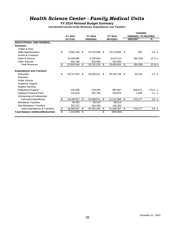## *Health Science Center - Family Medical Units*

### **FY 2014 Revised Budget Summary**

|                                           |    |               |                  |                  |    | <b>CHANGE</b>              |           |
|-------------------------------------------|----|---------------|------------------|------------------|----|----------------------------|-----------|
|                                           |    | FY 2013       | FY 2014          | FY 2014          |    | <b>ORIGINAL TO REVISED</b> |           |
|                                           |    | <b>ACTUAL</b> | <b>ORIGINAL</b>  | <b>REVISED</b>   |    | <b>AMOUNT</b>              | %         |
| <b>EDUCATIONAL AND GENERAL</b>            |    |               |                  |                  |    |                            |           |
| <b>Revenues</b>                           |    |               |                  |                  |    |                            |           |
| <b>Tuition &amp; Fees</b>                 |    |               |                  |                  |    |                            |           |
| <b>State Appropriations</b>               | \$ | 9,882,100     | \$<br>10,470,400 | \$<br>10,470,800 | \$ | 400                        | 0.0 %     |
| <b>Grants &amp; Contracts</b>             |    |               |                  |                  |    |                            |           |
| Sales & Service                           |    | 10,449,086    | 9,739,830        | 9,673,124        |    | (66, 706)                  | $(0.7)$ % |
| <b>Other Sources</b>                      |    | 503,758       | 552,000          | 552.000          |    |                            |           |
| <b>Total Revenues</b>                     | \$ | 20,834,944    | \$<br>20,762,230 | \$<br>20,695,924 | S. | (66, 306)                  | $(0.3)$ % |
|                                           |    |               |                  |                  |    |                            |           |
| <b>Expenditures and Transfers</b>         |    |               |                  |                  |    |                            |           |
| Instruction                               | \$ | 18,717,914    | \$<br>20,056,511 | \$<br>20,150,746 | -S | 94,235                     | 0.5%      |
| Research                                  |    |               |                  |                  |    |                            |           |
| <b>Public Service</b>                     |    |               |                  |                  |    |                            |           |
| Academic Support                          |    |               |                  |                  |    |                            |           |
| <b>Student Services</b>                   |    |               |                  |                  |    |                            |           |
| <b>Institutional Support</b>              |    | 236,094       | 239,294          | 885,967          |    | 646,673                    | 270.2 %   |
| Op/Maint Physical Plant                   |    | 212,919       | 202.706          | 204,975          |    | 2,269                      | 1.1%      |
| Scholarships & Fellowships                |    |               |                  |                  |    |                            |           |
| Sub-total Expenditures                    | \$ | 19,166,927    | \$<br>20,498,511 | \$<br>21,241,688 | \$ | 743,177                    | 3.6%      |
| <b>Mandatory Transfers</b>                |    | 99,363        | 99,519           | 99,519           |    |                            |           |
| Non Mandatory Transfers                   |    | 323,757       | 164,200          | 164,200          |    |                            |           |
| <b>Total Expenditures &amp; Transfers</b> | \$ | 19,590,047    | \$<br>20,762,230 | \$<br>21,505,407 | \$ | 743,177                    | 3.6 %     |
| <b>Fund Balance Addition/(Reduction)</b>  | S  | 1,244,898     | \$               | \$<br>(809, 483) |    |                            |           |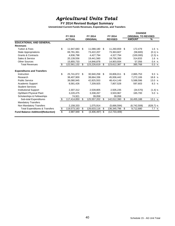# *Agricultural Units Total*

### **FY 2014 Revised Budget Summary**

|                                           |                 |               |    |                             |                   |    | <b>CHANGE</b>              |             |
|-------------------------------------------|-----------------|---------------|----|-----------------------------|-------------------|----|----------------------------|-------------|
|                                           |                 | FY 2013       |    | FY 2014                     | FY 2014           |    | <b>ORIGINAL TO REVISED</b> |             |
|                                           |                 | <b>ACTUAL</b> |    | <b>ORIGINAL</b>             | <b>REVISED</b>    |    | <b>AMOUNT</b>              | %           |
| <b>EDUCATIONAL AND GENERAL</b>            |                 |               |    |                             |                   |    |                            |             |
| <b>Revenues</b>                           |                 |               |    |                             |                   |    |                            |             |
| <b>Tuition &amp; Fees</b>                 | \$              | 11,947,683    | \$ | 11,088,180                  | \$<br>11,260,659  | S. | 172,479                    | 1.6%        |
| <b>State Appropriations</b>               |                 | 69,781,361    |    | 73,422,207                  | 73,363,607        |    | (58,600)                   | $(0.1)$ %   |
| <b>Grants &amp; Contracts</b>             |                 | 4,836,798     |    | 4,427,794                   | 4,327,794         |    | (100,000)                  | $(2.3)$ %   |
| Sales & Service                           |                 | 20,139,556    |    | 19,441,560                  | 19,756,393        |    | 314,833                    | 1.6%        |
| <b>Other Sources</b>                      |                 | 15,855,733    |    | 14,846,878                  | 14,903,934        |    | 57,056                     | 0.4 %       |
| <b>Total Revenues</b>                     | S               | 122,561,132   | \$ | 123,226,619                 | \$<br>123,612,387 | \$ | 385,768                    | 0.3 %       |
| <b>Expenditures and Transfers</b>         |                 |               |    |                             |                   |    |                            |             |
| Instruction                               | \$              | 25,741,872    | S  | 30,940,258                  | \$<br>33,806,011  | S. | 2,865,753                  | 9.3 %       |
| Research                                  |                 | 38,407,900    |    | 38,664,336                  | 45,936,442        |    | 7,272,106                  | 18.8 %      |
| <b>Public Service</b>                     |                 | 39,080,945    |    | 42,825,553                  | 48,414,149        |    | 5,588,596                  | 13.0 %      |
| Academic Support                          |                 | 8,581,426     |    | 7,209,925                   | 7,807,528         |    | 597,603                    | 8.3 %       |
| <b>Student Services</b>                   |                 |               |    |                             |                   |    |                            |             |
| <b>Institutional Support</b>              |                 | 2,307,312     |    | 2,539,805                   | 2,505,235         |    | (34, 570)                  | $(1.4)$ %   |
| Op/Maint Physical Plant                   |                 | 3,220,475     |    | 3,338,267                   | 3,503,967         |    | 165.700                    | 5.0 %       |
| Scholarships & Fellowships                |                 | 74.921        |    | 39,058                      | 39.058            |    |                            |             |
| Sub-total Expenditures                    | \$              | 117,414,850   | \$ | 125,557,202                 | \$<br>142,012,390 | \$ | 16,455,188                 | 13.1 %      |
| <b>Mandatory Transfers</b>                |                 |               |    |                             |                   |    |                            |             |
| Non Mandatory Transfers                   |                 | 2,158,333     |    | 1,075,914                   | (5,666,594)       |    | (6,742,508)                | $(626.7)$ % |
| <b>Total Expenditures &amp; Transfers</b> | \$              | 119,573,183   | \$ | 126,633,116                 | \$<br>136,345,796 | \$ | 9,712,680                  | 7.7 %       |
| <b>Fund Balance Addition/(Reduction)</b>  | $\overline{\$}$ | 2,987,949     | \$ | $(3,406,\overline{497})$ \$ | (12, 733, 409)    |    |                            |             |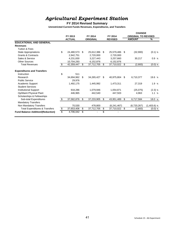# *Agricultural Experiment Station*

### **FY 2014 Revised Summary**

|                                           |                  |    |                 |                     |    | <b>CHANGE</b>              |               |
|-------------------------------------------|------------------|----|-----------------|---------------------|----|----------------------------|---------------|
|                                           | FY 2013          |    | FY 2014         | FY 2014             |    | <b>ORIGINAL TO REVISED</b> |               |
|                                           | <b>ACTUAL</b>    |    | <b>ORIGINAL</b> | <b>REVISED</b>      |    | <b>AMOUNT</b>              | %             |
| <b>EDUCATIONAL AND GENERAL</b>            |                  |    |                 |                     |    |                            |               |
| <b>Revenues</b>                           |                  |    |                 |                     |    |                            |               |
| <b>Tuition &amp; Fees</b>                 |                  |    |                 |                     |    |                            |               |
| <b>State Appropriations</b>               | \$<br>24,480,573 | \$ | 25,612,386      | \$<br>25,579,486    | S. | (32,900)                   | $(0.1)$ %     |
| <b>Grants &amp; Contracts</b>             | 2,942,751        |    | 2,720,000       | 2,720,000           |    |                            |               |
| Sales & Service                           | 4,231,830        |    | 3,227,443       | 3,257,660           |    | 30,217                     | 0.9%          |
| <b>Other Sources</b>                      | 10,704,293       |    | 6,152,876       | 6,152,876           |    |                            |               |
| <b>Total Revenues</b>                     | \$<br>42,359,447 | \$ | 37,712,705      | \$<br>37,710,022    | \$ | (2,683)                    | $(0.0)$ %     |
| <b>Expenditures and Transfers</b>         |                  |    |                 |                     |    |                            |               |
| Instruction                               | \$<br>511        |    |                 |                     |    |                            |               |
| Research                                  | 34,694,962       | S  | 34,265,427      | \$<br>40,975,804    | \$ | 6,710,377                  | 19.6 %        |
| <b>Public Service</b>                     | 29.976           |    |                 |                     |    |                            |               |
| Academic Support                          | 1,492,175        |    | 1,445,992       | 1,473,311           |    | 27,319                     | 1.9%          |
| <b>Student Services</b>                   |                  |    |                 |                     |    |                            |               |
| <b>Institutional Support</b>              | 918,286          |    | 1,079,946       | 1,054,871           |    | (25,075)                   | $(2.3)$ %     |
| Op/Maint Physical Plant                   | 446,965          |    | 442,540         | 447,503             |    | 4,963                      | 1.1%          |
| Scholarships & Fellowships                |                  |    |                 |                     |    |                            |               |
| Sub-total Expenditures                    | \$<br>37,582,876 | \$ | 37,233,905      | \$<br>43,951,489    | \$ | 6,717,584                  | 18.0 %        |
| <b>Mandatory Transfers</b>                |                  |    |                 |                     |    |                            |               |
| Non Mandatory Transfers                   | 70,530           |    | 478,800         | (6, 241, 467)       |    | (6,720,267)                | $(1,403.6)$ % |
| <b>Total Expenditures &amp; Transfers</b> | \$<br>37,653,406 | \$ | 37,712,705      | \$<br>37,710,022 \$ |    | (2,683)                    | $(0.0)$ %     |
| <b>Fund Balance Addition/(Reduction)</b>  | 4,706,042        | \$ |                 | \$                  |    |                            |               |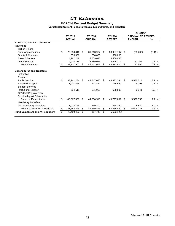## *UT Extension*

### **FY 2014 Revised Budget Summary**

|                                           |                         |               |    |                 |         |                |                            | <b>CHANGE</b> |           |  |
|-------------------------------------------|-------------------------|---------------|----|-----------------|---------|----------------|----------------------------|---------------|-----------|--|
|                                           | FY 2013<br>FY 2014      |               |    |                 | FY 2014 |                | <b>ORIGINAL TO REVISED</b> |               |           |  |
|                                           |                         | <b>ACTUAL</b> |    | <b>ORIGINAL</b> |         | <b>REVISED</b> |                            | <b>AMOUNT</b> | %         |  |
| <b>EDUCATIONAL AND GENERAL</b>            |                         |               |    |                 |         |                |                            |               |           |  |
| <b>Revenues</b>                           |                         |               |    |                 |         |                |                            |               |           |  |
| <b>Tuition &amp; Fees</b>                 |                         |               |    |                 |         |                |                            |               |           |  |
| <b>State Appropriations</b>               | \$                      | 29,580,016    | \$ | 31,013,967      | \$      | 30,987,767     | -\$                        | (26, 200)     | $(0.1)$ % |  |
| <b>Grants &amp; Contracts</b>             |                         | 556,988       |    | 530,000         |         | 530,000        |                            |               |           |  |
| Sales & Service                           |                         | 4, 161, 248   |    | 4,509,045       |         | 4,509,045      |                            |               |           |  |
| <b>Other Sources</b>                      |                         | 4,903,715     |    | 8,489,056       |         | 8,546,112      |                            | 57,056        | 0.7 %     |  |
| <b>Total Revenues</b>                     | \$                      | 39,201,967    | \$ | 44,542,068      | \$      | 44,572,924 \$  |                            | 30,856        | 0.1%      |  |
| <b>Expenditures and Transfers</b>         |                         |               |    |                 |         |                |                            |               |           |  |
| Instruction                               |                         |               |    |                 |         |                |                            |               |           |  |
| Research                                  |                         |               |    |                 |         |                |                            |               |           |  |
| <b>Public Service</b>                     | \$                      | 38,941,284    | \$ | 42,747,080      | \$      | 48,333,294     | - \$                       | 5,586,214     | 13.1%     |  |
| Academic Support                          |                         | 1,001,865     |    | 771,471         |         | 776,569        |                            | 5,098         | 0.7%      |  |
| <b>Student Services</b>                   |                         |               |    |                 |         |                |                            |               |           |  |
| <b>Institutional Support</b>              |                         | 724,511       |    | 681,965         |         | 688,006        |                            | 6,041         | 0.9%      |  |
| Op/Maint Physical Plant                   |                         |               |    |                 |         |                |                            |               |           |  |
| Scholarships & Fellowships                |                         |               |    |                 |         |                |                            |               |           |  |
| Sub-total Expenditures                    | \$                      | 40,667,660    | \$ | 44,200,516      | \$      | 49,797,869     | \$                         | 5,597,353     | 12.7 %    |  |
| <b>Mandatory Transfers</b>                |                         |               |    |                 |         |                |                            |               |           |  |
| Non Mandatory Transfers                   |                         | 1,014,769     |    | 459.300         |         | 468,180        |                            | 8,880         | 1.9 %     |  |
| <b>Total Expenditures &amp; Transfers</b> | $\overline{\mathbf{e}}$ | 41,682,429    | \$ | 44,659,816      | \$      | 50,266,049     | \$                         | 5,606,233     | 12.6 %    |  |
| <b>Fund Balance Addition/(Reduction)</b>  | $\overline{\mathbb{S}}$ | (2,480,463)   | \$ | (117,748)       | \$      | (5,693,125)    |                            |               |           |  |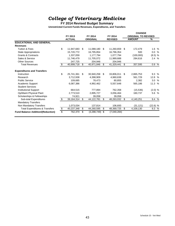# *College of Veterinary Medicine*

### **FY 2014 Revised Budget Summary**

|                                           |                          |               |    |                 |     |                | <b>CHANGE</b> |                            |                    |  |
|-------------------------------------------|--------------------------|---------------|----|-----------------|-----|----------------|---------------|----------------------------|--------------------|--|
|                                           | FY 2013                  |               |    | FY 2014         |     | FY 2014        |               | <b>ORIGINAL TO REVISED</b> |                    |  |
|                                           |                          | <b>ACTUAL</b> |    | <b>ORIGINAL</b> |     | <b>REVISED</b> |               | <b>AMOUNT</b>              | %                  |  |
| <b>EDUCATIONAL AND GENERAL</b>            |                          |               |    |                 |     |                |               |                            |                    |  |
| <b>Revenues</b>                           |                          |               |    |                 |     |                |               |                            |                    |  |
| <b>Tuition &amp; Fees</b>                 | \$                       | 11,947,683    | \$ | 11,088,180      | \$  | 11,260,659     | \$            | 172,479                    | 1.6 %              |  |
| <b>State Appropriations</b>               |                          | 15,720,772    |    | 16,795,854      |     | 16,796,354     |               | 500                        | 0.0 %              |  |
| <b>Grants &amp; Contracts</b>             |                          | 1,337,059     |    | 1,177,794       |     | 1,077,794      |               | (100,000)                  | $(8.5)$ %          |  |
| Sales & Service                           |                          | 11,746,479    |    | 11,705,072      |     | 11,989,688     |               | 284,616                    | 2.4 %              |  |
| <b>Other Sources</b>                      |                          | 247,725       |    | 204.946         |     | 204.946        |               |                            |                    |  |
| <b>Total Revenues</b>                     | \$                       | 40,999,718    | \$ | 40,971,846      | \$  | 41,329,441     | \$            | 357,595                    | 0.9%               |  |
| <b>Expenditures and Transfers</b>         |                          |               |    |                 |     |                |               |                            |                    |  |
| Instruction                               | \$                       | 25,741,361    | \$ | 30,940,258      | \$. | 33,806,011     | \$            | 2,865,753                  | 9.3%               |  |
| Research                                  |                          | 3,712,938     |    | 4,398,909       |     | 4,960,638      |               | 561,729                    | 12.8 %             |  |
| <b>Public Service</b>                     |                          | 109.685       |    | 78,473          |     | 80.855         |               | 2.382                      | 3.0%               |  |
| <b>Academic Support</b>                   |                          | 6,087,386     |    | 4,992,462       |     | 5,557,648      |               | 565.186                    | 11.3 %             |  |
| <b>Student Services</b>                   |                          |               |    |                 |     |                |               |                            |                    |  |
| <b>Institutional Support</b>              |                          | 664,515       |    | 777,894         |     | 762,358        |               | (15, 536)                  | (2.0) %            |  |
| Op/Maint Physical Plant                   |                          | 2,773,510     |    | 2,895,727       |     | 3,056,464      |               | 160.737                    | 5.6 %              |  |
| Scholarships & Fellowships                |                          | 74,921        |    | 39,058          |     | 39,058         |               |                            |                    |  |
| Sub-total Expenditures                    | \$                       | 39,164,314    | \$ | 44,122,781      | \$  | 48,263,032     | \$            | 4,140,251                  | 9.4 %              |  |
| <b>Mandatory Transfers</b>                |                          |               |    |                 |     |                |               |                            |                    |  |
| Non Mandatory Transfers                   |                          | 1,073,034     |    | 137,814         |     | 106,693        |               | (31, 121)                  | (22.6) %           |  |
| <b>Total Expenditures &amp; Transfers</b> | $\overline{\mathbf{e}}$  | 40,237,348    | \$ | 44,260,595      | \$  | 48,369,725     | \$            | 4,109,130                  | $9.3\frac{ }{ }$ % |  |
| <b>Fund Balance Addition/(Reduction)</b>  | $\overline{\mathcal{S}}$ | 762,370       | \$ | (3,288,749)     | \$  | (7,040,284)    |               |                            |                    |  |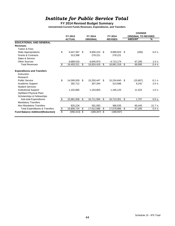# *Institute for Public Service Total*

### **FY 2014 Revised Budget Summary**

|                                           |                         |               |     |                 |    |                |      | <b>CHANGE</b>              |         |  |  |
|-------------------------------------------|-------------------------|---------------|-----|-----------------|----|----------------|------|----------------------------|---------|--|--|
|                                           |                         | FY 2013       |     | FY 2014         |    | FY 2014        |      | <b>ORIGINAL TO REVISED</b> |         |  |  |
|                                           |                         | <b>ACTUAL</b> |     | <b>ORIGINAL</b> |    | <b>REVISED</b> |      | <b>AMOUNT</b>              | %       |  |  |
| <b>EDUCATIONAL AND GENERAL</b>            |                         |               |     |                 |    |                |      |                            |         |  |  |
| <b>Revenues</b>                           |                         |               |     |                 |    |                |      |                            |         |  |  |
| Tuition & Fees                            |                         |               |     |                 |    |                |      |                            |         |  |  |
| <b>State Appropriations</b>               | \$                      | 9,447,397     | \$  | 9,900,224       | \$ | 9,899,924 \$   |      | (300)                      | 0.0 %   |  |  |
| <b>Grants &amp; Contracts</b>             |                         | 313,398       |     | 278,221         |    | 278,221        |      |                            |         |  |  |
| Sales & Service                           |                         |               |     |                 |    |                |      |                            |         |  |  |
| <b>Other Sources</b>                      |                         | 6,689,516     |     | 6,645,974       |    | 6,713,174      |      | 67,200                     | 1.0 %   |  |  |
| <b>Total Revenues</b>                     | \$                      | 16,450,311    | \$  | 16,824,419      | \$ | 16,891,319     | \$   | 66,900                     | 0.4%    |  |  |
| <b>Expenditures and Transfers</b>         |                         |               |     |                 |    |                |      |                            |         |  |  |
| Instruction                               |                         |               |     |                 |    |                |      |                            |         |  |  |
| Research                                  |                         |               |     |                 |    |                |      |                            |         |  |  |
| <b>Public Service</b>                     | \$                      | 14,595,929    | \$  | 15,250,447      | \$ | 15,234,640     | - \$ | (15, 807)                  | $-0.1%$ |  |  |
| Academic Support                          |                         | 282.712       |     | 307.344         |    | 313,586        |      | 6.242                      | 2.0%    |  |  |
| <b>Student Services</b>                   |                         |               |     |                 |    |                |      |                            |         |  |  |
| <b>Institutional Support</b>              |                         | 1,102,865     |     | 1,153,803       |    | 1,165,125      |      | 11,322                     | 1.0%    |  |  |
| Op/Maint Physical Plant                   |                         |               |     |                 |    |                |      |                            |         |  |  |
| Scholarships & Fellowships                |                         |               |     |                 |    |                |      |                            |         |  |  |
| Sub-total Expenditures                    | \$                      | 15,981,506    | \$  | 16,711,594      | \$ | 16,713,351     | \$   | 1.757                      | 0.0 %   |  |  |
| <b>Mandatory Transfers</b>                |                         |               |     |                 |    |                |      |                            |         |  |  |
| Non Mandatory Transfers                   |                         | 825,218       |     | 301,092         |    | 366,535        |      | 65,443                     | 21.7 %  |  |  |
| <b>Total Expenditures &amp; Transfers</b> | \$                      | 16,806,724    | \$  | 17,012,686      | \$ | 17,079,886     | \$   | 67,200                     | 0.4 %   |  |  |
| <b>Fund Balance Addition/(Reduction)</b>  | $\overline{\mathbb{S}}$ | (356,413)     | -\$ | $(188, 267)$ \$ |    | (188, 567)     |      |                            |         |  |  |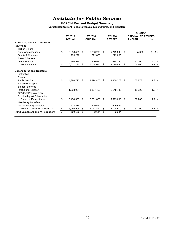# *Institute for Public Service*

### **FY 2014 Revised Budget Summary**

|                                           |    |               |    |                 |     |                | <b>CHANGE</b> |                            |           |  |
|-------------------------------------------|----|---------------|----|-----------------|-----|----------------|---------------|----------------------------|-----------|--|
|                                           |    | FY 2013       |    | FY 2014         |     | FY 2014        |               | <b>ORIGINAL TO REVISED</b> |           |  |
|                                           |    | <b>ACTUAL</b> |    | <b>ORIGINAL</b> |     | <b>REVISED</b> |               | <b>AMOUNT</b>              | %         |  |
| <b>EDUCATIONAL AND GENERAL</b>            |    |               |    |                 |     |                |               |                            |           |  |
| <b>Revenues</b>                           |    |               |    |                 |     |                |               |                            |           |  |
| <b>Tuition &amp; Fees</b>                 |    |               |    |                 |     |                |               |                            |           |  |
| <b>State Appropriations</b>               | \$ | 5,058,459     | \$ | 5,250,298       | \$  | 5,249,898      | \$            | (400)                      | $(0.0)$ % |  |
| <b>Grants &amp; Contracts</b>             |    | 298,292       |    | 272,806         |     | 272,806        |               |                            |           |  |
| Sales & Service                           |    |               |    |                 |     |                |               |                            |           |  |
| <b>Other Sources</b>                      |    | 660,979       |    | 520,950         |     | 588,150        |               | 67,200                     | 12.9 %    |  |
| <b>Total Revenues</b>                     | \$ | 6,017,730     | \$ | 6,044,054       | \$  | 6,110,854      | \$            | 66,800                     | 1.1%      |  |
| <b>Expenditures and Transfers</b>         |    |               |    |                 |     |                |               |                            |           |  |
| Instruction                               |    |               |    |                 |     |                |               |                            |           |  |
| Research                                  |    |               |    |                 |     |                |               |                            |           |  |
| <b>Public Service</b>                     | \$ | 4,380,723     | \$ | 4,394,400       | -\$ | 4,450,278 \$   |               | 55,878                     | 1.3%      |  |
| Academic Support                          |    |               |    |                 |     |                |               |                            |           |  |
| <b>Student Services</b>                   |    |               |    |                 |     |                |               |                            |           |  |
| <b>Institutional Support</b>              |    | 1,093,964     |    | 1,137,468       |     | 1,148,790      |               | 11.322                     | 1.0%      |  |
| Op/Maint Physical Plant                   |    |               |    |                 |     |                |               |                            |           |  |
| Scholarships & Fellowships                |    |               |    |                 |     |                |               |                            |           |  |
| Sub-total Expenditures                    | \$ | 5,474,687     | \$ | 5,531,868       | \$  | 5,599,068      | \$            | 67,200                     | 1.2%      |  |
| <b>Mandatory Transfers</b>                |    |               |    |                 |     |                |               |                            |           |  |
| Non Mandatory Transfers                   |    | 612,219       |    | 509,542         |     | 509,542        |               |                            |           |  |
| <b>Total Expenditures &amp; Transfers</b> | \$ | 6,086,906     | \$ | 6,041,410       | \$  | 6,108,610      | \$            | 67,200                     | 1.1%      |  |
| <b>Fund Balance Addition/(Reduction)</b>  | \$ | (69, 176)     | \$ | 2,644           | \$  | 2,244          |               |                            |           |  |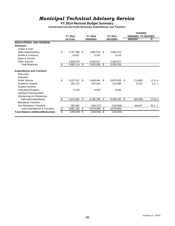# *Municipal Technical Advisory Service*

**FY 2014 Revised Budget Summary**

|                                           |    |               |     |                 |     |                | <b>CHANGE</b> |                            |           |  |
|-------------------------------------------|----|---------------|-----|-----------------|-----|----------------|---------------|----------------------------|-----------|--|
|                                           |    | FY 2013       |     | FY 2014         |     | FY 2014        |               | <b>ORIGINAL TO REVISED</b> |           |  |
|                                           |    | <b>ACTUAL</b> |     | <b>ORIGINAL</b> |     | <b>REVISED</b> |               | <b>AMOUNT</b>              | %         |  |
| <b>EDUCATIONAL AND GENERAL</b>            |    |               |     |                 |     |                |               |                            |           |  |
| <b>Revenues</b>                           |    |               |     |                 |     |                |               |                            |           |  |
| <b>Tuition &amp; Fees</b>                 |    |               |     |                 |     |                |               |                            |           |  |
| <b>State Appropriations</b>               | \$ | 2,737,969     | \$  | 2,892,013       | \$  | 2,892,013      |               |                            |           |  |
| <b>Grants &amp; Contracts</b>             |    | 15,067        |     | 5,415           |     | 5,415          |               |                            |           |  |
| Sales & Service                           |    |               |     |                 |     |                |               |                            |           |  |
| <b>Other Sources</b>                      |    | 2,940,078     |     | 3,035,877       |     | 3,035,877      |               |                            |           |  |
| <b>Total Revenues</b>                     | \$ | 5,693,114     | \$  | 5,933,305       | \$  | 5,933,305      |               |                            |           |  |
| <b>Expenditures and Transfers</b>         |    |               |     |                 |     |                |               |                            |           |  |
| Instruction                               |    |               |     |                 |     |                |               |                            |           |  |
| Research                                  |    |               |     |                 |     |                |               |                            |           |  |
| <b>Public Service</b>                     | \$ | 5,327,551     | \$  | 5.949.941       | -\$ | 5,878,256 \$   |               | (71, 685)                  | (1.2) %   |  |
| Academic Support                          |    | 282,712       |     | 307,344         |     | 313,586        |               | 6,242                      | 2.0 %     |  |
| <b>Student Services</b>                   |    |               |     |                 |     |                |               |                            |           |  |
| <b>Institutional Support</b>              |    | 5,329         |     | 8,500           |     | 8,500          |               |                            |           |  |
| Op/Maint Physical Plant                   |    |               |     |                 |     |                |               |                            |           |  |
| Scholarships & Fellowships                |    |               |     |                 |     |                |               |                            |           |  |
| Sub-total Expenditures                    | \$ | 5,615,592     | \$  | 6,265,785       | \$  | 6,200,342      | \$.           | (65, 443)                  | $(1.0)$ % |  |
| <b>Mandatory Transfers</b>                |    |               |     |                 |     |                |               |                            |           |  |
| Non Mandatory Transfers                   |    | 265,563       |     | (186, 127)      |     | (120, 684)     |               | 65,443                     | 35.2 %    |  |
| <b>Total Expenditures &amp; Transfers</b> | \$ | 5,881,155     | \$  | 6,079,658       | \$  | 6,079,658      |               |                            |           |  |
| <b>Fund Balance Addition/(Reduction)</b>  | \$ | (188, 040)    | -\$ | $(146, 353)$ \$ |     | (146, 353)     |               |                            |           |  |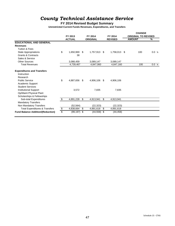# *County Technical Assistance Service*

### **FY 2014 Revised Budget Summary**

|                                           |               |                |     |                 |     |                | <b>CHANGE</b>              |       |  |  |
|-------------------------------------------|---------------|----------------|-----|-----------------|-----|----------------|----------------------------|-------|--|--|
|                                           |               | FY 2013        |     | FY 2014         |     | FY 2014        | <b>ORIGINAL TO REVISED</b> |       |  |  |
|                                           |               | <b>ACTUAL</b>  |     | <b>ORIGINAL</b> |     | <b>REVISED</b> | <b>AMOUNT</b>              | %     |  |  |
| <b>EDUCATIONAL AND GENERAL</b>            |               |                |     |                 |     |                |                            |       |  |  |
| <b>Revenues</b>                           |               |                |     |                 |     |                |                            |       |  |  |
| <b>Tuition &amp; Fees</b>                 |               |                |     |                 |     |                |                            |       |  |  |
| <b>State Appropriations</b>               | \$            | 1,650,969      | \$  | 1,757,913       | \$  | 1,758,013 \$   | 100                        | 0.0 % |  |  |
| <b>Grants &amp; Contracts</b>             |               | 38             |     |                 |     |                |                            |       |  |  |
| Sales & Service                           |               |                |     |                 |     |                |                            |       |  |  |
| <b>Other Sources</b>                      |               | 3,088,459      |     | 3,089,147       |     | 3,089,147      |                            |       |  |  |
| <b>Total Revenues</b>                     |               | 4,739,467      |     | 4,847,060       |     | 4,847,160      | 100                        | 0.0 % |  |  |
| <b>Expenditures and Transfers</b>         |               |                |     |                 |     |                |                            |       |  |  |
| Instruction                               |               |                |     |                 |     |                |                            |       |  |  |
| Research                                  |               |                |     |                 |     |                |                            |       |  |  |
| <b>Public Service</b>                     | \$            | 4,887,656      | -\$ | 4,906,106       | -\$ | 4,906,106      |                            |       |  |  |
| Academic Support                          |               |                |     |                 |     |                |                            |       |  |  |
| <b>Student Services</b>                   |               |                |     |                 |     |                |                            |       |  |  |
| <b>Institutional Support</b>              |               | 3,572          |     | 7,835           |     | 7,835          |                            |       |  |  |
| Op/Maint Physical Plant                   |               |                |     |                 |     |                |                            |       |  |  |
| Scholarships & Fellowships                |               |                |     |                 |     |                |                            |       |  |  |
| Sub-total Expenditures                    | \$            | 4,891,228      | \$  | 4,913,941       | \$  | 4,913,941      |                            |       |  |  |
| <b>Mandatory Transfers</b>                |               |                |     |                 |     |                |                            |       |  |  |
| Non Mandatory Transfers                   |               | (52, 564)      |     | (22, 323)       |     | (22, 323)      |                            |       |  |  |
| <b>Total Expenditures &amp; Transfers</b> | $\frac{1}{2}$ | 4,838,664      | \$  | 4,891,618       | \$  | 4,891,618      |                            |       |  |  |
| <b>Fund Balance Addition/(Reduction)</b>  | \$            | $(99, 197)$ \$ |     | $(44,558)$ \$   |     | (44, 458)      |                            |       |  |  |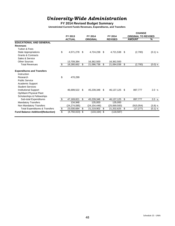# *University-Wide Administration*

### **FY 2014 Revised Budget Summary**

|                                           |         |                |         |                 |    |                |     | <b>CHANGE</b>              |           |  |  |
|-------------------------------------------|---------|----------------|---------|-----------------|----|----------------|-----|----------------------------|-----------|--|--|
|                                           | FY 2013 |                | FY 2014 |                 |    | FY 2014        |     | <b>ORIGINAL TO REVISED</b> |           |  |  |
|                                           |         | <b>ACTUAL</b>  |         | <b>ORIGINAL</b> |    | <b>REVISED</b> |     | <b>AMOUNT</b>              | %         |  |  |
| <b>EDUCATIONAL AND GENERAL</b>            |         |                |         |                 |    |                |     |                            |           |  |  |
| <b>Revenues</b>                           |         |                |         |                 |    |                |     |                            |           |  |  |
| <b>Tuition &amp; Fees</b>                 |         |                |         |                 |    |                |     |                            |           |  |  |
| <b>State Appropriations</b>               | \$      | 4,571,278      | \$      | 4,724,238       | \$ | 4,721,538      | -\$ | (2,700)                    | $(0.1)$ % |  |  |
| <b>Grants &amp; Contracts</b>             |         |                |         |                 |    |                |     |                            |           |  |  |
| Sales & Service                           |         |                |         |                 |    |                |     |                            |           |  |  |
| <b>Other Sources</b>                      |         | 13,709,384     |         | 16,362,500      |    | 16,362,500     |     |                            |           |  |  |
| <b>Total Revenues</b>                     | \$      | 18,280,662     | \$      | 21,086,738      | \$ | 21,084,038     | \$  | (2,700)                    | $(0.0)$ % |  |  |
| <b>Expenditures and Transfers</b>         |         |                |         |                 |    |                |     |                            |           |  |  |
| Instruction                               |         |                |         |                 |    |                |     |                            |           |  |  |
| Research                                  | \$      | 470.299        |         |                 |    |                |     |                            |           |  |  |
| <b>Public Service</b>                     |         |                |         |                 |    |                |     |                            |           |  |  |
| Academic Support                          |         |                |         |                 |    |                |     |                            |           |  |  |
| <b>Student Services</b>                   |         |                |         |                 |    |                |     |                            |           |  |  |
| <b>Institutional Support</b>              |         | 46,699,522     | \$      | 45,239,348      | \$ | 46,137,125 \$  |     | 897,777                    | 2.0%      |  |  |
| Op/Maint Physical Plant                   |         |                |         |                 |    |                |     |                            |           |  |  |
| Scholarships & Fellowships                |         |                |         |                 |    |                |     |                            |           |  |  |
| Sub-total Expenditures                    | \$      | 47,169,821     | \$      | 45,239,348      | \$ | 46,137,125     | \$  | 897,777                    | 2.0 %     |  |  |
| <b>Mandatory Transfers</b>                |         | 134,948        |         | 135,000         |    | 135,000        |     |                            |           |  |  |
| Non Mandatory Transfers                   |         | (24, 274, 085) |         | (24, 154, 446)  |    | (25,069,500)   |     | (915, 054)                 | $(3.8)$ % |  |  |
| <b>Total Expenditures &amp; Transfers</b> | \$      | 23,030,684     | \$      | 21,219,902      | \$ | 21,202,625     | -\$ | (17, 277)                  | $(0.1)$ % |  |  |
| <b>Fund Balance Addition/(Reduction)</b>  | \$      | (4,750,023)    | \$      | (133, 164)      | \$ | (118, 587)     |     |                            |           |  |  |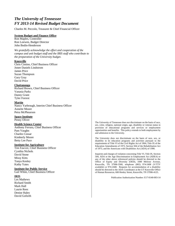### *The University of Tennessee FY 2013-14 Revised Budget Document*

Charles M. Peccolo, Treasurer & Chief Financial Officer

#### **System Budget and Finance Office**

Ron Maples, Controller Ron Loewen, Budget Director John Bodin-Henderson

*We gratefully acknowledge the effort and cooperation of the campus and unit budget staff and the IRIS staff who contribute to the preparation of the University budget.* 

#### **Knoxville**

Chris Cimino, Chief Business Officer Jonee Daniels Lindstrom James Price Suzan Thompson Gary Gray David Price

#### **Chattanooga**

Richard Brown, Chief Business Officer Vanasia Parks Danny Grant Tyler Forrest

#### **Martin**

Nancy Yarbrough, Interim Chief Business Officer Annette Moore Petra McPhearson

#### **Space Institute**

Penny Oliver

#### **Health Science Center**

Anthony Ferrara, Chief Business Officer Pam Vaughn Charles Cossar Kimberly Moore Betty Lee Pace

#### **Institute for Agriculture**

Tim Fawver, Chief Business Officer Cynthia Nichols David Stone Missy Kitts Tonya Kenley Kathy Yates

#### **Institute for Public Service**

Gail White, Chief Business Officer

**IRIS** 

Les Mathews Richard Smith Mark Hall Laurie Rees Denise Haley David Goforth The University of Tennessee does not discriminate on the basis of race, sex, color, religion, national origin, age, disability or veteran status in provision of educational programs and services or employment opportunities and benefits. This policy extends to both employment by and admission to the University.

The University does not discriminate on the basis of race, sex, or disability in its education programs and activities pursuant to the requirements of Title VI of the Civil Rights Act of 1964, Title IX of the Education Amendments of 1972, Section 504 of the Rehabilitation Act of 1973, and the Americans with Disabilities Act (ADA) of 1990.

Inquiries and charges of violation concerning Title VI, Title IX, Section 504, ADA or the Age Discrimination in Employment Act (ADEA) or any of the other above referenced policies should be directed to the Office of Equity and Diversity (OED), 1840 Melrose Avenue, Knoxville, TN 37996-3560, telephone (865) 974-2498 (V/TTY available) or 974-2440. Requests for accommodation of a disability should be directed to the ADA Coordinator at the UT Knoxville Office of Human Resources, 600 Henley Street, Knoxville, TN 37996-4125.

Publication Authorization Number: E17-0140-003-14